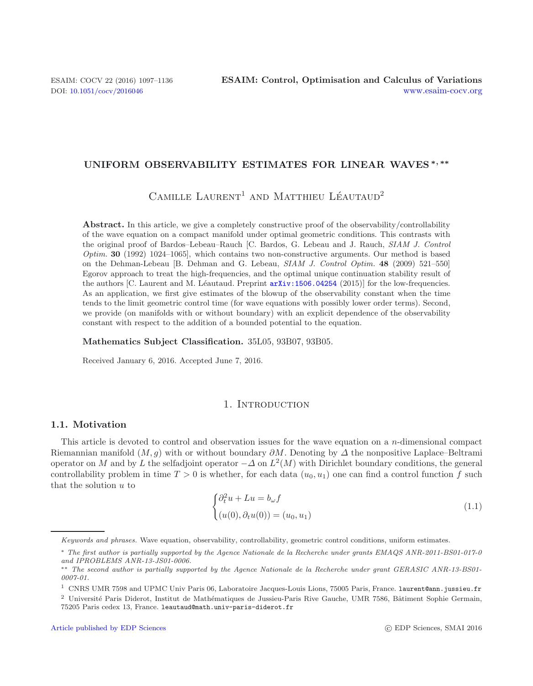### **UNIFORM OBSERVABILITY ESTIMATES FOR LINEAR WAVES** *<sup>∗</sup>, ∗∗*

 $C$ AMILLE LAURENT<sup>1</sup> AND MATTHIEU LÉAUTAUD<sup>2</sup>

Abstract. In this article, we give a completely constructive proof of the observability/controllability of the wave equation on a compact manifold under optimal geometric conditions. This contrasts with the original proof of Bardos–Lebeau–Rauch [C. Bardos, G. Lebeau and J. Rauch, *SIAM J. Control Optim.* **30** (1992) 1024–1065], which contains two non-constructive arguments. Our method is based on the Dehman-Lebeau [B. Dehman and G. Lebeau, *SIAM J. Control Optim.* **48** (2009) 521–550] Egorov approach to treat the high-frequencies, and the optimal unique continuation stability result of the authors [C. Laurent and M. Léautaud. Preprint  $arXiv:1506.04254$  (2015)] for the low-frequencies. As an application, we first give estimates of the blowup of the observability constant when the time tends to the limit geometric control time (for wave equations with possibly lower order terms). Second, we provide (on manifolds with or without boundary) with an explicit dependence of the observability constant with respect to the addition of a bounded potential to the equation.

### <span id="page-0-0"></span>**Mathematics Subject Classification.** 35L05, 93B07, 93B05.

Received January 6, 2016. Accepted June 7, 2016.

# 1. INTRODUCTION

### <span id="page-0-2"></span><span id="page-0-1"></span>**1.1. Motivation**

This article is devoted to control and observation issues for the wave equation on a  $n$ -dimensional compact Riemannian manifold  $(M, q)$  with or without boundary  $\partial M$ . Denoting by  $\Delta$  the nonpositive Laplace–Beltrami operator on M and by L the selfadjoint operator  $-\Delta$  on  $L^2(M)$  with Dirichlet boundary conditions, the general controllability problem in time  $T > 0$  is whether, for each data  $(u_0, u_1)$  one can find a control function f such that the solution  $u$  to

$$
\begin{cases} \partial_t^2 u + Lu = b_\omega f \\ (u(0), \partial_t u(0)) = (u_0, u_1) \end{cases}
$$
\n(1.1)

Keywords and phrases. Wave equation, observability, controllability, geometric control conditions, uniform estimates.

<sup>∗</sup> The first author is partially supported by the Agence Nationale de la Recherche under grants EMAQS ANR-2011-BS01-017-0 and IPROBLEMS ANR-13-JS01-0006.

<sup>∗∗</sup> The second author is partially supported by the Agence Nationale de la Recherche under grant GERASIC ANR-13-BS01- 0007-01.

<sup>1</sup> CNRS UMR 7598 and UPMC Univ Paris 06, Laboratoire Jacques-Louis Lions, 75005 Paris, France. laurent@ann.jussieu.fr

<sup>&</sup>lt;sup>2</sup> Université Paris Diderot, Institut de Mathématiques de Jussieu-Paris Rive Gauche, UMR 7586, Bâtiment Sophie Germain, 75205 Paris cedex 13, France. leautaud@math.univ-paris-diderot.fr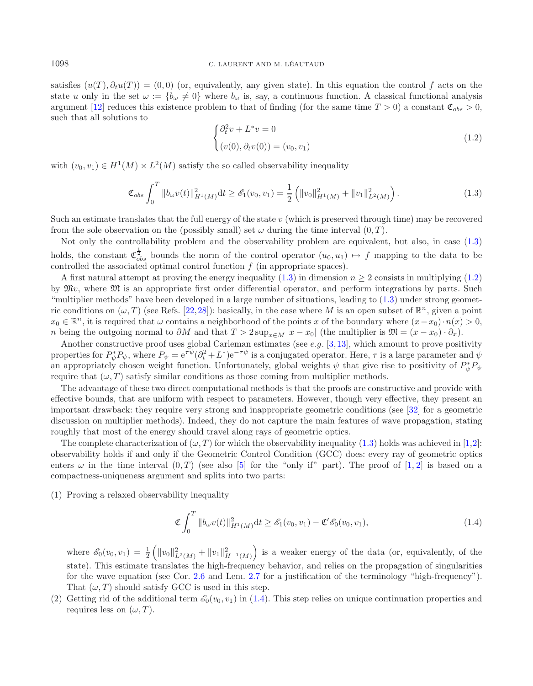satisfies  $(u(T), \partial_t u(T)) = (0, 0)$  (or, equivalently, any given state). In this equation the control f acts on the state u only in the set  $\omega := \{b_\omega \neq 0\}$  where  $b_\omega$  is, say, a continuous function. A classical functional analysis argument [\[12](#page-38-0)] reduces this existence problem to that of finding (for the same time  $T > 0$ ) a constant  $\mathfrak{C}_{obs} > 0$ , such that all solutions to

$$
\begin{cases} \partial_t^2 v + L^* v = 0 \\ (v(0), \partial_t v(0)) = (v_0, v_1) \end{cases}
$$
\n(1.2)

<span id="page-1-0"></span>with  $(v_0, v_1) \in H^1(M) \times L^2(M)$  satisfy the so called observability inequality

$$
\mathfrak{C}_{obs} \int_0^T \|b_\omega v(t)\|_{H^1(M)}^2 \, \mathrm{d}t \ge \mathcal{E}_1(v_0, v_1) = \frac{1}{2} \left( \|v_0\|_{H^1(M)}^2 + \|v_1\|_{L^2(M)}^2 \right). \tag{1.3}
$$

Such an estimate translates that the full energy of the state  $v$  (which is preserved through time) may be recovered from the sole observation on the (possibly small) set  $\omega$  during the time interval  $(0, T)$ .

Not only the controllability problem and the observability problem are equivalent, but also, in case [\(1.3\)](#page-1-0) holds, the constant  $\mathfrak{C}^{\frac{1}{2}}_{obs}$  bounds the norm of the control operator  $(u_0, u_1) \mapsto f$  mapping to the data to be controlled the associated optimal control function  $f$  (in appropriate spaces).

A first natural attempt at proving the energy inequality  $(1.3)$  in dimension  $n \geq 2$  consists in multiplying  $(1.2)$ by Mv, where M is an appropriate first order differential operator, and perform integrations by parts. Such "multiplier methods" have been developed in a large number of situations, leading to [\(1.3\)](#page-1-0) under strong geometric conditions on  $(\omega, T)$  (see Refs. [\[22](#page-38-1),[28\]](#page-39-0)): basically, in the case where M is an open subset of  $\mathbb{R}^n$ , given a point  $x_0 \in \mathbb{R}^n$ , it is required that  $\omega$  contains a neighborhood of the points x of the boundary where  $(x-x_0)\cdot n(x) > 0$ , n being the outgoing normal to  $\partial M$  and that  $T > 2 \sup_{x \in M} |x - x_0|$  (the multiplier is  $\mathfrak{M} = (x - x_0) \cdot \partial_x$ ).

Another constructive proof uses global Carleman estimates (see  $e.g.$  [\[3,](#page-38-2)[13\]](#page-38-3), which amount to prove positivity properties for  $P^*_{\psi}P_{\psi}$ , where  $P_{\psi} = e^{\tau \psi} (\partial_t^2 + L^*) e^{-\tau \psi}$  is a conjugated operator. Here,  $\tau$  is a large parameter and  $\psi$ an appropriately chosen weight function. Unfortunately, global weights  $\psi$  that give rise to positivity of  $P^*_{\psi}P_{\psi}$ require that  $(\omega, T)$  satisfy similar conditions as those coming from multiplier methods.

The advantage of these two direct computational methods is that the proofs are constructive and provide with effective bounds, that are uniform with respect to parameters. However, though very effective, they present an important drawback: they require very strong and inappropriate geometric conditions (see [\[32\]](#page-39-1) for a geometric discussion on multiplier methods). Indeed, they do not capture the main features of wave propagation, stating roughly that most of the energy should travel along rays of geometric optics.

The complete characterization of  $(\omega, T)$  for which the observability inequality [\(1.3\)](#page-1-0) holds was achieved in [\[1](#page-38-4)[,2](#page-38-5)]: observability holds if and only if the Geometric Control Condition (GCC) does: every ray of geometric optics enters  $\omega$  in the time interval  $(0, T)$  (see also [\[5](#page-38-6)] for the "only if" part). The proof of [\[1](#page-38-4), [2\]](#page-38-5) is based on a compactness-uniqueness argument and splits into two parts:

(1) Proving a relaxed observability inequality

$$
\mathfrak{C} \int_0^T \|b_\omega v(t)\|_{H^1(M)}^2 \mathrm{d}t \ge \mathcal{E}_1(v_0, v_1) - \mathfrak{C}' \mathcal{E}_0(v_0, v_1), \tag{1.4}
$$

<span id="page-1-2"></span>where  $\mathscr{E}_0(v_0, v_1) = \frac{1}{2} \left( \|v_0\|_{L^2(M)}^2 + \|v_1\|_{H^{-1}(M)}^2 \right)$  is a weaker energy of the data (or, equivalently, of the state). This estimate translates the high-frequency behavior, and relies on the propagation of singularities for the wave equation (see Cor. [2.6](#page-12-0) and Lem. [2.7](#page-13-0) for a justification of the terminology "high-frequency"). That  $(\omega, T)$  should satisfy GCC is used in this step.

(2) Getting rid of the additional term  $\mathcal{E}_0(v_0, v_1)$  in [\(1.4\)](#page-1-2). This step relies on unique continuation properties and requires less on  $(\omega, T)$ .

<span id="page-1-1"></span>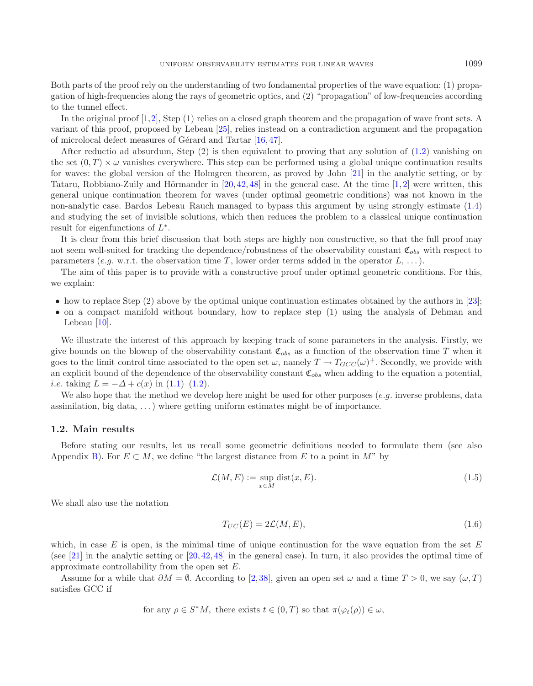Both parts of the proof rely on the understanding of two fondamental properties of the wave equation: (1) propagation of high-frequencies along the rays of geometric optics, and (2) "propagation" of low-frequencies according to the tunnel effect.

In the original proof [\[1](#page-38-4)[,2\]](#page-38-5), Step (1) relies on a closed graph theorem and the propagation of wave front sets. A variant of this proof, proposed by Lebeau [\[25\]](#page-39-2), relies instead on a contradiction argument and the propagation of microlocal defect measures of Gérard and Tartar  $[16, 47]$  $[16, 47]$  $[16, 47]$ .

After reductio ad absurdum, Step (2) is then equivalent to proving that any solution of [\(1.2\)](#page-1-1) vanishing on the set  $(0, T) \times \omega$  vanishes everywhere. This step can be performed using a global unique continuation results for waves: the global version of the Holmgren theorem, as proved by John [\[21\]](#page-38-8) in the analytic setting, or by Tataru, Robbiano-Zuily and Hörmander in  $[20, 42, 48]$  $[20, 42, 48]$  $[20, 42, 48]$  $[20, 42, 48]$  $[20, 42, 48]$  in the general case. At the time  $[1, 2]$  $[1, 2]$  $[1, 2]$  $[1, 2]$  were written, this general unique continuation theorem for waves (under optimal geometric conditions) was not known in the non-analytic case. Bardos–Lebeau–Rauch managed to bypass this argument by using strongly estimate [\(1.4\)](#page-1-2) and studying the set of invisible solutions, which then reduces the problem to a classical unique continuation result for eigenfunctions of  $L^*$ .

It is clear from this brief discussion that both steps are highly non constructive, so that the full proof may not seem well-suited for tracking the dependence/robustness of the observability constant  $\mathfrak{C}_{obs}$  with respect to parameters (e.g. w.r.t. the observation time T, lower order terms added in the operator  $L, \ldots$  ).

The aim of this paper is to provide with a constructive proof under optimal geometric conditions. For this, we explain:

- how to replace Step (2) above by the optimal unique continuation estimates obtained by the authors in [\[23](#page-39-6)];
- on a compact manifold without boundary, how to replace step (1) using the analysis of Dehman and Lebeau  $[10]$  $[10]$ .

We illustrate the interest of this approach by keeping track of some parameters in the analysis. Firstly, we give bounds on the blowup of the observability constant  $\mathfrak{C}_{obs}$  as a function of the observation time T when it goes to the limit control time associated to the open set  $\omega$ , namely  $T \to T_{GCC}(\omega)^+$ . Secondly, we provide with an explicit bound of the dependence of the observability constant  $\mathfrak{C}_{obs}$  when adding to the equation a potential, *i.e.* taking  $L = -\Delta + c(x)$  in  $(1.1)$ – $(1.2)$ .

We also hope that the method we develop here might be used for other purposes (e.g. inverse problems, data assimilation, big data, . . . ) where getting uniform estimates might be of importance.

### <span id="page-2-0"></span>**1.2. Main results**

Before stating our results, let us recall some geometric definitions needed to formulate them (see also Appendix [B\)](#page-7-0). For  $E \subset M$ , we define "the largest distance from E to a point in M" by

<span id="page-2-1"></span>
$$
\mathcal{L}(M, E) := \sup_{x \in M} \text{dist}(x, E). \tag{1.5}
$$

We shall also use the notation

<span id="page-2-2"></span>
$$
T_{UC}(E) = 2\mathcal{L}(M, E),\tag{1.6}
$$

which, in case  $E$  is open, is the minimal time of unique continuation for the wave equation from the set  $E$ (see [\[21\]](#page-38-8) in the analytic setting or [\[20,](#page-38-9) [42,](#page-39-4) [48\]](#page-39-5) in the general case). In turn, it also provides the optimal time of approximate controllability from the open set E.

Assume for a while that  $\partial M = \emptyset$ . According to [\[2](#page-38-5),[38](#page-39-7)], given an open set  $\omega$  and a time  $T > 0$ , we say  $(\omega, T)$ satisfies GCC if

for any 
$$
\rho \in S^*M
$$
, there exists  $t \in (0,T)$  so that  $\pi(\varphi_t(\rho)) \in \omega$ ,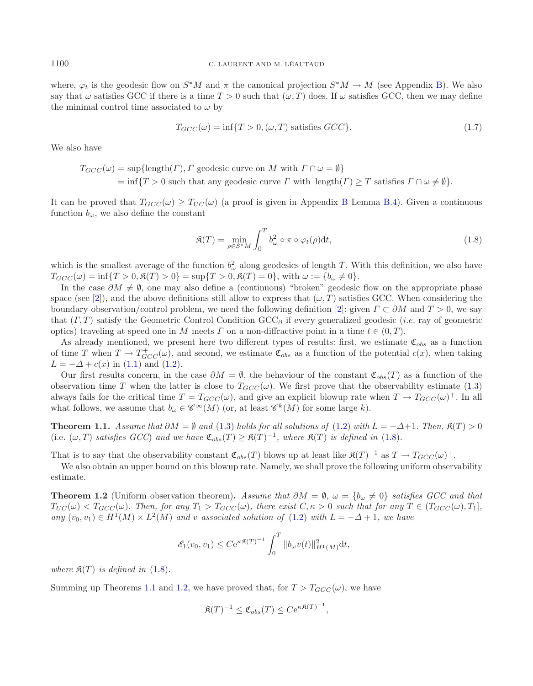where,  $\varphi_t$  is the geodesic flow on  $S^*M$  and  $\pi$  the canonical projection  $S^*M \to M$  (see Appendix [B\)](#page-7-0). We also say that  $\omega$  satisfies GCC if there is a time  $T > 0$  such that  $(\omega, T)$  does. If  $\omega$  satisfies GCC, then we may define the minimal control time associated to  $\omega$  by

$$
T_{GCC}(\omega) = \inf\{T > 0, (\omega, T) \text{ satisfies } GCC\}. \tag{1.7}
$$

We also have

<span id="page-3-3"></span> $T_{GCC}(\omega) = \sup{\{\text{length}(T), \Gamma \text{ geodesic curve on } M \text{ with } \Gamma \cap \omega = \emptyset\}}$  $=\inf\{T>0$  such that any geodesic curve  $\Gamma$  with  $\text{length}(\Gamma) \geq T$  satisfies  $\Gamma \cap \omega \neq \emptyset$ .

It can be proved that  $T_{GCC}(\omega) \geq T_{UC}(\omega)$  (a proof is given in Appendix [B](#page-7-0) Lemma [B.4\)](#page-11-0). Given a continuous function  $b_{\omega}$ , we also define the constant

<span id="page-3-1"></span><span id="page-3-0"></span>
$$
\mathfrak{K}(T) = \min_{\rho \in S^*M} \int_0^T b_\omega^2 \circ \pi \circ \varphi_t(\rho) \mathrm{d}t,\tag{1.8}
$$

which is the smallest average of the function  $b_{\omega}^2$  along geodesics of length T. With this definition, we also have  $T_{GCC}(\omega) = \inf\{T > 0, \mathfrak{K}(T) > 0\} = \sup\{T > 0, \mathfrak{K}(T) = 0\},\$  with  $\omega := \{b_{\omega} \neq 0\}.$ 

In the case  $\partial M \neq \emptyset$ , one may also define a (continuous) "broken" geodesic flow on the appropriate phase space (see [\[2\]](#page-38-5)), and the above definitions still allow to express that  $(\omega, T)$  satisfies GCC. When considering the boundary observation/control problem, we need the following definition [\[2\]](#page-38-5): given  $\Gamma \subset \partial M$  and  $T > 0$ , we say that  $(\Gamma, T)$  satisfy the Geometric Control Condition GCC $_{\partial}$  if every generalized geodesic (*i.e.* ray of geometric optics) traveling at speed one in M meets  $\Gamma$  on a non-diffractive point in a time  $t \in (0, T)$ .

<span id="page-3-2"></span>As already mentioned, we present here two different types of results: first, we estimate  $\mathfrak{C}_{obs}$  as a function of time T when  $T \to T_{GCC}^+(\omega)$ , and second, we estimate  $\mathfrak{C}_{obs}$  as a function of the potential  $c(x)$ , when taking  $L = -\Delta + c(x)$  in [\(1.1\)](#page-0-0) and [\(1.2\)](#page-1-1).

Our first results concern, in the case  $\partial M = \emptyset$ , the behaviour of the constant  $\mathfrak{C}_{obs}(T)$  as a function of the observation time T when the latter is close to  $T_{GCC}(\omega)$ . We first prove that the observability estimate [\(1.3\)](#page-1-0) always fails for the critical time  $T = T_{GCC}(\omega)$ , and give an explicit blowup rate when  $T \rightarrow T_{GCC}(\omega)^+$ . In all what follows, we assume that  $b_{\omega} \in \mathscr{C}^{\infty}(M)$  (or, at least  $\mathscr{C}^k(M)$  for some large k).

**Theorem 1.1.** *Assume that*  $\partial M = \emptyset$  *and* [\(1.3\)](#page-1-0) *holds for all solutions of* [\(1.2\)](#page-1-1) *with*  $L = -\Delta + 1$ *. Then,*  $\mathfrak{K}(T) > 0$ (i.e.  $(\omega, T)$  *satisfies GCC*) and we have  $\mathfrak{C}_{obs}(T) \geq \mathfrak{K}(T)^{-1}$ , where  $\mathfrak{K}(T)$  is defined in [\(1.8\)](#page-3-0).

That is to say that the observability constant  $\mathfrak{C}_{obs}(T)$  blows up at least like  $\mathfrak{K}(T)^{-1}$  as  $T \to T_{GCC}(\omega)^+$ .

We also obtain an upper bound on this blowup rate. Namely, we shall prove the following uniform observability estimate.

**Theorem 1.2** (Uniform observation theorem). Assume that  $\partial M = \emptyset$ ,  $\omega = \{b_\omega \neq 0\}$  satisfies GCC and that  $T_{UC}(\omega) < T_{GCC}(\omega)$ . Then, for any  $T_1 > T_{GCC}(\omega)$ , there exist  $C, \kappa > 0$  such that for any  $T \in (T_{GCC}(\omega), T_1]$ ,  $any (v_0, v_1) \in H^1(M) \times L^2(M)$  *and* v associated solution of [\(1.2\)](#page-1-1) with  $L = -\Delta + 1$ , we have

$$
\mathscr{E}_1(v_0, v_1) \leq C e^{\kappa \mathfrak{K}(T)^{-1}} \int_0^T \|b_\omega v(t)\|_{H^1(M)}^2 \mathrm{d}t,
$$

*where*  $\mathfrak{K}(T)$  *is defined in* [\(1.8\)](#page-3-0).

Summing up Theorems [1.1](#page-3-1) and [1.2,](#page-3-2) we have proved that, for  $T > T_{GCC}(\omega)$ , we have

$$
\mathfrak{K}(T)^{-1} \leq \mathfrak{C}_{obs}(T) \leq C e^{\kappa \mathfrak{K}(T)^{-1}},
$$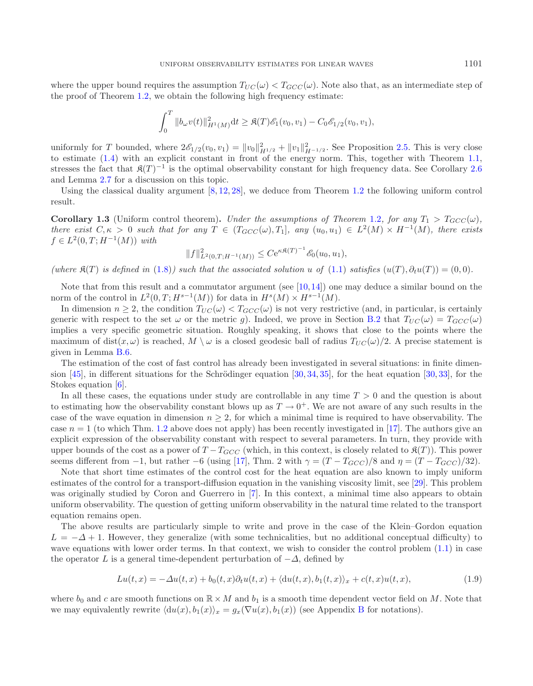<span id="page-4-1"></span>where the upper bound requires the assumption  $T_{UC}(\omega) < T_{GCC}(\omega)$ . Note also that, as an intermediate step of the proof of Theorem  $1.2$ , we obtain the following high frequency estimate:

$$
\int_0^T \|b_{\omega}v(t)\|_{H^1(M)}^2 dt \geq \mathfrak{K}(T)\mathscr{E}_1(v_0,v_1) - C_0\mathscr{E}_{1/2}(v_0,v_1),
$$

uniformly for T bounded, where  $2\mathscr{E}_{1/2}(v_0, v_1) = ||v_0||_{H^{1/2}}^2 + ||v_1||_{H^{-1/2}}^2$ . See Proposition [2.5.](#page-11-1) This is very close to estimate [\(1.4\)](#page-1-2) with an explicit constant in front of the energy norm. This, together with Theorem [1.1,](#page-3-1) stresses the fact that  $\mathfrak{K}(T)^{-1}$  is the optimal observability constant for high frequency data. See Corollary [2.6](#page-12-0) and Lemma [2.7](#page-13-0) for a discussion on this topic.

Using the classical duality argument [\[8](#page-38-11), [12,](#page-38-0) [28\]](#page-39-0), we deduce from Theorem [1.2](#page-3-2) the following uniform control result.

**Corollary 1.3** (Uniform control theorem). *Under the assumptions of Theorem* [1.2](#page-3-2)*, for any*  $T_1 > T_{GCC}(\omega)$ *, there exist*  $C, \kappa > 0$  *such that for any*  $T \in (T_{GCC}(\omega), T_1]$ *, any*  $(u_0, u_1) \in L^2(M) \times H^{-1}(M)$ *, there exists*  $f \in L^2(0,T; H^{-1}(M))$  *with* 

$$
||f||_{L^{2}(0,T;H^{-1}(M))}^{2} \leq C e^{\kappa \mathfrak{K}(T)^{-1}} \mathcal{E}_{0}(u_{0},u_{1}),
$$

(where  $\mathfrak{K}(T)$  is defined in [\(1.8\)](#page-3-0)) such that the associated solution u of [\(1.1\)](#page-0-0) satisfies  $(u(T), \partial_t u(T)) = (0, 0)$ *.* 

Note that from this result and a commutator argument (see  $[10,14]$  $[10,14]$ ) one may deduce a similar bound on the norm of the control in  $L^2(0,T;H^{s-1}(M))$  for data in  $H^s(M) \times H^{s-1}(M)$ .

In dimension  $n \geq 2$ , the condition  $T_{UC}(\omega) < T_{GCC}(\omega)$  is not very restrictive (and, in particular, is certainly generic with respect to the set  $\omega$  or the metric g). Indeed, we prove in Section [B.2](#page-9-0) that  $T_{UC}(\omega) = T_{GCC}(\omega)$ implies a very specific geometric situation. Roughly speaking, it shows that close to the points where the maximum of dist(x,  $\omega$ ) is reached,  $M \setminus \omega$  is a closed geodesic ball of radius  $T_{UC}(\omega)/2$ . A precise statement is given in Lemma [B.6.](#page-12-0)

The estimation of the cost of fast control has already been investigated in several situations: in finite dimension  $[45]$  $[45]$ , in different situations for the Schrödinger equation  $[30, 34, 35]$  $[30, 34, 35]$  $[30, 34, 35]$  $[30, 34, 35]$  $[30, 34, 35]$  $[30, 34, 35]$ , for the heat equation  $[30, 33]$  $[30, 33]$ , for the Stokes equation [\[6](#page-38-13)].

In all these cases, the equations under study are controllable in any time  $T > 0$  and the question is about to estimating how the observability constant blows up as  $T \to 0^+$ . We are not aware of any such results in the case of the wave equation in dimension  $n \geq 2$ , for which a minimal time is required to have observability. The case  $n = 1$  (to which Thm. [1.2](#page-3-2) above does not apply) has been recently investigated in [\[17](#page-38-14)]. The authors give an explicit expression of the observability constant with respect to several parameters. In turn, they provide with upper bounds of the cost as a power of  $T - T_{GCC}$  (which, in this context, is closely related to  $\mathfrak{K}(T)$ ). This power seems different from −1, but rather −6 (using [\[17\]](#page-38-14), Thm. 2 with  $\gamma = (T - T_{GCC})/8$  and  $\eta = (T - T_{GCC})/32$ ).

Note that short time estimates of the control cost for the heat equation are also known to imply uniform estimates of the control for a transport-diffusion equation in the vanishing viscosity limit, see [\[29\]](#page-39-13). This problem was originally studied by Coron and Guerrero in [\[7\]](#page-38-15). In this context, a minimal time also appears to obtain uniform observability. The question of getting uniform observability in the natural time related to the transport equation remains open.

The above results are particularly simple to write and prove in the case of the Klein–Gordon equation  $L = -\Delta + 1$ . However, they generalize (with some technicalities, but no additional conceptual difficulty) to wave equations with lower order terms. In that context, we wish to consider the control problem  $(1.1)$  in case the operator L is a general time-dependent perturbation of  $-\Delta$ , defined by

$$
Lu(t, x) = -\Delta u(t, x) + b_0(t, x)\partial_t u(t, x) + \langle du(t, x), b_1(t, x) \rangle_x + c(t, x)u(t, x), \tag{1.9}
$$

<span id="page-4-0"></span>where  $b_0$  and c are smooth functions on  $\mathbb{R} \times M$  and  $b_1$  is a smooth time dependent vector field on M. Note that we may equivalently rewrite  $\langle du(x), b_1(x) \rangle_x = g_x(\nabla u(x), b_1(x))$  (see Appendix [B](#page-7-0) for notations).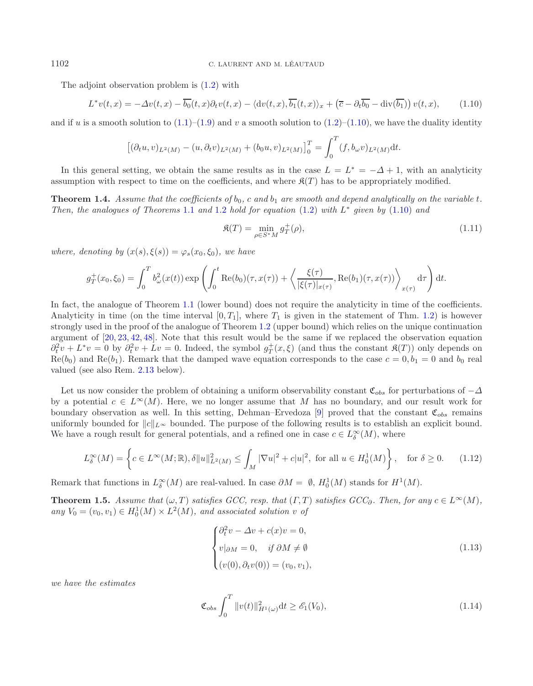The adjoint observation problem is [\(1.2\)](#page-1-1) with

$$
L^*v(t,x) = -\Delta v(t,x) - \overline{b_0}(t,x)\partial_t v(t,x) - \langle \mathrm{d}v(t,x), \overline{b_1}(t,x) \rangle_x + \left(\overline{c} - \partial_t \overline{b_0} - \mathrm{div}(\overline{b_1})\right)v(t,x),\tag{1.10}
$$

<span id="page-5-0"></span>and if u is a smooth solution to  $(1.1)$ – $(1.9)$  and v a smooth solution to  $(1.2)$ – $(1.10)$ , we have the duality identity

$$
[(\partial_t u, v)_{L^2(M)} - (u, \partial_t v)_{L^2(M)} + (b_0 u, v)_{L^2(M)}]_0^T = \int_0^T (f, b_\omega v)_{L^2(M)} dt.
$$

<span id="page-5-2"></span>In this general setting, we obtain the same results as in the case  $L = L^* = -\Delta + 1$ , with an analyticity assumption with respect to time on the coefficients, and where  $\mathfrak{K}(T)$  has to be appropriately modified.

**Theorem 1.4.** *Assume that the coefficients of*  $b_0$ , c and  $b_1$  are smooth and depend analytically on the variable t. *Then, the analogues of Theorems* [1.1](#page-3-1) *and* [1.2](#page-3-2) *hold for equation* [\(1.2\)](#page-1-1) *with* L<sup>∗</sup> *given by* [\(1.10\)](#page-5-0) *and*

<span id="page-5-4"></span><span id="page-5-3"></span>
$$
\mathfrak{K}(T) = \min_{\rho \in S^*M} g_T^+(\rho),\tag{1.11}
$$

*where, denoting by*  $(x(s), \xi(s)) = \varphi_s(x_0, \xi_0)$ *, we have* 

$$
g_T^+(x_0,\xi_0) = \int_0^T b_\omega^2(x(t)) \exp\left(\int_0^t \text{Re}(b_0)(\tau,x(\tau)) + \left\langle \frac{\xi(\tau)}{|\xi(\tau)|_{x(\tau)}}, \text{Re}(b_1)(\tau,x(\tau)) \right\rangle_{x(\tau)} d\tau\right) dt.
$$

In fact, the analogue of Theorem [1.1](#page-3-1) (lower bound) does not require the analyticity in time of the coefficients. Analyticity in time (on the time interval  $[0, T_1]$ , where  $T_1$  is given in the statement of Thm. [1.2\)](#page-3-2) is however strongly used in the proof of the analogue of Theorem [1.2](#page-3-2) (upper bound) which relies on the unique continuation argument of [\[20](#page-38-9), [23,](#page-39-6) [42](#page-39-4), [48\]](#page-39-5). Note that this result would be the same if we replaced the observation equation  $\partial_t^2 v + L^* v = 0$  by  $\partial_t^2 v + Lv = 0$ . Indeed, the symbol  $g_T^+(x,\xi)$  (and thus the constant  $\mathfrak{K}(T)$ ) only depends on  $\text{Re}(b_0)$  and  $\text{Re}(b_1)$ . Remark that the damped wave equation corresponds to the case  $c = 0, b_1 = 0$  and  $b_0$  real valued (see also Rem. [2.13](#page-19-0) below).

Let us now consider the problem of obtaining a uniform observability constant  $\mathfrak{C}_{obs}$  for perturbations of  $-\Delta$ by a potential  $c \in L^{\infty}(M)$ . Here, we no longer assume that M has no boundary, and our result work for boundary observation as well. In this setting, Dehman–Ervedoza [\[9](#page-38-16)] proved that the constant  $\mathfrak{C}_{obs}$  remains uniformly bounded for  $||c||_{L^{\infty}}$  bounded. The purpose of the following results is to establish an explicit bound. We have a rough result for general potentials, and a refined one in case  $c \in L^{\infty}_{\delta}(M)$ , where

$$
L^{\infty}_{\delta}(M) = \left\{ c \in L^{\infty}(M; \mathbb{R}), \delta \|u\|_{L^{2}(M)}^{2} \le \int_{M} |\nabla u|^{2} + c|u|^{2}, \text{ for all } u \in H_{0}^{1}(M) \right\}, \text{ for } \delta \ge 0. \tag{1.12}
$$

<span id="page-5-1"></span>Remark that functions in  $L^{\infty}_{\delta}(M)$  are real-valued. In case  $\partial M = \emptyset$ ,  $H_0^1(M)$  stands for  $H^1(M)$ .

**Theorem 1.5.** *Assume that*  $(\omega, T)$  *satisfies GCC, resp. that*  $(\Gamma, T)$  *satisfies GCC* $_0$ *. Then, for any*  $c \in L^{\infty}(M)$ *, any*  $V_0 = (v_0, v_1) \in H_0^1(M) \times L^2(M)$ *, and associated solution v of* 

$$
\begin{cases}\n\partial_t^2 v - \Delta v + c(x)v = 0, \\
v|_{\partial M} = 0, \quad \text{if } \partial M \neq \emptyset \\
(v(0), \partial_t v(0)) = (v_0, v_1),\n\end{cases}
$$
\n(1.13)

*we have the estimates*

$$
\mathfrak{C}_{obs} \int_0^T \|v(t)\|_{H^1(\omega)}^2 \mathrm{d}t \ge \mathcal{E}_1(V_0),\tag{1.14}
$$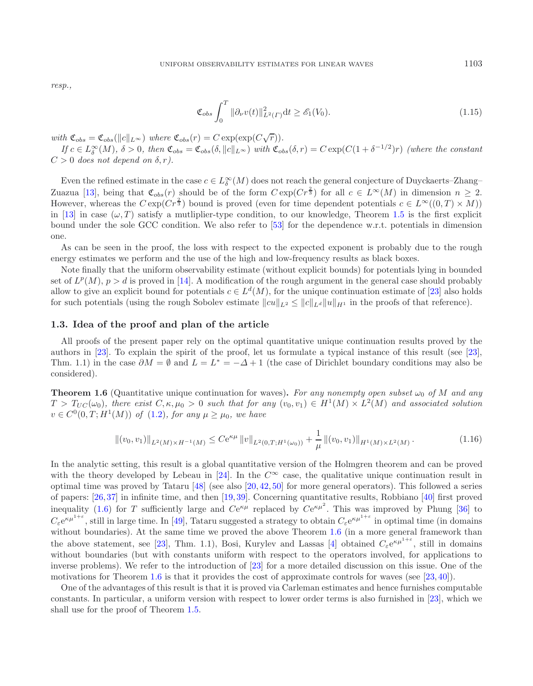*resp.,*

$$
\mathfrak{C}_{obs} \int_0^T \|\partial_\nu v(t)\|_{L^2(\Gamma)}^2 dt \ge \mathcal{E}_1(V_0). \tag{1.15}
$$

*with*  $\mathfrak{C}_{obs} = \mathfrak{C}_{obs}(\|c\|_{L^{\infty}})$  *where*  $\mathfrak{C}_{obs}(r) = C \exp(\exp(C\sqrt{r}))$ *.* 

 $If$   $c \in L^{\infty}_{\delta}(M)$ ,  $\delta > 0$ , then  $\mathfrak{C}_{obs} = \mathfrak{C}_{obs}(\delta, ||c||_{L^{\infty}})$  with  $\mathfrak{C}_{obs}(\delta, r) = C \exp(C(1 + \delta^{-1/2})r)$  *(where the constant*  $C > 0$  does not depend on  $\delta, r$ ).

Even the refined estimate in the case  $c \in L^{\infty}_\delta(M)$  does not reach the general conjecture of Duyckaerts–Zhang– Zuazua [\[13\]](#page-38-3), being that  $\mathfrak{C}_{obs}(r)$  should be of the form  $C \exp(Cr^{\frac{2}{3}})$  for all  $c \in L^{\infty}(M)$  in dimension  $n \geq 2$ . However, whereas the  $C \exp(Cr^{\frac{2}{3}})$  bound is proved (even for time dependent potentials  $c \in L^{\infty}((0,T) \times M)$ ) in [\[13](#page-38-3)] in case  $(\omega, T)$  satisfy a mutliplier-type condition, to our knowledge, Theorem [1.5](#page-5-1) is the first explicit bound under the sole GCC condition. We also refer to [\[53\]](#page-39-14) for the dependence w.r.t. potentials in dimension one.

<span id="page-6-0"></span>As can be seen in the proof, the loss with respect to the expected exponent is probably due to the rough energy estimates we perform and the use of the high and low-frequency results as black boxes.

Note finally that the uniform observability estimate (without explicit bounds) for potentials lying in bounded set of  $L^p(M)$ ,  $p>d$  is proved in [\[14\]](#page-38-12). A modification of the rough argument in the general case should probably allow to give an explicit bound for potentials  $c \in L^d(M)$ , for the unique continuation estimate of [\[23](#page-39-6)] also holds for such potentials (using the rough Sobolev estimate  $||cu||_{L^2} \leq ||c||_{L^d} ||u||_{H^1}$  in the proofs of that reference).

### <span id="page-6-2"></span>**1.3. Idea of the proof and plan of the article**

All proofs of the present paper rely on the optimal quantitative unique continuation results proved by the authors in [\[23\]](#page-39-6). To explain the spirit of the proof, let us formulate a typical instance of this result (see [\[23](#page-39-6)], Thm. 1.1) in the case  $\partial M = \emptyset$  and  $L = L^* = -\Delta + 1$  (the case of Dirichlet boundary conditions may also be considered).

**Theorem 1.6** (Quantitative unique continuation for waves). For any nonempty open subset  $\omega_0$  of M and any  $T > T_{UC}(\omega_0)$ , there exist  $C, \kappa, \mu_0 > 0$  such that for any  $(v_0, v_1) \in H^1(M) \times L^2(M)$  and associated solution  $v \in C^{0}(0,T; H^{1}(M))$  *of* [\(1.2\)](#page-1-1)*, for any*  $\mu \geq \mu_{0}$ *, we have* 

$$
\|(v_0, v_1)\|_{L^2(M)\times H^{-1}(M)} \le C\mathrm{e}^{\kappa\mu} \|v\|_{L^2(0,T;H^1(\omega_0))} + \frac{1}{\mu} \|(v_0, v_1)\|_{H^1(M)\times L^2(M)}.
$$
\n(1.16)

<span id="page-6-1"></span>In the analytic setting, this result is a global quantitative version of the Holmgren theorem and can be proved with the theory developed by Lebeau in [\[24\]](#page-39-15). In the  $C^{\infty}$  case, the qualitative unique continuation result in optimal time was proved by Tataru  $[48]$  $[48]$  (see also  $[20, 42, 50]$  $[20, 42, 50]$  $[20, 42, 50]$  $[20, 42, 50]$  $[20, 42, 50]$  $[20, 42, 50]$  for more general operators). This followed a series of papers: [\[26](#page-39-17)[,37](#page-39-18)] in infinite time, and then [\[19](#page-38-17),[39](#page-39-19)]. Concerning quantitative results, Robbiano [\[40](#page-39-20)] first proved inequality [\(1.6\)](#page-6-0) for T sufficiently large and  $Ce^{\kappa\mu}$  replaced by  $Ce^{\kappa\mu^2}$ . This was improved by Phung [\[36](#page-39-21)] to  $C_{\varepsilon}e^{\kappa\mu^{1+\varepsilon}}$ , still in large time. In [\[49](#page-39-22)], Tataru suggested a strategy to obtain  $C_{\varepsilon}e^{\kappa\mu^{1+\varepsilon}}$  in optimal time (in domains without boundaries). At the same time we proved the above Theorem [1.6](#page-6-0) (in a more general framework than the above statement, see [\[23\]](#page-39-6), Thm. 1.1), Bosi, Kurylev and Lassas [\[4\]](#page-38-18) obtained  $C_{\varepsilon}e^{\kappa\mu^{1+\varepsilon}}$ , still in domains without boundaries (but with constants uniform with respect to the operators involved, for applications to inverse problems). We refer to the introduction of [\[23\]](#page-39-6) for a more detailed discussion on this issue. One of the motivations for Theorem [1.6](#page-6-0) is that it provides the cost of approximate controls for waves (see  $[23, 40]$  $[23, 40]$  $[23, 40]$ ).

One of the advantages of this result is that it is proved via Carleman estimates and hence furnishes computable constants. In particular, a uniform version with respect to lower order terms is also furnished in [\[23](#page-39-6)], which we shall use for the proof of Theorem [1.5.](#page-5-1)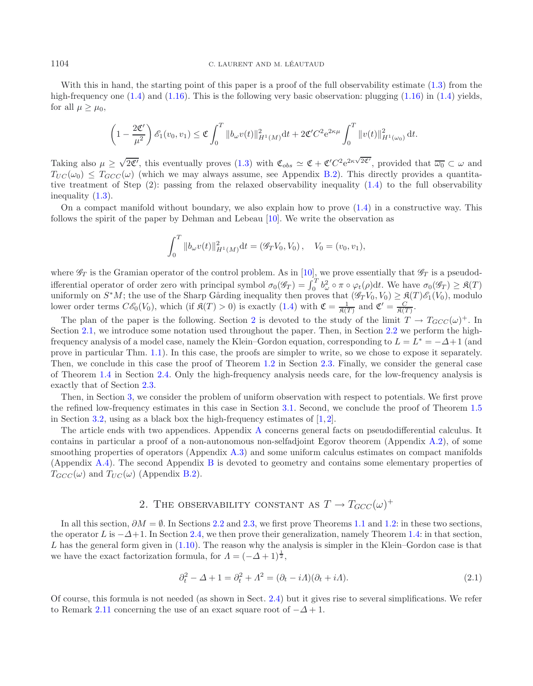#### 1104 C. LAURENT AND M. LEAUTAUD ´

With this in hand, the starting point of this paper is a proof of the full observability estimate [\(1.3\)](#page-1-0) from the high-frequency one  $(1.4)$  and  $(1.16)$ . This is the following very basic observation: plugging  $(1.16)$  in  $(1.4)$  yields, for all  $\mu > \mu_0$ ,

$$
\left(1-\frac{2\mathfrak{C}'}{\mu^2}\right)\mathscr{E}_1(v_0,v_1) \leq \mathfrak{C}\int_0^T\|b_\omega v(t)\|_{H^1(M)}^2\mathrm{d}t + 2\mathfrak{C}'C^2\mathrm{e}^{2\kappa\mu}\int_0^T\|v(t)\|_{H^1(\omega_0)}^2\,\mathrm{d}t.
$$

Taking also  $\mu \geq \sqrt{2\mathfrak{C}'}$ , this eventually proves  $(1.3)$  with  $\mathfrak{C}_{obs} \simeq \mathfrak{C} + \mathfrak{C}'C^2 e^{2\kappa \sqrt{2\mathfrak{C}'}}$ , provided that  $\overline{\omega_0} \subset \omega$  and  $T_{UC}(\omega_0) \leq T_{GCC}(\omega)$  (which we may always assume, see Appendix [B.2\)](#page-9-0). This directly provides a quantitative treatment of Step (2): passing from the relaxed observability inequality [\(1.4\)](#page-1-2) to the full observability inequality [\(1.3\)](#page-1-0).

On a compact manifold without boundary, we also explain how to prove  $(1.4)$  in a constructive way. This follows the spirit of the paper by Dehman and Lebeau [\[10\]](#page-38-10). We write the observation as

$$
\int_0^T \|b_\omega v(t)\|_{H^1(M)}^2 dt = (\mathscr{G}_T V_0, V_0), \quad V_0 = (v_0, v_1),
$$

where  $\mathscr{G}_T$  is the Gramian operator of the control problem. As in [\[10\]](#page-38-10), we prove essentially that  $\mathscr{G}_T$  is a pseudodifferential operator of order zero with principal symbol  $\sigma_0(\mathscr{G}_T) = \int_0^T b_\omega^2 \circ \pi \circ \varphi_t(\rho) dt$ . We have  $\sigma_0(\mathscr{G}_T) \geq \mathfrak{K}(T)$ uniformly on  $S^*M$ ; the use of the Sharp Gårding inequality then proves that  $(\mathscr{G}_T V_0, V_0) \geq \mathfrak{K}(T) \mathfrak{K}_1(V_0)$ , modulo lower order terms  $C\mathscr{E}_0(V_0)$ , which (if  $\mathfrak{K}(T) > 0$ ) is exactly  $(1.4)$  with  $\mathfrak{C} = \frac{1}{\mathfrak{K}(T)}$  and  $\mathfrak{C}' = \frac{C}{\mathfrak{K}(T)}$ .

The plan of the paper is the following. Section [2](#page-7-0) is devoted to the study of the limit  $T \to T_{GCC}(\omega)^+$ . In Section [2.1,](#page-8-0) we introduce some notation used throughout the paper. Then, in Section [2.2](#page-9-0) we perform the highfrequency analysis of a model case, namely the Klein–Gordon equation, corresponding to  $L = L^* = -\Delta + 1$  (and prove in particular Thm. [1.1\)](#page-3-1). In this case, the proofs are simpler to write, so we chose to expose it separately. Then, we conclude in this case the proof of Theorem [1.2](#page-3-2) in Section [2.3.](#page-13-1) Finally, we consider the general case of Theorem [1.4](#page-5-2) in Section [2.4.](#page-15-0) Only the high-frequency analysis needs care, for the low-frequency analysis is exactly that of Section [2.3.](#page-13-1)

Then, in Section [3,](#page-22-0) we consider the problem of uniform observation with respect to potentials. We first prove the refined low-frequency estimates in this case in Section [3.1.](#page-22-1) Second, we conclude the proof of Theorem [1.5](#page-5-1) in Section [3.2,](#page-25-0) using as a black box the high-frequency estimates of  $[1, 2]$  $[1, 2]$  $[1, 2]$  $[1, 2]$ .

The article ends with two appendices. Appendix [A](#page-0-1) concerns general facts on pseudodifferential calculus. It contains in particular a proof of a non-autonomous non-selfadjoint Egorov theorem (Appendix [A.2\)](#page-2-0), of some smoothing properties of operators (Appendix [A.3\)](#page-6-2) and some uniform calculus estimates on compact manifolds (Appendix [A.4\)](#page-33-0). The second Appendix [B](#page-7-0) is devoted to geometry and contains some elementary properties of  $T_{GCC}(\omega)$  and  $T_{UC}(\omega)$  (Appendix [B.2\)](#page-9-0).

# 2. THE OBSERVABILITY CONSTANT AS  $T \to T_{GCC}(\omega)^+$

<span id="page-7-0"></span>In all this section,  $\partial M = \emptyset$ . In Sections [2.2](#page-9-0) and [2.3,](#page-13-1) we first prove Theorems [1.1](#page-3-1) and [1.2:](#page-3-2) in these two sections, the operator L is  $-\Delta+1$ . In Section [2.4,](#page-15-0) we then prove their generalization, namely Theorem [1.4:](#page-5-2) in that section,  $L$  has the general form given in  $(1.10)$ . The reason why the analysis is simpler in the Klein–Gordon case is that we have the exact factorization formula, for  $\Lambda = (-\Delta + 1)^{\frac{1}{2}}$ ,

<span id="page-7-1"></span>
$$
\partial_t^2 - \Delta + 1 = \partial_t^2 + \Lambda^2 = (\partial_t - i\Lambda)(\partial_t + i\Lambda). \tag{2.1}
$$

Of course, this formula is not needed (as shown in Sect. [2.4\)](#page-15-0) but it gives rise to several simplifications. We refer to Remark [2.11](#page-18-0) concerning the use of an exact square root of  $-\Delta + 1$ .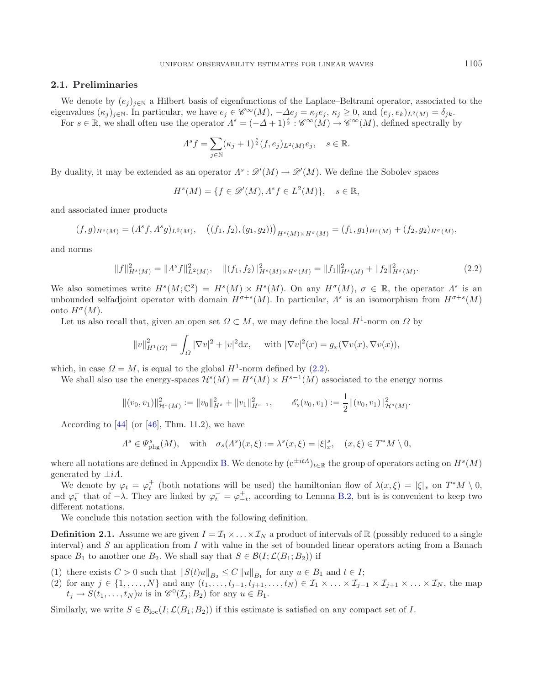# <span id="page-8-0"></span>**2.1. Preliminaries**

We denote by  $(e_i)_{i\in\mathbb{N}}$  a Hilbert basis of eigenfunctions of the Laplace–Beltrami operator, associated to the eigenvalues  $(\kappa_j)_{j\in\mathbb{N}}$ . In particular, we have  $e_j \in \mathscr{C}^{\infty}(M)$ ,  $-\Delta e_j = \kappa_j e_j$ ,  $\kappa_j \geq 0$ , and  $(e_j, e_k)_{L^2(M)} = \delta_{jk}$ .

For  $s \in \mathbb{R}$ , we shall often use the operator  $\Lambda^s = (-\Delta + 1)^{\frac{s}{2}}$ :  $\mathscr{C}^{\infty}(M) \to \mathscr{C}^{\infty}(M)$ , defined spectrally by

<span id="page-8-1"></span>
$$
\Lambda^s f = \sum_{j \in \mathbb{N}} (\kappa_j + 1)^{\frac{s}{2}} (f, e_j)_{L^2(M)} e_j, \quad s \in \mathbb{R}.
$$

By duality, it may be extended as an operator  $\Lambda^s : \mathscr{D}'(M) \to \mathscr{D}'(M)$ . We define the Sobolev spaces

$$
H^s(M) = \{ f \in \mathcal{D}'(M), A^s f \in L^2(M) \}, \quad s \in \mathbb{R},
$$

and associated inner products

$$
(f,g)_{H^s(M)} = (A^s f, A^s g)_{L^2(M)}, \quad ((f_1, f_2), (g_1, g_2)))_{H^s(M) \times H^{\sigma}(M)} = (f_1, g_1)_{H^s(M)} + (f_2, g_2)_{H^{\sigma}(M)},
$$

and norms

$$
||f||_{H^{s}(M)}^{2} = ||A^{s}f||_{L^{2}(M)}^{2}, \quad ||(f_{1}, f_{2})||_{H^{s}(M) \times H^{\sigma}(M)}^{2} = ||f_{1}||_{H^{s}(M)}^{2} + ||f_{2}||_{H^{\sigma}(M)}^{2}.
$$
\n(2.2)

We also sometimes write  $H^s(M; \mathbb{C}^2) = H^s(M) \times H^s(M)$ . On any  $H^{\sigma}(M)$ ,  $\sigma \in \mathbb{R}$ , the operator  $\Lambda^s$  is an unbounded selfadjoint operator with domain  $H^{\sigma+s}(M)$ . In particular,  $\Lambda^s$  is an isomorphism from  $H^{\sigma+s}(M)$ onto  $H^{\sigma}(M)$ .

Let us also recall that, given an open set  $\Omega \subset M$ , we may define the local  $H^1$ -norm on  $\Omega$  by

<span id="page-8-2"></span>
$$
||v||_{H^{1}(\Omega)}^{2} = \int_{\Omega} |\nabla v|^{2} + |v|^{2} dx, \quad \text{with } |\nabla v|^{2}(x) = g_{x}(\nabla v(x), \nabla v(x)),
$$

which, in case  $\Omega = M$ , is equal to the global  $H^1$ -norm defined by [\(2.2\)](#page-8-1).

We shall also use the energy-spaces  $\mathcal{H}^{s}(M) = H^{s}(M) \times H^{s-1}(M)$  associated to the energy norms

$$
\|(v_0,v_1)\|_{\mathcal{H}^s(M)}^2:=\|v_0\|_{H^s}^2+\|v_1\|_{H^{s-1}}^2,\qquad \mathscr{E}_s(v_0,v_1):=\frac{1}{2}\|(v_0,v_1)\|_{\mathcal{H}^s(M)}^2.
$$

According to  $[44]$  $[44]$  (or  $[46]$  $[46]$ , Thm. 11.2), we have

$$
\varLambda^s \in \varPsi^s_{\mathrm{phg}}(M), \quad \text{with} \quad \sigma_s(\varLambda^s)(x,\xi) := \lambda^s(x,\xi) = |\xi|_x^s, \quad (x,\xi) \in T^*M \setminus 0,
$$

where all notations are defined in Appendix [B.](#page-7-0) We denote by  $(e^{\pm itA})_{t\in\mathbb{R}}$  the group of operators acting on  $H^s(M)$ generated by  $\pm i\Lambda$ .

We denote by  $\varphi_t = \varphi_t^+$  (both notations will be used) the hamiltonian flow of  $\lambda(x, \xi) = |\xi|_x$  on  $T^*M \setminus 0$ , and  $\varphi_t^-$  that of  $-\lambda$ . They are linked by  $\varphi_t^- = \varphi_{-t}^+$ , according to Lemma [B.2,](#page-9-1) but is is convenient to keep two different notations.

We conclude this notation section with the following definition.

**Definition 2.1.** Assume we are given  $I = \mathcal{I}_1 \times \ldots \times \mathcal{I}_N$  a product of intervals of R (possibly reduced to a single interval) and  $S$  an application from  $I$  with value in the set of bounded linear operators acting from a Banach space  $B_1$  to another one  $B_2$ . We shall say that  $S \in \mathcal{B}(I; \mathcal{L}(B_1; B_2))$  if

- (1) there exists  $C > 0$  such that  $||S(t)u||_{B_2} \leq C ||u||_{B_1}$  for any  $u \in B_1$  and  $t \in I$ ;
- (2) for any  $j \in \{1, \ldots, N\}$  and any  $(t_1, \ldots, t_{j-1}, t_{j+1}, \ldots, t_N) \in \mathcal{I}_1 \times \ldots \times \mathcal{I}_{j-1} \times \mathcal{I}_{j+1} \times \ldots \times \mathcal{I}_N$ , the map  $t_i \to S(t_1,\ldots,t_N)u$  is in  $\mathscr{C}^0(\mathcal{I}_i;B_2)$  for any  $u \in B_1$ .

Similarly, we write  $S \in \mathcal{B}_{\text{loc}}(I; \mathcal{L}(B_1; B_2))$  if this estimate is satisfied on any compact set of I.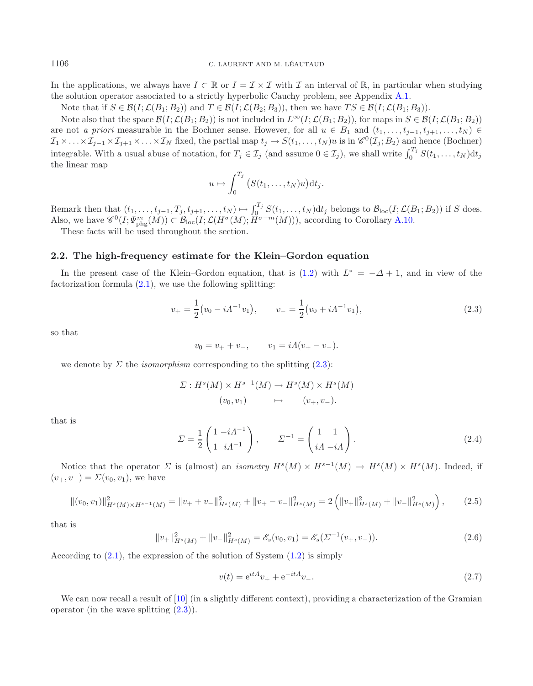In the applications, we always have  $I \subset \mathbb{R}$  or  $I = \mathcal{I} \times \mathcal{I}$  with  $\mathcal{I}$  an interval of  $\mathbb{R}$ , in particular when studying the solution operator associated to a strictly hyperbolic Cauchy problem, see Appendix [A.1.](#page-0-2)

Note that if  $S \in \mathcal{B}(I; \mathcal{L}(B_1; B_2))$  and  $T \in \mathcal{B}(I; \mathcal{L}(B_2; B_3))$ , then we have  $TS \in \mathcal{B}(I; \mathcal{L}(B_1; B_3))$ .

Note also that the space  $\mathcal{B}(I; \mathcal{L}(B_1; B_2))$  is not included in  $L^{\infty}(I; \mathcal{L}(B_1; B_2))$ , for maps in  $S \in \mathcal{B}(I; \mathcal{L}(B_1; B_2))$ are not *a priori* measurable in the Bochner sense. However, for all  $u \in B_1$  and  $(t_1,\ldots,t_{i-1},t_{i+1},\ldots,t_N)$  $\mathcal{I}_1 \times \ldots \times \mathcal{I}_{j-1} \times \mathcal{I}_{j+1} \times \ldots \times \mathcal{I}_N$  fixed, the partial map  $t_j \to S(t_1,\ldots,t_N)u$  is in  $\mathscr{C}^0(\mathcal{I}_j;B_2)$  and hence (Bochner) integrable. With a usual abuse of notation, for  $T_j \in \mathcal{I}_j$  (and assume  $0 \in \mathcal{I}_j$ ), we shall write  $\int_0^{T_j} S(t_1,\ldots,t_N) dt_j$ the linear map

<span id="page-9-2"></span>
$$
u \mapsto \int_0^{T_j} \big(S(t_1,\ldots,t_N)u\big) \mathrm{d} t_j.
$$

Remark then that  $(t_1,\ldots,t_{j-1},T_j,t_{j+1},\ldots,t_N) \mapsto \int_0^{T_j} S(t_1,\ldots,t_N) dt_j$  belongs to  $\mathcal{B}_{loc}(I;\mathcal{L}(B_1;B_2))$  if S does. Also, we have  $\mathscr{C}^0(I; \Psi_{\text{phg}}^m(M)) \subset \mathcal{B}_{\text{loc}}(I; \mathcal{L}(H^{\sigma}(M); H^{\sigma-m}(M))),$  according to Corollary [A.10.](#page-33-1)

These facts will be used throughout the section.

#### <span id="page-9-0"></span>**2.2. The high-frequency estimate for the Klein–Gordon equation**

<span id="page-9-5"></span>In the present case of the Klein–Gordon equation, that is [\(1.2\)](#page-1-1) with  $L^* = -\Delta + 1$ , and in view of the factorization formula  $(2.1)$ , we use the following splitting:

$$
v_{+} = \frac{1}{2} (v_0 - i \Lambda^{-1} v_1), \qquad v_{-} = \frac{1}{2} (v_0 + i \Lambda^{-1} v_1), \tag{2.3}
$$

so that

$$
v_0 = v_+ + v_-, \qquad v_1 = iA(v_+ - v_-).
$$

we denote by  $\Sigma$  the *isomorphism* corresponding to the splitting  $(2.3)$ :

$$
\Sigma: H^s(M) \times H^{s-1}(M) \to H^s(M) \times H^s(M)
$$
  
 $(v_0, v_1) \mapsto (v_+, v_-).$ 

<span id="page-9-3"></span>that is

<span id="page-9-4"></span>
$$
\Sigma = \frac{1}{2} \begin{pmatrix} 1 - i\Lambda^{-1} \\ 1 & i\Lambda^{-1} \end{pmatrix}, \qquad \Sigma^{-1} = \begin{pmatrix} 1 & 1 \\ i\Lambda - i\Lambda \end{pmatrix}.
$$
 (2.4)

Notice that the operator  $\Sigma$  is (almost) an *isometry*  $H^s(M) \times H^{s-1}(M) \to H^s(M) \times H^s(M)$ . Indeed, if  $(v_+, v_-) = \Sigma(v_0, v_1)$ , we have

$$
\|(v_0, v_1)\|_{H^s(M)\times H^{s-1}(M)}^2 = \|v_+ + v_-\|_{H^s(M)}^2 + \|v_+ - v_-\|_{H^s(M)}^2 = 2\left(\|v_+\|_{H^s(M)}^2 + \|v_-\|_{H^s(M)}^2\right),\tag{2.5}
$$

that is

$$
||v_{+}||_{H^{s}(M)}^{2} + ||v_{-}||_{H^{s}(M)}^{2} = \mathscr{E}_{s}(v_{0}, v_{1}) = \mathscr{E}_{s}(\Sigma^{-1}(v_{+}, v_{-})).
$$
\n(2.6)

According to  $(2.1)$ , the expression of the solution of System  $(1.2)$  is simply

$$
v(t) = e^{itA}v_{+} + e^{-itA}v_{-}.
$$
\n(2.7)

<span id="page-9-1"></span>We can now recall a result of [\[10\]](#page-38-10) (in a slightly different context), providing a characterization of the Gramian operator (in the wave splitting  $(2.3)$ ).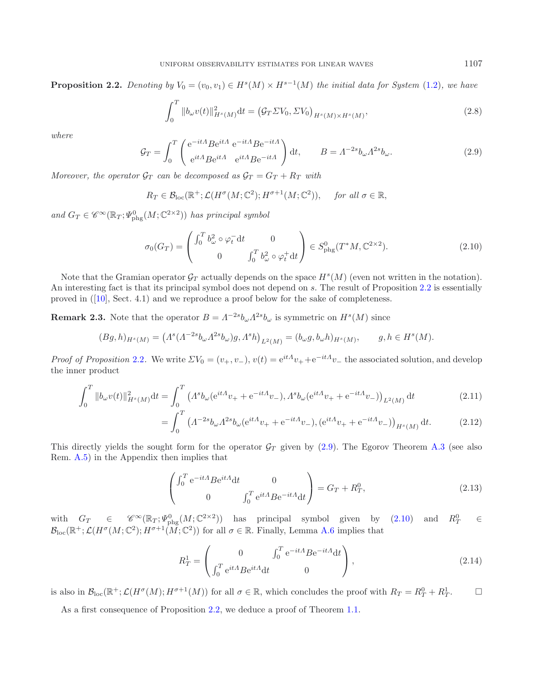<span id="page-10-0"></span>**Proposition 2.2.** *Denoting by*  $V_0 = (v_0, v_1) \in H^s(M) \times H^{s-1}(M)$  *the initial data for System* [\(1.2\)](#page-1-1)*, we have* 

<span id="page-10-1"></span>
$$
\int_0^T \|b_{\omega}v(t)\|_{H^s(M)}^2 dt = \left(\mathcal{G}_T \Sigma V_0, \Sigma V_0\right)_{H^s(M) \times H^s(M)},\tag{2.8}
$$

*where*

$$
\mathcal{G}_T = \int_0^T \begin{pmatrix} e^{-itA} B e^{itA} & e^{-itA} B e^{-itA} \\ e^{itA} B e^{itA} & e^{itA} B e^{-itA} \end{pmatrix} dt, \qquad B = \Lambda^{-2s} b_\omega \Lambda^{2s} b_\omega.
$$
 (2.9)

*Moreover, the operator*  $\mathcal{G}_T$  *can be decomposed as*  $\mathcal{G}_T = G_T + R_T$  *with* 

$$
R_T \in \mathcal{B}_{loc}(\mathbb{R}^+;\mathcal{L}(H^{\sigma}(M;\mathbb{C}^2);H^{\sigma+1}(M;\mathbb{C}^2)), \text{ for all } \sigma \in \mathbb{R},
$$

and  $G_T \in \mathscr{C}^{\infty}(\mathbb{R}_T; \Psi^0_{\text{phg}}(M; \mathbb{C}^{2 \times 2}))$  has principal symbol

$$
\sigma_0(G_T) = \begin{pmatrix} \int_0^T b_\omega^2 \circ \varphi_t^{\top} dt & 0\\ 0 & \int_0^T b_\omega^2 \circ \varphi_t^{\top} dt \end{pmatrix} \in S_{\text{phg}}^0(T^*M, \mathbb{C}^{2 \times 2}). \tag{2.10}
$$

Note that the Gramian operator  $\mathcal{G}_T$  actually depends on the space  $H^s(M)$  (even not written in the notation). An interesting fact is that its principal symbol does not depend on s. The result of Proposition [2.2](#page-9-1) is essentially proved in ([\[10](#page-38-10)], Sect. 4.1) and we reproduce a proof below for the sake of completeness.

<span id="page-10-3"></span>**Remark 2.3.** Note that the operator  $B = \Lambda^{-2s} b_{\omega} \Lambda^{2s} b_{\omega}$  is symmetric on  $H^s(M)$  since

$$
(Bg, h)_{H^s(M)} = (A^s(A^{-2s}b_\omega A^{2s}b_\omega)g, A^s h)_{L^2(M)} = (b_\omega g, b_\omega h)_{H^s(M)}, \qquad g, h \in H^s(M).
$$

*Proof of Proposition* [2.2](#page-9-1). We write  $\Sigma V_0 = (v_+, v_-), v(t) = e^{it\Lambda}v_+ + e^{-it\Lambda}v_-$  the associated solution, and develop the inner product

$$
\int_0^T \|b_\omega v(t)\|_{H^s(M)}^2 dt = \int_0^T \left( A^s b_\omega (e^{itA} v_+ + e^{-itA} v_-), A^s b_\omega (e^{itA} v_+ + e^{-itA} v_-) \right)_{L^2(M)} dt \tag{2.11}
$$

$$
= \int_0^T \left( \Lambda^{-2s} b_\omega \Lambda^{2s} b_\omega (e^{it\Lambda} v_+ + e^{-it\Lambda} v_-), (e^{it\Lambda} v_+ + e^{-it\Lambda} v_-) \right)_{H^s(M)} dt. \tag{2.12}
$$

This directly yields the sought form for the operator  $\mathcal{G}_T$  given by [\(2.9\)](#page-10-0). The Egorov Theorem [A.3](#page-4-1) (see also Rem. [A.5\)](#page-5-1) in the Appendix then implies that

$$
\begin{pmatrix}\n\int_0^T e^{-itA} B e^{itA} dt & 0 \\
0 & \int_0^T e^{itA} B e^{-itA} dt\n\end{pmatrix} = G_T + R_T^0,
$$
\n(2.13)

with  $G_T \in \mathscr{C}^{\infty}(\mathbb{R}_T; \Psi_{\text{phg}}^0(M; \mathbb{C}^{2 \times 2}))$  has principal symbol given by  $(2.10)$  and  $R_T^0 \in$  $\mathcal{B}_{\text{loc}}(\mathbb{R}^+;\mathcal{L}(H^\sigma(M;\mathbb{C}^2);H^{\sigma+1}(M;\mathbb{C}^2))$  for all  $\sigma \in \mathbb{R}$ . Finally, Lemma [A.6](#page-6-0) implies that

$$
R_T^1 = \begin{pmatrix} 0 & \int_0^T e^{-itA} B e^{-itA} dt \\ \int_0^T e^{itA} B e^{itA} dt & 0 \end{pmatrix},
$$
\n(2.14)

is also in  $\mathcal{B}_{loc}(\mathbb{R}^+;\mathcal{L}(H^{\sigma}(M);H^{\sigma+1}(M))$  for all  $\sigma \in \mathbb{R}$ , which concludes the proof with  $R_T = R_T^0 + R_T^1$ .  $\Box$ 

As a first consequence of Proposition [2.2,](#page-9-1) we deduce a proof of Theorem [1.1.](#page-3-1)

<span id="page-10-2"></span>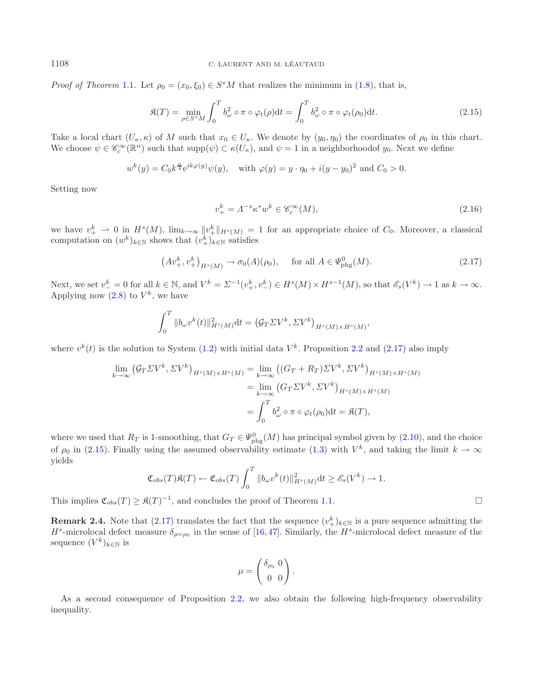<span id="page-11-3"></span>*Proof of Theorem* [1.1](#page-3-1). Let  $\rho_0 = (x_0, \xi_0) \in S^*M$  that realizes the minimum in [\(1.8\)](#page-3-0), that is,

<span id="page-11-2"></span>
$$
\mathfrak{K}(T) = \min_{\rho \in S^*M} \int_0^T b_\omega^2 \circ \pi \circ \varphi_t(\rho) \mathrm{d}t = \int_0^T b_\omega^2 \circ \pi \circ \varphi_t(\rho_0) \mathrm{d}t.
$$
 (2.15)

Take a local chart  $(U_{\kappa}, \kappa)$  of M such that  $x_0 \in U_{\kappa}$ . We denote by  $(y_0, \eta_0)$  the coordinates of  $\rho_0$  in this chart. We choose  $\psi \in \mathscr{C}_c^{\infty}(\mathbb{R}^n)$  such that  $\text{supp}(\psi) \subset \kappa(U_\kappa)$ , and  $\psi = 1$  in a neighborhood of  $y_0$ . Next we define

$$
w^{k}(y) = C_0 k^{\frac{n}{4}} e^{ik\varphi(y)} \psi(y)
$$
, with  $\varphi(y) = y \cdot \eta_0 + i(y - y_0)^2$  and  $C_0 > 0$ .

Setting now

$$
v_+^k = \Lambda^{-s} \kappa^* w^k \in \mathcal{C}_c^\infty(M),\tag{2.16}
$$

we have  $v_+^k \rightharpoonup 0$  in  $H^s(M)$ ,  $\lim_{k\to\infty} ||v_+^k||_{H^s(M)} = 1$  for an appropriate choice of  $C_0$ . Moreover, a classical computation on  $(w^k)_{k \in \mathbb{N}}$  shows that  $(v^k_+)_{k \in \mathbb{N}}$  satisfies

$$
(Av_{+}^{k}, v_{+}^{k})_{H^{s}(M)} \to \sigma_{0}(A)(\rho_{0}), \quad \text{ for all } A \in \Psi_{\text{phg}}^{0}(M).
$$
 (2.17)

Next, we set  $v_{-}^{k} = 0$  for all  $k \in \mathbb{N}$ , and  $V^{k} = \Sigma^{-1}(v_{+}^{k}, v_{-}^{k}) \in H^{s}(M) \times H^{s-1}(M)$ , so that  $\mathscr{E}_{s}(V^{k}) \to 1$  as  $k \to \infty$ . Applying now  $(2.8)$  to  $V^k$ , we have

$$
\int_0^T \|b_\omega v^k(t)\|_{H^s(M)}^2 \mathrm{d}t = \left(\mathcal{G}_T \Sigma V^k, \Sigma V^k\right)_{H^s(M) \times H^s(M)},
$$

where  $v^k(t)$  is the solution to System [\(1.2\)](#page-1-1) with initial data  $V^k$ . Proposition [2.2](#page-9-1) and [\(2.17\)](#page-11-2) also imply

$$
\lim_{k \to \infty} (\mathcal{G}_T \Sigma V^k, \Sigma V^k)_{H^s(M) \times H^s(M)} = \lim_{k \to \infty} ((G_T + R_T) \Sigma V^k, \Sigma V^k)_{H^s(M) \times H^s(M)}
$$
  

$$
= \lim_{k \to \infty} (G_T \Sigma V^k, \Sigma V^k)_{H^s(M) \times H^s(M)}
$$
  

$$
= \int_0^T b_\omega^2 \circ \pi \circ \varphi_t(\rho_0) dt = \mathfrak{K}(T),
$$

where we used that  $R_T$  is 1-smoothing, that  $G_T \in \Psi_{\text{phg}}^0(M)$  has principal symbol given by  $(2.10)$ , and the choice of  $\rho_0$  in [\(2.15\)](#page-11-3). Finally using the assumed observability estimate [\(1.3\)](#page-1-0) with  $V^k$ , and taking the limit  $k \to \infty$ yields

$$
\mathfrak{C}_{obs}(T)\mathfrak{K}(T) \leftarrow \mathfrak{C}_{obs}(T) \int_0^T \|b_\omega v^k(t)\|_{H^s(M)}^2 \, \mathrm{d}t \ge \mathscr{E}_s(V^k) \to 1.
$$

This implies  $\mathfrak{C}_{obs}(T) \geq \mathfrak{K}(T)^{-1}$ , and concludes the proof of Theorem [1.1.](#page-3-1)

<span id="page-11-0"></span>**Remark 2.4.** Note that  $(2.17)$  translates the fact that the sequence  $(v^k_+)_{k \in \mathbb{N}}$  is a pure sequence admitting the  $H^s$ -microlocal defect measure  $\delta_{\rho=\rho_0}$  in the sense of [\[16,](#page-38-7)[47\]](#page-39-3). Similarly, the  $H^s$ -microlocal defect measure of the sequence  $(V^k)_{k\in\mathbb{N}}$  is

$$
\mu = \begin{pmatrix} \delta_{\rho_0} & 0 \\ 0 & 0 \end{pmatrix}.
$$

<span id="page-11-1"></span>As a second consequence of Proposition [2.2,](#page-9-1) we also obtain the following high-frequency observability inequality.

 $\Box$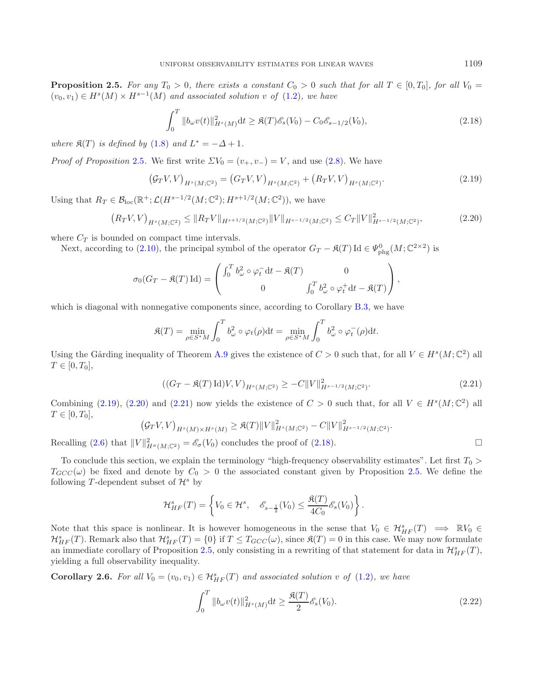**Proposition 2.5.** For any  $T_0 > 0$ , there exists a constant  $C_0 > 0$  such that for all  $T \in [0, T_0]$ , for all  $V_0 =$  $(v_0, v_1) \in H^s(M) \times H^{s-1}(M)$  and associated solution v of  $(1.2)$ , we have

<span id="page-12-4"></span><span id="page-12-2"></span>
$$
\int_0^T \|b_\omega v(t)\|_{H^s(M)}^2 dt \ge \mathfrak{K}(T)\mathcal{E}_s(V_0) - C_0 \mathcal{E}_{s-1/2}(V_0),\tag{2.18}
$$

*where*  $\mathfrak{K}(T)$  *is defined by* [\(1.8\)](#page-3-0) *and*  $L^* = -\Delta + 1$ *.* 

*Proof of Proposition* [2.5](#page-11-1). We first write  $\Sigma V_0 = (v_+, v_-) = V$ , and use [\(2.8\)](#page-10-2). We have

$$
(\mathcal{G}_T V, V)_{H^s(M; \mathbb{C}^2)} = (G_T V, V)_{H^s(M; \mathbb{C}^2)} + (R_T V, V)_{H^s(M; \mathbb{C}^2)}.
$$
\n(2.19)

Using that  $R_T \in \mathcal{B}_{loc}(\mathbb{R}^+;\mathcal{L}(H^{s-1/2}(M;\mathbb{C}^2);H^{s+1/2}(M;\mathbb{C}^2)),$  we have

$$
(R_T V, V)_{H^s(M; \mathbb{C}^2)} \leq \|R_T V\|_{H^{s+1/2}(M; \mathbb{C}^2)} \|V\|_{H^{s-1/2}(M; \mathbb{C}^2)} \leq C_T \|V\|_{H^{s-1/2}(M; \mathbb{C}^2)}^2,
$$
\n(2.20)

where  $C_T$  is bounded on compact time intervals.

<span id="page-12-0"></span> $\left($ 

Next, according to [\(2.10\)](#page-10-1), the principal symbol of the operator  $G_T - \mathfrak{K}(T)$  Id  $\in \Psi_{\text{phg}}^0(M; \mathbb{C}^{2 \times 2})$  is

$$
\sigma_0(G_T - \mathfrak{K}(T) \operatorname{Id}) = \begin{pmatrix} \int_0^T b_\omega^2 \circ \varphi_t^{\scriptscriptstyle -} \mathrm{d}t - \mathfrak{K}(T) & 0 \\ 0 & \int_0^T b_\omega^2 \circ \varphi_t^{\scriptscriptstyle +} \mathrm{d}t - \mathfrak{K}(T) \end{pmatrix},
$$

which is diagonal with nonnegative components since, according to Corollary [B.3,](#page-10-3) we have

$$
\mathfrak{K}(T) = \min_{\rho \in S^*M} \int_0^T b_\omega^2 \circ \varphi_t(\rho) \mathrm{d}t = \min_{\rho \in S^*M} \int_0^T b_\omega^2 \circ \varphi_t^-(\rho) \mathrm{d}t.
$$

Using the Gårding inequality of Theorem [A.9](#page-33-2) gives the existence of  $C > 0$  such that, for all  $V \in H<sup>s</sup>(M; \mathbb{C}^2)$  all  $T \in [0, T_0],$ 

$$
((G_T - \mathfrak{K}(T) \mathrm{Id})V, V)_{H^s(M; \mathbb{C}^2)} \ge -C\|V\|_{H^{s-1/2}(M; \mathbb{C}^2)}^2.
$$
\n(2.21)

Combining [\(2.19\)](#page-12-1), [\(2.20\)](#page-12-2) and [\(2.21\)](#page-12-3) now yields the existence of  $C > 0$  such that, for all  $V \in H<sup>s</sup>(M; \mathbb{C}^2)$  all  $T \in [0, T_0],$ 

$$
\mathcal{G}_T V, V)_{H^s(M) \times H^s(M)} \geq \mathfrak{K}(T) \|V\|_{H^s(M; \mathbb{C}^2)}^2 - C \|V\|_{H^{s-1/2}(M; \mathbb{C}^2)}^2.
$$

Recalling [\(2.6\)](#page-9-3) that  $||V||^2_{H^{\sigma}(M; \mathbb{C}^2)} = \mathscr{E}_{\sigma}(V_0)$  concludes the proof of [\(2.18\)](#page-12-4).

To conclude this section, we explain the terminology "high-frequency observability estimates". Let first  $T_0$  >  $T_{GCC}(\omega)$  be fixed and denote by  $C_0 > 0$  the associated constant given by Proposition [2.5.](#page-11-1) We define the following T-dependent subset of  $\mathcal{H}^s$  by

$$
\mathcal{H}_{HF}^s(T) = \left\{ V_0 \in \mathcal{H}^s, \quad \mathscr{E}_{s-\frac{1}{2}}(V_0) \leq \frac{\mathfrak{K}(T)}{4C_0} \mathscr{E}_s(V_0) \right\}.
$$

Note that this space is nonlinear. It is however homogeneous in the sense that  $V_0 \in H^s_{HF}(T) \implies \mathbb{R}V_0 \in$  $\mathcal{H}_{HF}^s(T)$ . Remark also that  $\mathcal{H}_{HF}^s(T) = \{0\}$  if  $T \leq T_{GCC}(\omega)$ , since  $\mathfrak{K}(T) = 0$  in this case. We may now formulate an immediate corollary of Proposition [2.5,](#page-11-1) only consisting in a rewriting of that statement for data in  $\mathcal{H}_{HF}^s(T)$ , yielding a full observability inequality.

**Corollary 2.6.** For all  $V_0 = (v_0, v_1) \in \mathcal{H}_{HF}^s(T)$  and associated solution v of [\(1.2\)](#page-1-1), we have

$$
\int_0^T \Vert b_\omega v(t) \Vert_{H^s(M)}^2 dt \ge \frac{\mathfrak{K}(T)}{2} \mathcal{E}_s(V_0). \tag{2.22}
$$

<span id="page-12-3"></span><span id="page-12-1"></span>

<span id="page-12-5"></span> $\Box$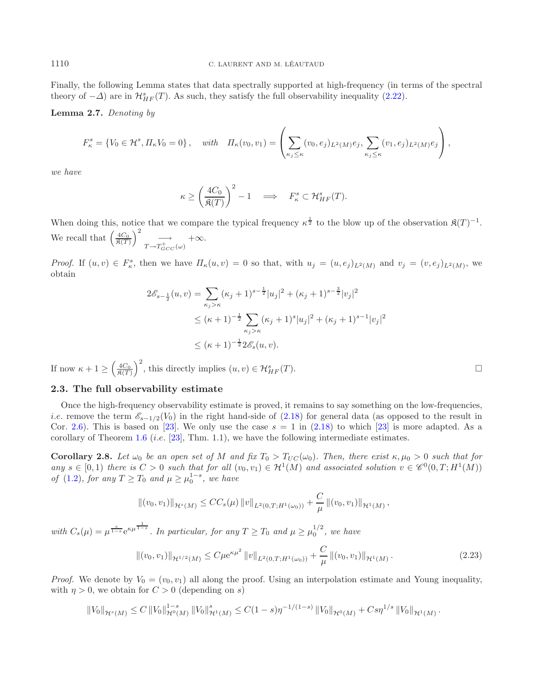Finally, the following Lemma states that data spectrally supported at high-frequency (in terms of the spectral theory of  $-\Delta$ ) are in  $\mathcal{H}_{HF}^s(T)$ . As such, they satisfy the full observability inequality [\(2.22\)](#page-12-5).

**Lemma 2.7.** *Denoting by*

$$
F_{\kappa}^{s} = \{V_{0} \in \mathcal{H}^{s}, \Pi_{\kappa}V_{0} = 0\}, \quad \text{with} \quad \Pi_{\kappa}(v_{0}, v_{1}) = \left(\sum_{\kappa_{j} \leq \kappa} (v_{0}, e_{j})_{L^{2}(M)} e_{j}, \sum_{\kappa_{j} \leq \kappa} (v_{1}, e_{j})_{L^{2}(M)} e_{j}\right),
$$

*we have*

<span id="page-13-0"></span>
$$
\kappa \ge \left(\frac{4C_0}{\mathfrak{K}(T)}\right)^2 - 1 \quad \Longrightarrow \quad F^s_{\kappa} \subset \mathcal{H}^s_{HF}(T).
$$

When doing this, notice that we compare the typical frequency  $\kappa^{\frac{1}{2}}$  to the blow up of the observation  $\mathfrak{K}(T)^{-1}$ . We recall that  $\left(\frac{4C_0}{\mathfrak{K}(T)}\right)^2 \xrightarrow[T \to T_{GCC}^+(\omega)]$ +∞.

*Proof.* If  $(u, v) \in F_\kappa^s$ , then we have  $\Pi_\kappa(u, v) = 0$  so that, with  $u_j = (u, e_j)_{L^2(M)}$  and  $v_j = (v, e_j)_{L^2(M)}$ , we obtain

$$
2\mathscr{E}_{s-\frac{1}{2}}(u,v) = \sum_{\kappa_j > \kappa} (\kappa_j + 1)^{s-\frac{1}{2}} |u_j|^2 + (\kappa_j + 1)^{s-\frac{3}{2}} |v_j|^2
$$
  
\n
$$
\leq (\kappa + 1)^{-\frac{1}{2}} \sum_{\kappa_j > \kappa} (\kappa_j + 1)^s |u_j|^2 + (\kappa_j + 1)^{s-1} |v_j|^2
$$
  
\n
$$
\leq (\kappa + 1)^{-\frac{1}{2}} 2\mathscr{E}_s(u,v).
$$

If now  $\kappa + 1 \ge \left(\frac{4C_0}{\mathfrak{K}(T)}\right)^2$ , this directly implies  $(u, v) \in \mathcal{H}_{HF}^s(T)$ .

### <span id="page-13-1"></span>**2.3. The full observability estimate**

Once the high-frequency observability estimate is proved, it remains to say something on the low-frequencies, *i.e.* remove the term  $\mathcal{E}_{s-1/2}(V_0)$  in the right hand-side of [\(2.18\)](#page-12-4) for general data (as opposed to the result in Cor. [2.6\)](#page-12-0). This is based on [\[23\]](#page-39-6). We only use the case  $s = 1$  in [\(2.18\)](#page-12-4) to which [\[23](#page-39-6)] is more adapted. As a corollary of Theorem [1.6](#page-6-0) (*i.e.* [\[23](#page-39-6)], Thm. 1.1), we have the following intermediate estimates.

<span id="page-13-3"></span>**Corollary 2.8.** Let  $\omega_0$  be an open set of M and fix  $T_0 > T_{UC}(\omega_0)$ . Then, there exist  $\kappa, \mu_0 > 0$  such that for *any*  $s \in [0,1)$  *there is*  $C > 0$  *such that for all*  $(v_0, v_1) \in H^1(M)$  *and associated solution*  $v \in \mathscr{C}^0(0,T;H^1(M))$ *of* [\(1.2\)](#page-1-1)*, for any*  $T \geq T_0$  *and*  $\mu \geq \mu_0^{1-s}$ *, we have* 

$$
\|(v_0,v_1)\|_{\mathcal{H}^s(M)} \leq CC_s(\mu) \|v\|_{L^2(0,T;H^1(\omega_0))} + \frac{C}{\mu} \|(v_0,v_1)\|_{\mathcal{H}^1(M)},
$$

with  $C_s(\mu) = \mu^{\frac{s}{1-s}} e^{\kappa \mu^{\frac{1}{1-s}}}$ . In particular, for any  $T \ge T_0$  and  $\mu \ge \mu_0^{1/2}$ , we have

$$
\|(v_0, v_1)\|_{\mathcal{H}^{1/2}(M)} \le C\mu e^{\kappa \mu^2} \|v\|_{L^2(0,T;H^1(\omega_0))} + \frac{C}{\mu} \|(v_0, v_1)\|_{\mathcal{H}^1(M)}.
$$
\n(2.23)

<span id="page-13-2"></span>*Proof.* We denote by  $V_0 = (v_0, v_1)$  all along the proof. Using an interpolation estimate and Young inequality, with  $\eta > 0$ , we obtain for  $C > 0$  (depending on s)

$$
||V_0||_{\mathcal{H}^s(M)} \leq C ||V_0||_{\mathcal{H}^0(M)}^{1-s} ||V_0||_{\mathcal{H}^1(M)}^s \leq C(1-s)\eta^{-1/(1-s)} ||V_0||_{\mathcal{H}^0(M)} + Cs\eta^{1/s} ||V_0||_{\mathcal{H}^1(M)}.
$$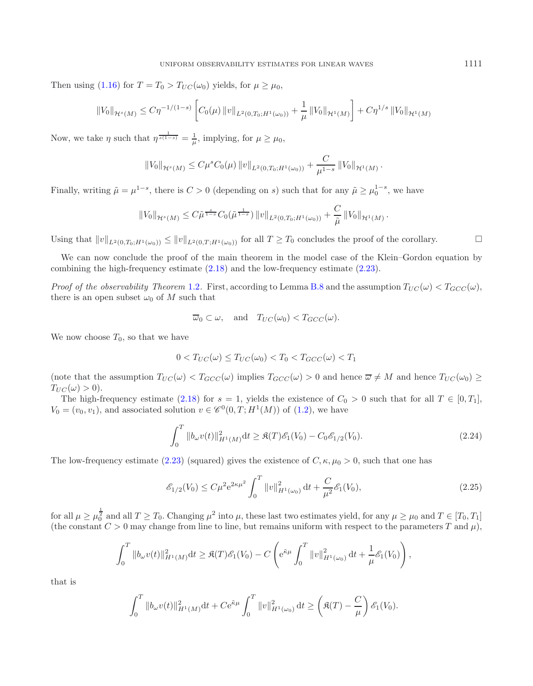Then using [\(1.16\)](#page-6-1) for  $T = T_0 > T_{UC}(\omega_0)$  yields, for  $\mu \ge \mu_0$ ,

$$
||V_0||_{\mathcal{H}^s(M)} \le C\eta^{-1/(1-s)} \left[ C_0(\mu) ||v||_{L^2(0,T_0;H^1(\omega_0))} + \frac{1}{\mu} ||V_0||_{\mathcal{H}^1(M)} \right] + C\eta^{1/s} ||V_0||_{\mathcal{H}^1(M)}
$$

Now, we take  $\eta$  such that  $\eta^{\frac{1}{s(1-s)}} = \frac{1}{\mu}$ , implying, for  $\mu \ge \mu_0$ ,

$$
||V_0||_{\mathcal{H}^s(M)} \leq C\mu^s C_0(\mu) ||v||_{L^2(0,T_0;H^1(\omega_0))} + \frac{C}{\mu^{1-s}} ||V_0||_{\mathcal{H}^1(M)}.
$$

Finally, writing  $\tilde{\mu} = \mu^{1-s}$ , there is  $C > 0$  (depending on s) such that for any  $\tilde{\mu} \ge \mu_0^{1-s}$ , we have

$$
||V_0||_{\mathcal{H}^s(M)} \leq C\tilde{\mu}^{\frac{s}{1-s}} C_0(\tilde{\mu}^{\frac{1}{1-s}}) ||v||_{L^2(0,T_0;H^1(\omega_0))} + \frac{C}{\tilde{\mu}} ||V_0||_{\mathcal{H}^1(M)}.
$$

Using that  $||v||_{L^2(0,T_0;H^1(\omega_0))} \le ||v||_{L^2(0,T;H^1(\omega_0))}$  for all  $T \ge T_0$  concludes the proof of the corollary.

We can now conclude the proof of the main theorem in the model case of the Klein–Gordon equation by combining the high-frequency estimate [\(2.18\)](#page-12-4) and the low-frequency estimate [\(2.23\)](#page-13-2).

*Proof of the observability Theorem* [1.2](#page-3-2). First, according to Lemma [B.8](#page-13-3) and the assumption  $T_{UC}(\omega) < T_{GCC}(\omega)$ , there is an open subset  $\omega_0$  of M such that

$$
\overline{\omega}_0 \subset \omega
$$
, and  $T_{UC}(\omega_0) < T_{GCC}(\omega)$ .

We now choose  $T_0$ , so that we have

$$
0 < T_{UC}(\omega) \le T_{UC}(\omega_0) < T_0 < T_{GCC}(\omega) < T_1
$$

(note that the assumption  $T_{UC}(\omega) < T_{GCC}(\omega)$  implies  $T_{GCC}(\omega) > 0$  and hence  $\overline{\omega} \neq M$  and hence  $T_{UC}(\omega_0) \geq$  $T_{UC}(\omega) > 0$ ).

The high-frequency estimate [\(2.18\)](#page-12-4) for  $s = 1$ , yields the existence of  $C_0 > 0$  such that for all  $T \in [0, T_1]$ ,  $V_0 = (v_0, v_1)$ , and associated solution  $v \in \mathscr{C}^0(0,T;H^1(M))$  of [\(1.2\)](#page-1-1), we have

$$
\int_0^T \|b_\omega v(t)\|_{H^1(M)}^2 dt \ge \mathfrak{K}(T)\mathcal{E}_1(V_0) - C_0 \mathcal{E}_{1/2}(V_0). \tag{2.24}
$$

The low-frequency estimate [\(2.23\)](#page-13-2) (squared) gives the existence of  $C, \kappa, \mu_0 > 0$ , such that one has

$$
\mathcal{E}_{1/2}(V_0) \le C\mu^2 e^{2\kappa \mu^2} \int_0^T \|v\|_{H^1(\omega_0)}^2 dt + \frac{C}{\mu^2} \mathcal{E}_1(V_0),\tag{2.25}
$$

for all  $\mu \ge \mu_0^{\frac{1}{2}}$  and all  $T \ge T_0$ . Changing  $\mu^2$  into  $\mu$ , these last two estimates yield, for any  $\mu \ge \mu_0$  and  $T \in [T_0, T_1]$ (the constant  $C > 0$  may change from line to line, but remains uniform with respect to the parameters T and  $\mu$ ),

$$
\int_0^T \|b_\omega v(t)\|_{H^1(M)}^2 \, \mathrm{d}t \geq \Re(T)\mathscr{E}_1(V_0) - C \left( e^{\tilde{\kappa}\mu} \int_0^T \|v\|_{H^1(\omega_0)}^2 \, \mathrm{d}t + \frac{1}{\mu} \mathscr{E}_1(V_0) \right),
$$

that is

$$
\int_0^T \|b_\omega v(t)\|_{H^1(M)}^2 \mathrm{d}t + C e^{\tilde{\kappa}\mu} \int_0^T \|v\|_{H^1(\omega_0)}^2 \, \mathrm{d}t \ge \left(\Re(T) - \frac{C}{\mu}\right) \mathscr{E}_1(V_0).
$$

 $\Box$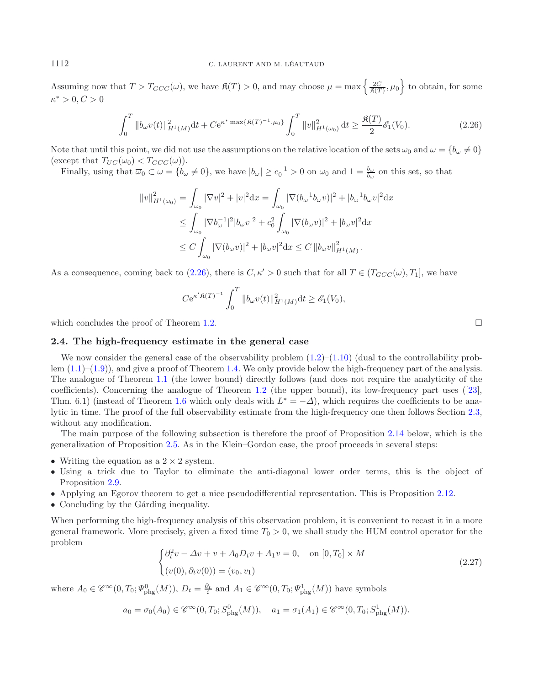#### 1112 C. LAURENT AND M. LÉAUTAUD

Assuming now that  $T > T_{GCC}(\omega)$ , we have  $\mathfrak{K}(T) > 0$ , and may choose  $\mu = \max\left\{\frac{2C}{\mathfrak{K}(T)}, \mu_0\right\}$  to obtain, for some  $\kappa^* > 0, C > 0$ 

$$
\int_0^T \|b_\omega v(t)\|_{H^1(M)}^2 dt + C e^{\kappa^* \max\{\mathfrak{K}(T)^{-1}, \mu_0\}} \int_0^T \|v\|_{H^1(\omega_0)}^2 dt \ge \frac{\mathfrak{K}(T)}{2} \mathcal{E}_1(V_0). \tag{2.26}
$$

<span id="page-15-1"></span>Note that until this point, we did not use the assumptions on the relative location of the sets  $\omega_0$  and  $\omega = \{b_\omega \neq 0\}$ (except that  $T_{UC}(\omega_0) < T_{GCC}(\omega)$ ).

Finally, using that  $\overline{\omega}_0 \subset \omega = \{b_\omega \neq 0\}$ , we have  $|b_\omega| \ge c_0^{-1} > 0$  on  $\omega_0$  and  $1 = \frac{b_\omega}{b_\omega}$  on this set, so that

$$
||v||_{H^1(\omega_0)}^2 = \int_{\omega_0} |\nabla v|^2 + |v|^2 dx = \int_{\omega_0} |\nabla (b_{\omega}^{-1} b_{\omega} v)|^2 + |b_{\omega}^{-1} b_{\omega} v|^2 dx
$$
  
\n
$$
\leq \int_{\omega_0} |\nabla b_{\omega}^{-1}|^2 |b_{\omega} v|^2 + c_0^2 \int_{\omega_0} |\nabla (b_{\omega} v)|^2 + |b_{\omega} v|^2 dx
$$
  
\n
$$
\leq C \int_{\omega_0} |\nabla (b_{\omega} v)|^2 + |b_{\omega} v|^2 dx \leq C ||b_{\omega} v||_{H^1(M)}^2.
$$

As a consequence, coming back to [\(2.26\)](#page-15-1), there is  $C, \kappa' > 0$  such that for all  $T \in (T_{GCC}(\omega), T_1]$ , we have

$$
C e^{\kappa' \mathfrak{K}(T)^{-1}} \int_0^T \|b_\omega v(t)\|_{H^1(M)}^2 \mathrm{d}t \geq \mathscr{E}_1(V_0),
$$

<span id="page-15-0"></span>which concludes the proof of Theorem [1.2.](#page-3-2)  $\Box$ 

### **2.4. The high-frequency estimate in the general case**

We now consider the general case of the observability problem  $(1.2)$ – $(1.10)$  (dual to the controllability problem  $(1.1)$ – $(1.9)$ ), and give a proof of Theorem [1.4.](#page-5-2) We only provide below the high-frequency part of the analysis. The analogue of Theorem [1.1](#page-3-1) (the lower bound) directly follows (and does not require the analyticity of the coefficients). Concerning the analogue of Theorem [1.2](#page-3-2) (the upper bound), its low-frequency part uses ([\[23](#page-39-6)], Thm. 6.1) (instead of Theorem [1.6](#page-6-0) which only deals with  $L^* = -\Delta$ ), which requires the coefficients to be analytic in time. The proof of the full observability estimate from the high-frequency one then follows Section [2.3,](#page-13-1) without any modification.

<span id="page-15-2"></span>The main purpose of the following subsection is therefore the proof of Proposition [2.14](#page-21-0) below, which is the generalization of Proposition [2.5.](#page-11-1) As in the Klein–Gordon case, the proof proceeds in several steps:

- Writing the equation as a  $2 \times 2$  system.
- Using a trick due to Taylor to eliminate the anti-diagonal lower order terms, this is the object of Proposition [2.9.](#page-17-0)
- Applying an Egorov theorem to get a nice pseudodifferential representation. This is Proposition [2.12.](#page-19-1)
- Concluding by the Gårding inequality.

When performing the high-frequency analysis of this observation problem, it is convenient to recast it in a more general framework. More precisely, given a fixed time  $T_0 > 0$ , we shall study the HUM control operator for the problem

$$
\begin{cases} \partial_t^2 v - \Delta v + v + A_0 D_t v + A_1 v = 0, & \text{on } [0, T_0] \times M \\ (v(0), \partial_t v(0)) = (v_0, v_1) \end{cases}
$$
\n(2.27)

where  $A_0 \in \mathscr{C}^{\infty}(0,T_0;\mathcal{V}_{\text{phg}}^0(M))$ ,  $D_t = \frac{\partial_t}{i}$  and  $A_1 \in \mathscr{C}^{\infty}(0,T_0;\mathcal{V}_{\text{phg}}^1(M))$  have symbols

$$
a_0 = \sigma_0(A_0) \in \mathscr{C}^{\infty}(0,T_0;S^0_{\text{phg}}(M)), \quad a_1 = \sigma_1(A_1) \in \mathscr{C}^{\infty}(0,T_0;S^1_{\text{phg}}(M)).
$$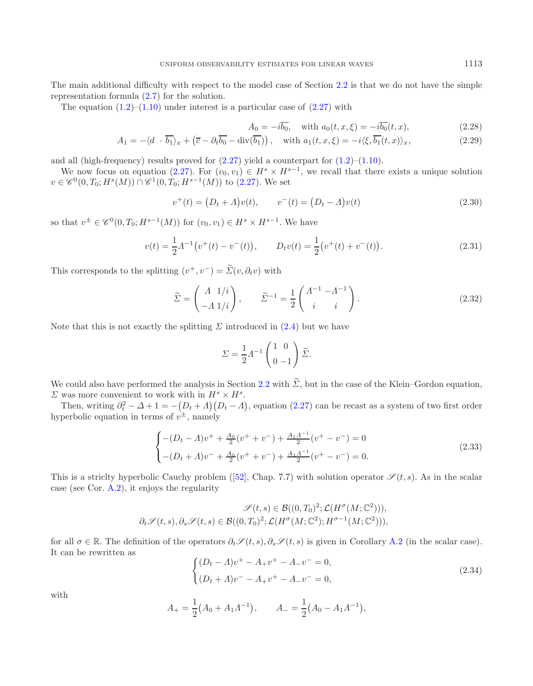The main additional difficulty with respect to the model case of Section [2.2](#page-9-0) is that we do not have the simple representation formula [\(2.7\)](#page-9-4) for the solution.

The equation  $(1.2)$ – $(1.10)$  under interest is a particular case of  $(2.27)$  with

<span id="page-16-2"></span>
$$
A_0 = -i\overline{b_0}, \quad \text{with } a_0(t, x, \xi) = -i\overline{b_0}(t, x), \tag{2.28}
$$

$$
A_1 = -\langle d \cdot \overline{b_1} \rangle_x + \left( \overline{c} - \partial_t \overline{b_0} - \text{div}(\overline{b_1}) \right), \quad \text{with } a_1(t, x, \xi) = -i \langle \xi, \overline{b_1}(t, x) \rangle_x,
$$
\n(2.29)

and all (high-frequency) results proved for  $(2.27)$  yield a counterpart for  $(1.2)$ – $(1.10)$ .

We now focus on equation [\(2.27\)](#page-15-2). For  $(v_0, v_1) \in H^s \times H^{s-1}$ , we recall that there exists a unique solution  $v \in \mathscr{C}^0(0,T_0;H^s(M)) \cap \mathscr{C}^1(0,T_0;H^{s-1}(M))$  to [\(2.27\)](#page-15-2). We set

$$
v^{+}(t) = (D_t + A)v(t), \qquad v^{-}(t) = (D_t - A)v(t)
$$
\n(2.30)

so that  $v^{\pm} \in \mathscr{C}^0(0,T_0; H^{s-1}(M))$  for  $(v_0, v_1) \in H^s \times H^{s-1}$ . We have

$$
v(t) = \frac{1}{2}A^{-1}(v^+(t) - v^-(t)), \qquad D_t v(t) = \frac{1}{2}(v^+(t) + v^-(t)).
$$
\n(2.31)

<span id="page-16-1"></span>This corresponds to the splitting  $(v^+, v^-) = \widetilde{\Sigma}(v, \partial_t v)$  with

$$
\widetilde{\Sigma} = \begin{pmatrix} \Lambda & 1/i \\ -\Lambda & 1/i \end{pmatrix}, \qquad \widetilde{\Sigma}^{-1} = \frac{1}{2} \begin{pmatrix} \Lambda^{-1} & -\Lambda^{-1} \\ i & i \end{pmatrix}.
$$
\n(2.32)

Note that this is not exactly the splitting  $\Sigma$  introduced in [\(2.4\)](#page-9-5) but we have

$$
\Sigma = \frac{1}{2} \Lambda^{-1} \begin{pmatrix} 1 & 0 \\ 0 & -1 \end{pmatrix} \widetilde{\Sigma}.
$$

We could also have performed the analysis in Section [2.2](#page-9-0) with  $\widetilde{\Sigma}$ , but in the case of the Klein–Gordon equation,  $\Sigma$  was more convenient to work with in  $H^s \times H^s$ .

<span id="page-16-0"></span>Then, writing  $\partial_t^2 - \Delta + 1 = -\left(D_t + A\right)(D_t - A)$ , equation [\(2.27\)](#page-15-2) can be recast as a system of two first order hyperbolic equation in terms of  $v^{\pm}$ , namely

$$
\begin{cases}\n-(D_t - A)v^+ + \frac{A_0}{2}(v^+ + v^-) + \frac{A_1 A^{-1}}{2}(v^+ - v^-) = 0\\ \n-(D_t + A)v^- + \frac{A_0}{2}(v^+ + v^-) + \frac{A_1 A^{-1}}{2}(v^+ - v^-) = 0.\n\end{cases}
$$
\n(2.33)

This is a striclty hyperbolic Cauchy problem ([\[52\]](#page-39-25), Chap. 7.7) with solution operator  $\mathscr{S}(t, s)$ . As in the scalar case (see Cor. [A.2\)](#page-3-2), it enjoys the regularity

$$
\mathscr{S}(t,s) \in \mathcal{B}((0,T_0)^2; \mathcal{L}(H^{\sigma}(M;\mathbb{C}^2))),
$$
  

$$
\partial_t \mathscr{S}(t,s), \partial_s \mathscr{S}(t,s) \in \mathcal{B}((0,T_0)^2; \mathcal{L}(H^{\sigma}(M;\mathbb{C}^2)); H^{\sigma-1}(M;\mathbb{C}^2))),
$$

for all  $\sigma \in \mathbb{R}$ . The definition of the operators  $\partial_t \mathscr{S}(t, s)$ ,  $\partial_s \mathscr{S}(t, s)$  is given in Corollary [A.2](#page-3-2) (in the scalar case). It can be rewritten as

$$
\begin{cases}\n(D_t - A)v^+ - A_+v^+ - A_-v^- = 0, \\
(D_t + A)v^- - A_+v^+ - A_-v^- = 0,\n\end{cases}
$$
\n(2.34)

with

$$
A_{+} = \frac{1}{2}(A_0 + A_1 \Lambda^{-1}), \qquad A_{-} = \frac{1}{2}(A_0 - A_1 \Lambda^{-1}),
$$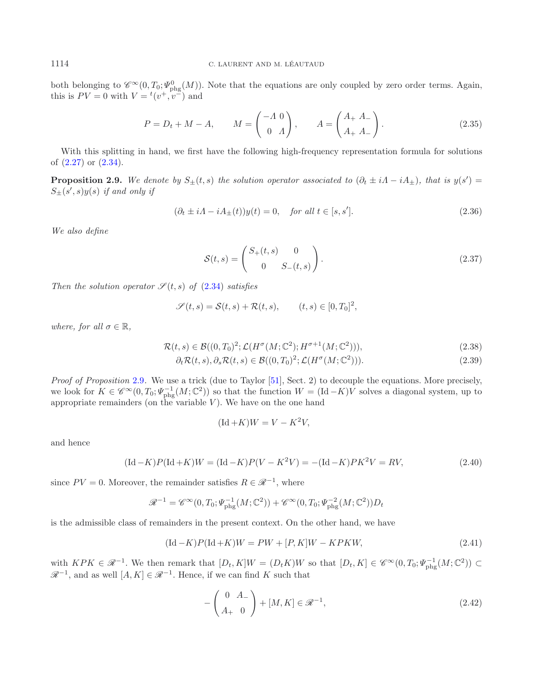### <span id="page-17-0"></span>1114 C. LAURENT AND M. LÉAUTAUD

both belonging to  $\mathscr{C}^{\infty}(0,T_0;\Psi_{\text{phg}}^0(M))$ . Note that the equations are only coupled by zero order terms. Again, this is  $PV = 0$  with  $V = {}^{t}(v^+, v^-)$  and

$$
P = D_t + M - A, \qquad M = \begin{pmatrix} -A & 0 \\ 0 & A \end{pmatrix}, \qquad A = \begin{pmatrix} A_+ & A_- \\ A_+ & A_- \end{pmatrix}.
$$
 (2.35)

<span id="page-17-3"></span>With this splitting in hand, we first have the following high-frequency representation formula for solutions of [\(2.27\)](#page-15-2) or [\(2.34\)](#page-16-0).

**Proposition 2.9.** We denote by  $S_{\pm}(t, s)$  the solution operator associated to  $(\partial_t \pm i\Lambda - iA_{\pm})$ , that is  $y(s') =$  $S_{\pm}(s', s)y(s)$  *if and only if* 

<span id="page-17-5"></span>
$$
(\partial_t \pm i\Lambda - iA_{\pm}(t))y(t) = 0, \quad \text{for all } t \in [s, s'].
$$
\n
$$
(2.36)
$$

<span id="page-17-7"></span>*We also define*

$$
\mathcal{S}(t,s) = \begin{pmatrix} S_+(t,s) & 0 \\ 0 & S_-(t,s) \end{pmatrix}.
$$
\n(2.37)

*Then the solution operator*  $\mathcal{S}(t,s)$  *of* [\(2.34\)](#page-16-0) *satisfies* 

$$
\mathscr{S}(t,s) = \mathcal{S}(t,s) + \mathcal{R}(t,s), \qquad (t,s) \in [0,T_0]^2,
$$

<span id="page-17-6"></span>*where, for all*  $\sigma \in \mathbb{R}$ *,* 

$$
\mathcal{R}(t,s) \in \mathcal{B}((0,T_0)^2; \mathcal{L}(H^{\sigma}(M;\mathbb{C}^2); H^{\sigma+1}(M;\mathbb{C}^2))), \tag{2.38}
$$

$$
\partial_t \mathcal{R}(t,s), \partial_s \mathcal{R}(t,s) \in \mathcal{B}((0,T_0)^2; \mathcal{L}(H^{\sigma}(M;\mathbb{C}^2))).
$$
\n(2.39)

*Proof of Proposition* [2.9](#page-17-0)*.* We use a trick (due to Taylor [\[51](#page-39-26)], Sect. 2) to decouple the equations. More precisely, we look for  $K \in \mathscr{C}^{\infty}(0,T_0;\Psi_{\text{phg}}^{-1}(M;\mathbb{C}^2))$  so that the function  $W = (\text{Id}-K)V$  solves a diagonal system, up to appropriate remainders (on the variable  $V$ ). We have on the one hand

$$
(\mathrm{Id} + K)W = V - K^2 V,
$$

<span id="page-17-1"></span>and hence

$$
(\text{Id} - K)P(\text{Id} + K)W = (\text{Id} - K)P(V - K^2V) = -(\text{Id} - K)PK^2V = RV,
$$
\n(2.40)

since  $PV = 0$ . Moreover, the remainder satisfies  $R \in \mathcal{R}^{-1}$ , where

$$
\mathcal{R}^{-1} = \mathcal{C}^{\infty}(0, T_0; \Psi_{\text{phg}}^{-1}(M; \mathbb{C}^2)) + \mathcal{C}^{\infty}(0, T_0; \Psi_{\text{phg}}^{-2}(M; \mathbb{C}^2))D_t
$$

<span id="page-17-2"></span>is the admissible class of remainders in the present context. On the other hand, we have

<span id="page-17-4"></span>
$$
(\text{Id}-K)P(\text{Id}+K)W = PW + [P, K]W - KPKW,
$$
\n
$$
(2.41)
$$

with  $KPK \in \mathscr{R}^{-1}$ . We then remark that  $[D_t, K]W = (D_t K)W$  so that  $[D_t, K] \in \mathscr{C}^{\infty}(0, T_0; \Psi_{\text{phg}}^{-1}(M; \mathbb{C}^2)) \subset$  $\mathscr{R}^{-1}$ , and as well  $[A, K] \in \mathscr{R}^{-1}$ . Hence, if we can find K such that

$$
-\left(\begin{array}{c} 0 & A_- \\ A_+ & 0 \end{array}\right) + [M, K] \in \mathcal{R}^{-1},\tag{2.42}
$$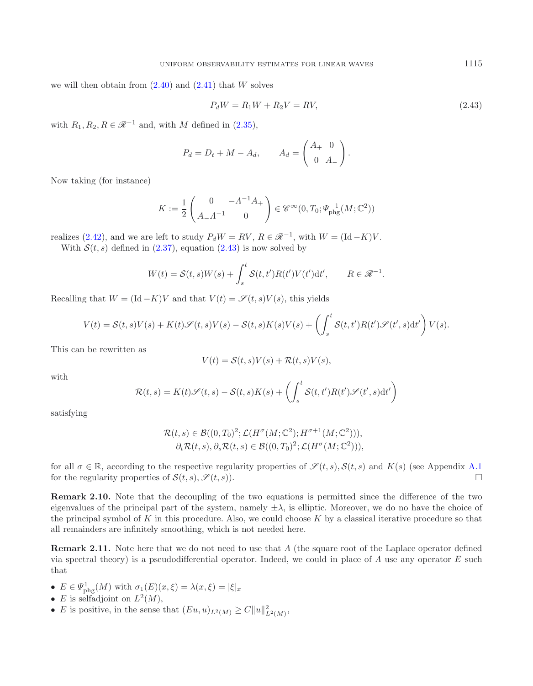we will then obtain from  $(2.40)$  and  $(2.41)$  that W solves

$$
P_d W = R_1 W + R_2 V = RV,
$$
\n(2.43)

with  $R_1, R_2, R \in \mathcal{R}^{-1}$  and, with M defined in [\(2.35\)](#page-17-3),

<span id="page-18-1"></span>
$$
P_d = D_t + M - A_d, \qquad A_d = \begin{pmatrix} A_+ & 0 \\ 0 & A_- \end{pmatrix}.
$$

Now taking (for instance)

$$
K := \frac{1}{2} \begin{pmatrix} 0 & -\Lambda^{-1} A_+ \\ A_- \Lambda^{-1} & 0 \end{pmatrix} \in \mathscr{C}^{\infty}(0, T_0; \Psi_{\text{phg}}^{-1}(M; \mathbb{C}^2))
$$

realizes [\(2.42\)](#page-17-4), and we are left to study  $P_dW = RV$ ,  $R \in \mathcal{R}^{-1}$ , with  $W = (\text{Id} - K)V$ .

With  $S(t, s)$  defined in [\(2.37\)](#page-17-5), equation [\(2.43\)](#page-18-1) is now solved by

$$
W(t) = \mathcal{S}(t,s)W(s) + \int_s^t \mathcal{S}(t,t')R(t')V(t')dt', \qquad R \in \mathcal{R}^{-1}.
$$

Recalling that  $W = (\text{Id} - K)V$  and that  $V(t) = \mathscr{S}(t, s)V(s)$ , this yields

$$
V(t) = S(t,s)V(s) + K(t)\mathscr{S}(t,s)V(s) - S(t,s)K(s)V(s) + \left(\int_s^t S(t,t')R(t')\mathscr{S}(t',s)\mathrm{d}t'\right)V(s).
$$

This can be rewritten as

$$
V(t) = \mathcal{S}(t, s)V(s) + \mathcal{R}(t, s)V(s),
$$

with

$$
\mathcal{R}(t,s) = K(t)\mathcal{S}(t,s) - \mathcal{S}(t,s)K(s) + \left(\int_s^t \mathcal{S}(t,t')R(t')\mathcal{S}(t',s)\mathrm{d}t'\right)
$$

satisfying

$$
\mathcal{R}(t,s) \in \mathcal{B}((0,T_0)^2; \mathcal{L}(H^{\sigma}(M;\mathbb{C}^2); H^{\sigma+1}(M;\mathbb{C}^2))),
$$
  

$$
\partial_t \mathcal{R}(t,s), \partial_s \mathcal{R}(t,s) \in \mathcal{B}((0,T_0)^2; \mathcal{L}(H^{\sigma}(M;\mathbb{C}^2))),
$$

for all  $\sigma \in \mathbb{R}$ , according to the respective regularity properties of  $\mathscr{S}(t,s)$ ,  $\mathscr{S}(t,s)$  and  $K(s)$  (see Appendix [A.1](#page-0-2)) for the regularity properties of  $\mathcal{S}(t, s), \mathcal{S}(t, s)$ .

**Remark 2.10.** Note that the decoupling of the two equations is permitted since the difference of the two eigenvalues of the principal part of the system, namely  $\pm \lambda$ , is elliptic. Moreover, we do no have the choice of the principal symbol of K in this procedure. Also, we could choose K by a classical iterative procedure so that all remainders are infinitely smoothing, which is not needed here.

<span id="page-18-0"></span>**Remark 2.11.** Note here that we do not need to use that Λ (the square root of the Laplace operator defined via spectral theory) is a pseudodifferential operator. Indeed, we could in place of  $\Lambda$  use any operator E such that

- $E \in \Psi_{\text{phg}}^1(M)$  with  $\sigma_1(E)(x,\xi) = \lambda(x,\xi) = |\xi|_x$
- E is selfadjoint on  $L^2(M)$ ,
- *E* is positive, in the sense that  $(Eu, u)_{L^2(M)} \geq C ||u||^2_{L^2(M)}$ ,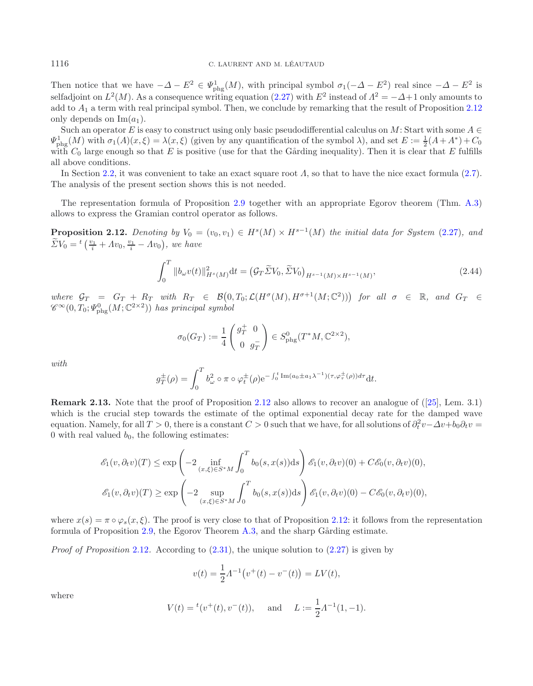Then notice that we have  $-\Delta - E^2 \in \Psi_{\text{phg}}^1(M)$ , with principal symbol  $\sigma_1(-\Delta - E^2)$  real since  $-\Delta - E^2$  is selfadjoint on  $L^2(M)$ . As a consequence writing equation [\(2.27\)](#page-15-2) with  $E^2$  instead of  $\Lambda^2 = -\Delta + 1$  only amounts to add to  $A_1$  a term with real principal symbol. Then, we conclude by remarking that the result of Proposition [2.12](#page-19-1) only depends on  $\text{Im}(a_1)$ .

Such an operator E is easy to construct using only basic pseudodifferential calculus on M: Start with some  $A \in$  $\Psi_{\rm phg}^1(M)$  with  $\sigma_1(A)(x,\xi) = \lambda(x,\xi)$  (given by any quantification of the symbol  $\lambda$ ), and set  $E := \frac{1}{2}(A+A^*) + C_0$ with  $C_0$  large enough so that E is positive (use for that the Gårding inequality). Then it is clear that E fulfills all above conditions.

In Section [2.2,](#page-9-0) it was convenient to take an exact square root  $\Lambda$ , so that to have the nice exact formula [\(2.7\)](#page-9-4). The analysis of the present section shows this is not needed.

<span id="page-19-1"></span>The representation formula of Proposition [2.9](#page-17-0) together with an appropriate Egorov theorem (Thm. [A.3\)](#page-4-1) allows to express the Gramian control operator as follows.

**Proposition 2.12.** *Denoting by*  $V_0 = (v_0, v_1) \in H^s(M) \times H^{s-1}(M)$  *the initial data for System* [\(2.27\)](#page-15-2)*, and*  $\widetilde{\Sigma}V_0 = {}^t\left(\frac{v_1}{i} + Av_0, \frac{v_1}{i} - Av_0\right)$ , we have

$$
\int_0^T \|b_{\omega}v(t)\|_{H^s(M)}^2 dt = \left(\mathcal{G}_T \tilde{\Sigma} V_0, \tilde{\Sigma} V_0\right)_{H^{s-1}(M) \times H^{s-1}(M)},\tag{2.44}
$$

*where*  $G_T = G_T + R_T$  *with*  $R_T \in \mathcal{B}(0,T_0;\mathcal{L}(H^{\sigma}(M),H^{\sigma+1}(M;\mathbb{C}^2)))$  for all  $\sigma \in \mathbb{R}$ , and  $G_T \in \mathbb{R}$  $\mathscr{C}^{\infty}(0,T_0;\mathfrak{C}^0_{\mathrm{phg}}(M;\mathbb{C}^{2\times 2}))$  *has principal symbol* 

$$
\sigma_0(G_T) := \frac{1}{4} \begin{pmatrix} g_T^+ & 0 \\ 0 & g_T^- \end{pmatrix} \in S_{\rm phg}^0(T^*M, \mathbb{C}^{2 \times 2}),
$$

*with*

$$
g_T^{\pm}(\rho) = \int_0^T b_\omega^2 \circ \pi \circ \varphi_t^{\pm}(\rho) e^{-\int_0^t \text{Im}(a_0 \pm a_1 \lambda^{-1})(\tau, \varphi_\tau^{\pm}(\rho)) d\tau} dt.
$$

<span id="page-19-0"></span>**Remark 2.13.** Note that the proof of Proposition [2.12](#page-19-1) also allows to recover an analogue of ([\[25\]](#page-39-2), Lem. 3.1) which is the crucial step towards the estimate of the optimal exponential decay rate for the damped wave equation. Namely, for all  $T > 0$ , there is a constant  $C > 0$  such that we have, for all solutions of  $\partial_t^2 v - \Delta v + b_0 \partial_t v =$ 0 with real valued  $b_0$ , the following estimates:

$$
\mathcal{E}_1(v, \partial_t v)(T) \le \exp\left(-2\inf_{(x,\xi)\in S^*M} \int_0^T b_0(s, x(s))ds\right) \mathcal{E}_1(v, \partial_t v)(0) + C\mathcal{E}_0(v, \partial_t v)(0),
$$
  

$$
\mathcal{E}_1(v, \partial_t v)(T) \ge \exp\left(-2\sup_{(x,\xi)\in S^*M} \int_0^T b_0(s, x(s))ds\right) \mathcal{E}_1(v, \partial_t v)(0) - C\mathcal{E}_0(v, \partial_t v)(0),
$$

where  $x(s) = \pi \circ \varphi_s(x, \xi)$ . The proof is very close to that of Proposition [2.12:](#page-19-1) it follows from the representation formula of Proposition [2.9,](#page-17-0) the Egorov Theorem [A.3,](#page-4-1) and the sharp Gårding estimate.

*Proof of Proposition* [2.12](#page-19-1). According to  $(2.31)$ , the unique solution to  $(2.27)$  is given by

$$
v(t) = \frac{1}{2} \Lambda^{-1} (v^+(t) - v^-(t)) = LV(t),
$$

where

$$
V(t) = {}^{t}(v^{+}(t), v^{-}(t)),
$$
 and  $L := \frac{1}{2} \Lambda^{-1}(1, -1).$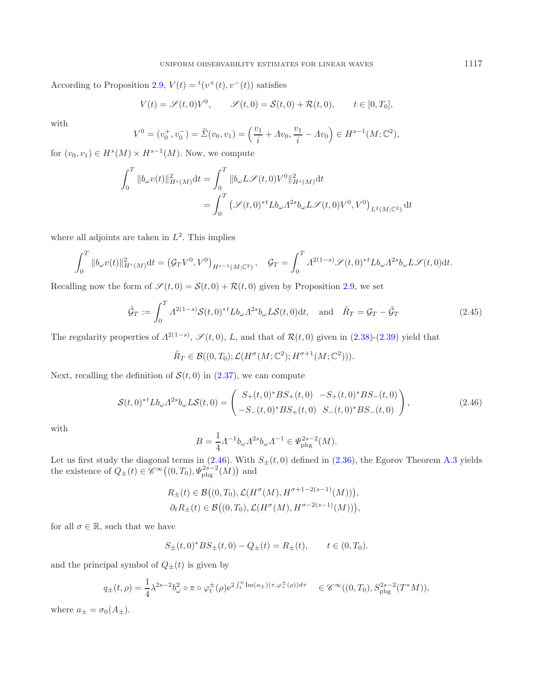According to Proposition [2.9,](#page-17-0)  $V(t) = {}^t(v^+(t), v^-(t))$  satisfies

$$
V(t) = \mathscr{S}(t,0)V^0, \qquad \mathscr{S}(t,0) = \mathcal{S}(t,0) + \mathcal{R}(t,0), \qquad t \in [0,T_0],
$$

with

$$
V^{0} = (v_{0}^{+}, v_{0}^{-}) = \widetilde{\Sigma}(v_{0}, v_{1}) = \left(\frac{v_{1}}{i} + Av_{0}, \frac{v_{1}}{i} - Av_{0}\right) \in H^{s-1}(M; \mathbb{C}^{2}),
$$

for  $(v_0, v_1) \in H^s(M) \times H^{s-1}(M)$ . Now, we compute

$$
\int_0^T \Vert b_\omega v(t) \Vert_{H^s(M)}^2 \mathrm{d}t = \int_0^T \Vert b_\omega L \mathcal{S}(t,0)V^0 \Vert_{H^s(M)}^2 \mathrm{d}t
$$
  
= 
$$
\int_0^T \left( \mathcal{S}(t,0)^{*t} L b_\omega A^{2s} b_\omega L \mathcal{S}(t,0)V^0, V^0 \right)_{L^2(M;\mathbb{C}^2)} \mathrm{d}t
$$

where all adjoints are taken in  $L^2$ . This implies

$$
\int_0^T \|b_\omega v(t)\|_{H^s(M)}^2 dt = (\mathcal{G}_T V^0, V^0)_{H^{s-1}(M; \mathbb{C}^2)}, \quad \mathcal{G}_T = \int_0^T \Lambda^{2(1-s)} \mathscr{S}(t, 0)^{*t} L b_\omega \Lambda^{2s} b_\omega L \mathscr{S}(t, 0) dt.
$$

Recalling now the form of  $\mathscr{S}(t,0) = \mathcal{S}(t,0) + \mathcal{R}(t,0)$  given by Proposition [2.9,](#page-17-0) we set

$$
\tilde{\mathcal{G}}_T := \int_0^T A^{2(1-s)} \mathcal{S}(t,0)^* L b_\omega A^{2s} b_\omega L \mathcal{S}(t,0) dt, \text{ and } \tilde{R}_T = \mathcal{G}_T - \tilde{\mathcal{G}}_T
$$
\n(2.45)

<span id="page-20-1"></span>The regularity properties of  $\Lambda^{2(1-s)}$ ,  $\mathscr{S}(t,0)$ , L, and that of  $\mathcal{R}(t,0)$  given in  $(2.38)-(2.39)$  $(2.38)-(2.39)$  $(2.38)-(2.39)$  yield that

$$
\tilde{R}_T \in \mathcal{B}((0,T_0); \mathcal{L}(H^{\sigma}(M;\mathbb{C}^2); H^{\sigma+1}(M;\mathbb{C}^2))).
$$

Next, recalling the definition of  $S(t, 0)$  in  $(2.37)$ , we can compute

$$
\mathcal{S}(t,0)^{*t}Lb_{\omega}A^{2s}b_{\omega}L\mathcal{S}(t,0) = \begin{pmatrix} S_{+}(t,0)^{*}BS_{+}(t,0) & -S_{+}(t,0)^{*}BS_{-}(t,0) \\ -S_{-}(t,0)^{*}BS_{+}(t,0) & S_{-}(t,0)^{*}BS_{-}(t,0) \end{pmatrix},
$$
\n(2.46)

<span id="page-20-0"></span>with

$$
B = \frac{1}{4} \Lambda^{-1} b_{\omega} \Lambda^{2s} b_{\omega} \Lambda^{-1} \in \Psi_{\rm phg}^{2s-2}(M).
$$

Let us first study the diagonal terms in  $(2.46)$ . With  $S_{\pm}(t, 0)$  defined in  $(2.36)$ , the Egorov Theorem [A.3](#page-4-1) yields the existence of  $Q_{\pm}(t) \in \mathscr{C}^{\infty}((0,T_0), \Psi_{\text{phg}}^{2s-2}(M))$  and

$$
R_{\pm}(t) \in \mathcal{B}\big((0,T_0),\mathcal{L}(H^{\sigma}(M),H^{\sigma+1-2(s-1)}(M))\big),
$$
  

$$
\partial_t R_{\pm}(t) \in \mathcal{B}\big((0,T_0),\mathcal{L}(H^{\sigma}(M),H^{\sigma-2(s-1)}(M))\big),
$$

for all  $\sigma \in \mathbb{R},$  such that we have

$$
S_{\pm}(t,0)^* BS_{\pm}(t,0) - Q_{\pm}(t) = R_{\pm}(t), \qquad t \in (0,T_0).
$$

and the principal symbol of  $Q_{\pm}(t)$  is given by

$$
q_{\pm}(t,\rho) = \frac{1}{4}\lambda^{2s-2}b_{\omega}^2 \circ \pi \circ \varphi_{t}^{\pm}(\rho)e^{2\int_{t}^{0} \text{Im}(a_{\pm})(\tau,\varphi_{\tau}^{\pm}(\rho))d\tau} \quad \in \mathscr{C}^{\infty}((0,T_0),S_{\text{phg}}^{2s-2}(T^*M)),
$$

where  $a_{\pm} = \sigma_0(A_{\pm}).$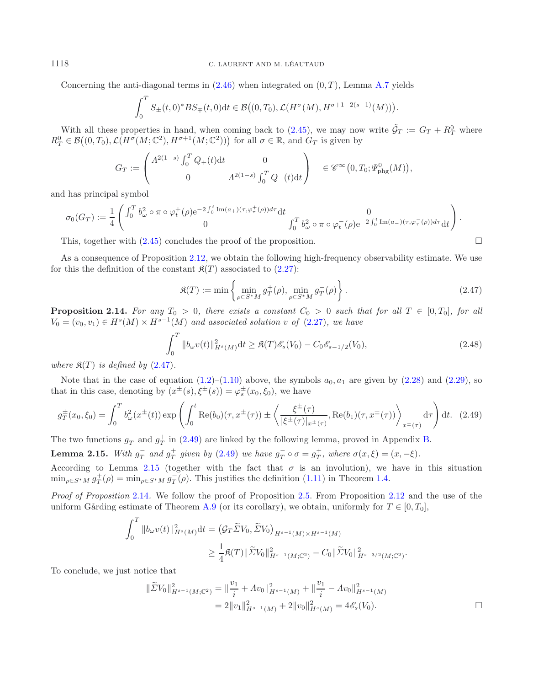#### 1118 C. LAURENT AND M. LEAUTAUD ´

Concerning the anti-diagonal terms in  $(2.46)$  when integrated on  $(0, T)$ , Lemma [A.7](#page-31-0) yields

$$
\int_0^T S_{\pm}(t,0)^* BS_{\mp}(t,0)dt \in \mathcal{B}\big((0,T_0), \mathcal{L}(H^{\sigma}(M), H^{\sigma+1-2(s-1)}(M))\big).
$$

With all these properties in hand, when coming back to [\(2.45\)](#page-20-1), we may now write  $\tilde{G}_T := G_T + R_T^0$  where  $R_T^0 \in \mathcal{B}((0,T_0), \mathcal{L}(H^{\sigma}(M;\mathbb{C}^2), H^{\sigma+1}(M;\mathbb{C}^2)))$  for all  $\sigma \in \mathbb{R}$ , and  $G_T$  is given by

$$
G_T := \begin{pmatrix} \Lambda^{2(1-s)} \int_0^T Q_+(t) dt & 0 \\ 0 & \Lambda^{2(1-s)} \int_0^T Q_-(t) dt \end{pmatrix} \in \mathscr{C}^{\infty}(0, T_0; \Psi_{\rm phg}^0(M)),
$$

and has principal symbol

$$
\sigma_0(G_T) := \frac{1}{4} \begin{pmatrix} \int_0^T b_\omega^2 \circ \pi \circ \varphi_t^+(\rho) e^{-2\int_0^t \text{Im}(a_+) (\tau, \varphi_\tau^+(\rho)) d\tau} dt & 0 \\ 0 & \int_0^T b_\omega^2 \circ \pi \circ \varphi_t^-(\rho) e^{-2\int_0^t \text{Im}(a_-)(\tau, \varphi_\tau^-(\rho)) d\tau} dt \end{pmatrix}.
$$

This, together with  $(2.45)$  concludes the proof of the proposition.  $\Box$ 

As a consequence of Proposition [2.12,](#page-19-1) we obtain the following high-frequency observability estimate. We use for this the definition of the constant  $\mathfrak{K}(T)$  associated to  $(2.27)$ :

<span id="page-21-3"></span><span id="page-21-2"></span><span id="page-21-1"></span>
$$
\mathfrak{K}(T) := \min \left\{ \min_{\rho \in S^*M} g_T^+(\rho), \min_{\rho \in S^*M} g_T^-(\rho) \right\}.
$$
\n(2.47)

<span id="page-21-0"></span>**Proposition 2.14.** For any  $T_0 > 0$ , there exists a constant  $C_0 > 0$  such that for all  $T \in [0, T_0]$ , for all  $V_0 = (v_0, v_1) \in H^s(M) \times H^{s-1}(M)$  and associated solution v of  $(2.27)$ , we have

$$
\int_0^T \|b_\omega v(t)\|_{H^s(M)}^2 dt \ge \mathfrak{K}(T)\mathscr{E}_s(V_0) - C_0 \mathscr{E}_{s-1/2}(V_0),\tag{2.48}
$$

*where*  $\mathfrak{K}(T)$  *is defined by*  $(2.47)$ *.* 

Note that in the case of equation  $(1.2)$ – $(1.10)$  above, the symbols  $a_0$ ,  $a_1$  are given by  $(2.28)$  and  $(2.29)$ , so that in this case, denoting by  $(x^{\pm}(s), \xi^{\pm}(s)) = \varphi_s^{\pm}(x_0, \xi_0)$ , we have

$$
g_T^{\pm}(x_0, \xi_0) = \int_0^T b_{\omega}^2(x^{\pm}(t)) \exp\left(\int_0^t \text{Re}(b_0)(\tau, x^{\pm}(\tau)) \pm \left\langle \frac{\xi^{\pm}(\tau)}{|\xi^{\pm}(\tau)|_{x^{\pm}(\tau)}}, \text{Re}(b_1)(\tau, x^{\pm}(\tau)) \right\rangle_{x^{\pm}(\tau)} d\tau\right) dt. (2.49)
$$

The two functions  $g_T^-$  and  $g_T^+$  in [\(2.49\)](#page-21-2) are linked by the following lemma, proved in Appendix [B.](#page-7-0)

**Lemma 2.15.** *With*  $g_T^-$  *and*  $g_T^+$  *given by* [\(2.49\)](#page-21-2) *we have*  $g_T^- \circ \sigma = g_T^+$ *, where*  $\sigma(x,\xi) = (x,-\xi)$ *.* 

According to Lemma [2.15](#page-21-3) (together with the fact that  $\sigma$  is an involution), we have in this situation  $\min_{\rho \in S^*M} g_T^+(\rho) = \min_{\rho \in S^*M} g_T^-(\rho)$ . This justifies the definition [\(1.11\)](#page-5-3) in Theorem [1.4.](#page-5-2)

*Proof of Proposition* [2.14](#page-21-0)*.* We follow the proof of Proposition [2.5.](#page-11-1) From Proposition [2.12](#page-19-1) and the use of the uniform Gårding estimate of Theorem [A.9](#page-33-2) (or its corollary), we obtain, uniformly for  $T \in [0, T_0]$ ,

$$
\int_0^T \|b_{\omega}v(t)\|_{H^s(M)}^2 dt = \left(\mathcal{G}_T \tilde{\Sigma} V_0, \tilde{\Sigma} V_0\right)_{H^{s-1}(M) \times H^{s-1}(M)} \geq \frac{1}{4} \mathfrak{K}(T) \|\tilde{\Sigma} V_0\|_{H^{s-1}(M; \mathbb{C}^2)}^2 - C_0 \|\tilde{\Sigma} V_0\|_{H^{s-3/2}(M; \mathbb{C}^2)}^2.
$$

To conclude, we just notice that

$$
\|\widetilde{\Sigma}V_0\|_{H^{s-1}(M;\mathbb{C}^2)}^2 = \|\frac{v_1}{i} + Av_0\|_{H^{s-1}(M)}^2 + \|\frac{v_1}{i} - Av_0\|_{H^{s-1}(M)}^2
$$
  
=  $2\|v_1\|_{H^{s-1}(M)}^2 + 2\|v_0\|_{H^s(M)}^2 = 4\mathscr{E}_s(V_0).$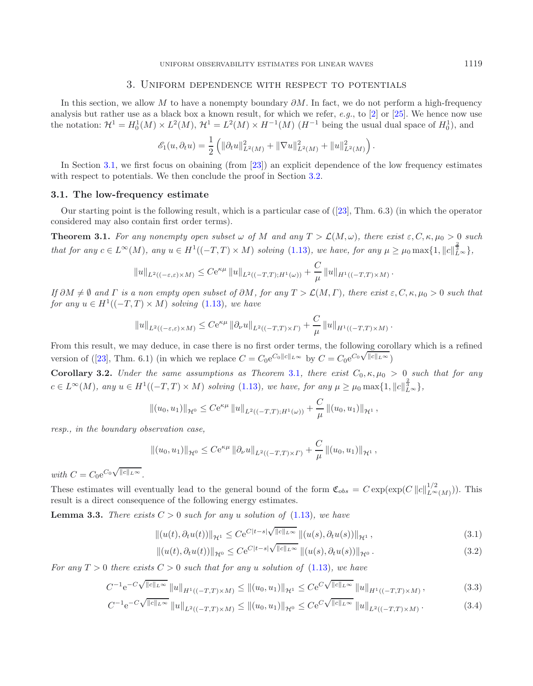### <span id="page-22-2"></span>3. Uniform dependence with respect to potentials

<span id="page-22-0"></span>In this section, we allow M to have a nonempty boundary  $\partial M$ . In fact, we do not perform a high-frequency analysis but rather use as a black box a known result, for which we refer, *e.g.*, to [\[2\]](#page-38-5) or [\[25\]](#page-39-2). We hence now use the notation:  $\mathcal{H}^1 = H_0^1(M) \times L^2(M)$ ,  $\mathcal{H}^1 = L^2(M) \times H^{-1}(M)$   $(H^{-1}$  being the usual dual space of  $H_0^1$ ), and

<span id="page-22-5"></span>
$$
\mathscr{E}_1(u, \partial_t u) = \frac{1}{2} \left( \|\partial_t u\|_{L^2(M)}^2 + \|\nabla u\|_{L^2(M)}^2 + \|u\|_{L^2(M)}^2 \right).
$$

In Section [3.1,](#page-22-1) we first focus on obaining (from [\[23\]](#page-39-6)) an explicit dependence of the low frequency estimates with respect to potentials. We then conclude the proof in Section [3.2.](#page-25-0)

#### <span id="page-22-1"></span>**3.1. The low-frequency estimate**

Our starting point is the following result, which is a particular case of ([\[23\]](#page-39-6), Thm. 6.3) (in which the operator considered may also contain first order terms).

**Theorem 3.1.** For any nonempty open subset  $\omega$  of M and any  $T > \mathcal{L}(M,\omega)$ , there exist  $\varepsilon, C, \kappa, \mu_0 > 0$  such *that for any*  $c \in L^{\infty}(M)$ , any  $u \in H^1((-T,T) \times M)$  *solving* [\(1.13\)](#page-5-4), we have, for any  $\mu \ge \mu_0 \max\{1, ||c||_{L^{\infty}}^{\frac{2}{3}}\}$ ,

$$
||u||_{L^{2}((-\varepsilon,\varepsilon)\times M)} \leq C e^{\kappa\mu} ||u||_{L^{2}((-T,T);H^{1}(\omega))} + \frac{C}{\mu} ||u||_{H^{1}((-T,T)\times M)}.
$$

 $If \partial M \neq \emptyset \ and \ \Gamma \ is \ a \ non \ empty \ open \ subset \ of \ \partial M, \ for \ any \ T > \mathcal{L}(M,\Gamma), \ there \ exist \ \varepsilon, C,\kappa,\mu_0>0 \ such \ that \$ *for any*  $u \in H^1((-T,T) \times M)$  *solving* [\(1.13\)](#page-5-4)*, we have* 

$$
||u||_{L^2((-\varepsilon,\varepsilon)\times M)} \leq Ce^{\kappa\mu} ||\partial_\nu u||_{L^2((-T,T)\times\Gamma)} + \frac{C}{\mu} ||u||_{H^1((-T,T)\times M)}.
$$

From this result, we may deduce, in case there is no first order terms, the following corollary which is a refined From this result, we may deduce, in case there is no first order terms, the following cord<br>version of ([\[23\]](#page-39-6), Thm. 6.1) (in which we replace  $C = C_0 e^{C_0 ||c||_{L\infty}}$  by  $C = C_0 e^{C_0 \sqrt{||c||_{L\infty}}}$ )

**Corollary 3.2.** *Under the same assumptions as Theorem* [3.1](#page-22-2)*, there exist*  $C_0, \kappa, \mu_0 > 0$  *such that for any*  $c \in L^{\infty}(M)$ , any  $u \in H^1((-T,T) \times M)$  solving [\(1.13\)](#page-5-4), we have, for any  $\mu \ge \mu_0 \max\{1, ||c||_{L^{\infty}}^{\frac{2}{3}}\}$ ,

$$
||(u_0, u_1)||_{\mathcal{H}^0} \leq Ce^{\kappa \mu} ||u||_{L^2((-T,T);H^1(\omega))} + \frac{C}{\mu} ||(u_0, u_1)||_{\mathcal{H}^1},
$$

*resp., in the boundary observation case,*

$$
||(u_0, u_1)||_{\mathcal{H}^0} \leq Ce^{\kappa \mu} ||\partial_{\nu}u||_{L^2((-T,T)\times\Gamma)} + \frac{C}{\mu} ||(u_0, u_1)||_{\mathcal{H}^1},
$$

*with*  $C = C_0 e^{C_0 \sqrt{\|c\|_{L^\infty}}}$ .

These estimates will eventually lead to the general bound of the form  $\mathfrak{C}_{obs} = C \exp(\exp(C ||c||_{L^{\infty}(M)}^{1/2}))$ . This result is a direct consequence of the following energy estimates.

<span id="page-22-3"></span>**Lemma 3.3.** *There exists*  $C > 0$  *such for any* u *solution of* [\(1.13\)](#page-5-4)*, we have* 

$$
||(u(t),\partial_t u(t))||_{\mathcal{H}^1} \leq C e^{C|t-s| \sqrt{||c||_{L^{\infty}}}} ||(u(s),\partial_t u(s))||_{\mathcal{H}^1},
$$
\n(3.1)

$$
||(u(t), \partial_t u(t))||_{\mathcal{H}^0} \leq C e^{C|t-s| \sqrt{||c||_{L^{\infty}}}} ||(u(s), \partial_t u(s))||_{\mathcal{H}^0}.
$$
\n(3.2)

<span id="page-22-4"></span>*For any*  $T > 0$  *there exists*  $C > 0$  *such that for any* u *solution of* [\(1.13\)](#page-5-4)*, we have* 

$$
C^{-1}e^{-C\sqrt{\|c\|_{L^{\infty}}}}\|u\|_{H^{1}((-T,T)\times M)} \leq \|(u_{0},u_{1})\|_{\mathcal{H}^{1}} \leq C e^{C\sqrt{\|c\|_{L^{\infty}}}}\|u\|_{H^{1}((-T,T)\times M)},
$$
\n(3.3)

$$
C^{-1}e^{-C\sqrt{\|c\|_{L^{\infty}}}}\|u\|_{L^{2}((-T,T)\times M)} \leq \|(u_{0},u_{1})\|_{\mathcal{H}^{0}} \leq C e^{C\sqrt{\|c\|_{L^{\infty}}}}\|u\|_{L^{2}((-T,T)\times M)}.
$$
\n(3.4)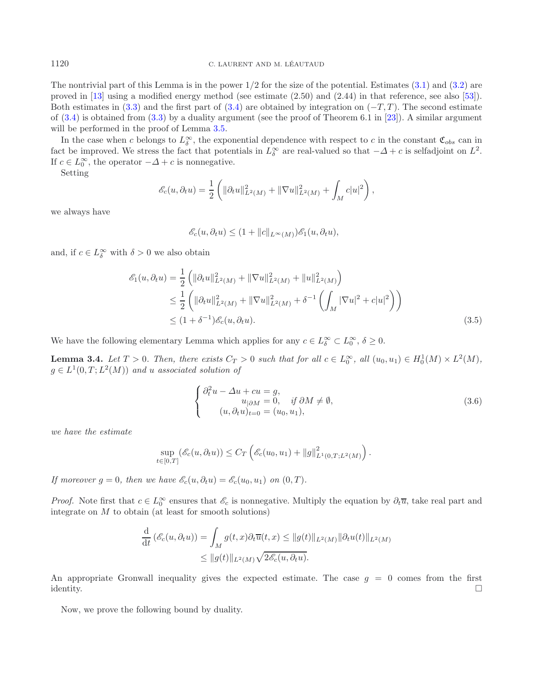The nontrivial part of this Lemma is in the power  $1/2$  for the size of the potential. Estimates  $(3.1)$  and  $(3.2)$  are proved in [\[13\]](#page-38-3) using a modified energy method (see estimate (2.50) and (2.44) in that reference, see also [\[53](#page-39-14)]). Both estimates in  $(3.3)$  and the first part of  $(3.4)$  are obtained by integration on  $(-T, T)$ . The second estimate of  $(3.4)$  is obtained from  $(3.3)$  by a duality argument (see the proof of Theorem 6.1 in [\[23](#page-39-6)]). A similar argument will be performed in the proof of Lemma  $3.5$ .

In the case when c belongs to  $L^{\infty}_{\delta}$ , the exponential dependence with respect to c in the constant  $\mathfrak{C}_{obs}$  can in fact be improved. We stress the fact that potentials in  $L^{\infty}_{\delta}$  are real-valued so that  $-\Delta + c$  is selfadjoint on  $L^2$ . If  $c \in L_0^{\infty}$ , the operator  $-\Delta + c$  is nonnegative.

Setting

$$
\mathscr{E}_c(u, \partial_t u) = \frac{1}{2} \left( \| \partial_t u \|_{L^2(M)}^2 + \| \nabla u \|_{L^2(M)}^2 + \int_M c |u|^2 \right),
$$

we always have

<span id="page-23-3"></span>
$$
\mathscr{E}_c(u,\partial_t u) \le (1 + ||c||_{L^{\infty}(M)})\mathscr{E}_1(u,\partial_t u),
$$

<span id="page-23-2"></span>and, if  $c \in L^{\infty}_{\delta}$  with  $\delta > 0$  we also obtain

$$
\mathcal{E}_1(u, \partial_t u) = \frac{1}{2} \left( \| \partial_t u \|_{L^2(M)}^2 + \| \nabla u \|_{L^2(M)}^2 + \| u \|_{L^2(M)}^2 \right)
$$
  
\n
$$
\leq \frac{1}{2} \left( \| \partial_t u \|_{L^2(M)}^2 + \| \nabla u \|_{L^2(M)}^2 + \delta^{-1} \left( \int_M |\nabla u|^2 + c |u|^2 \right) \right)
$$
  
\n
$$
\leq (1 + \delta^{-1}) \mathcal{E}_c(u, \partial_t u). \tag{3.5}
$$

We have the following elementary Lemma which applies for any  $c \in L^{\infty}_{\delta} \subset L^{\infty}_0$ ,  $\delta \geq 0$ .

**Lemma 3.4.** *Let*  $T > 0$ *. Then, there exists*  $C_T > 0$  *such that for all*  $c \in L_0^{\infty}$ *, all*  $(u_0, u_1) \in H_0^1(M) \times L^2(M)$ *,*  $g \in L^1(0,T; L^2(M))$  *and u associated solution of* 

$$
\begin{cases}\n\partial_t^2 u - \Delta u + cu = g, \\
u_{|\partial M} = 0, & \text{if } \partial M \neq \emptyset, \\
(u, \partial_t u)_{t=0} = (u_0, u_1),\n\end{cases}
$$
\n(3.6)

*we have the estimate*

<span id="page-23-1"></span><span id="page-23-0"></span>
$$
\sup_{t \in [0,T]} (\mathscr{E}_c(u, \partial_t u)) \leq C_T \left( \mathscr{E}_c(u_0, u_1) + ||g||^2_{L^1(0,T;L^2(M)} \right).
$$

*If moreover*  $g = 0$ *, then we have*  $\mathscr{E}_c(u, \partial_t u) = \mathscr{E}_c(u_0, u_1)$  *on*  $(0, T)$ *.* 

*Proof.* Note first that  $c \in L_0^{\infty}$  ensures that  $\mathscr{E}_c$  is nonnegative. Multiply the equation by  $\partial_t \overline{u}$ , take real part and integrate on  $M$  to obtain (at least for smooth solutions)

$$
\frac{d}{dt} (\mathscr{E}_c(u, \partial_t u)) = \int_M g(t, x) \partial_t \overline{u}(t, x) \le ||g(t)||_{L^2(M)} ||\partial_t u(t)||_{L^2(M)} \le ||g(t)||_{L^2(M)} \sqrt{2\mathscr{E}_c(u, \partial_t u)}.
$$

An appropriate Gronwall inequality gives the expected estimate. The case  $g = 0$  comes from the first identity.  $\Box$ 

Now, we prove the following bound by duality.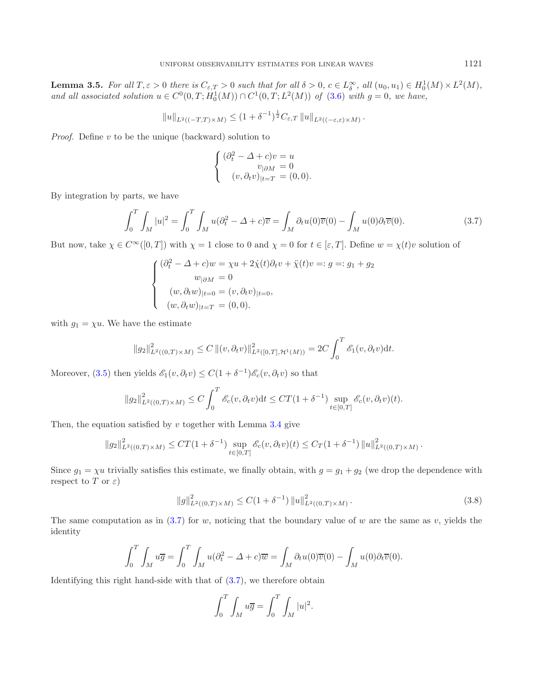**Lemma 3.5.** For all  $T, \varepsilon > 0$  there is  $C_{\varepsilon,T} > 0$  such that for all  $\delta > 0$ ,  $c \in L^{\infty}_{\delta}$ , all  $(u_0, u_1) \in H_0^1(M) \times L^2(M)$ , *and all associated solution*  $u \in C^{0}(0, T; H_{0}^{1}(M)) \cap C^{1}(0, T; L^{2}(M))$  *of* [\(3.6\)](#page-23-1) *with*  $g = 0$ *, we have,* 

$$
||u||_{L^2((-T,T)\times M)} \le (1+\delta^{-1})^{\frac{1}{2}}C_{\varepsilon,T} ||u||_{L^2((-\varepsilon,\varepsilon)\times M)}.
$$

*Proof.* Define v to be the unique (backward) solution to

$$
\begin{cases}\n(\partial_t^2 - \Delta + c)v = u \\
v_{|\partial M} = 0 \\
(v, \partial_t v)_{|t=T} = (0, 0).\n\end{cases}
$$

<span id="page-24-0"></span>By integration by parts, we have

$$
\int_0^T \int_M |u|^2 = \int_0^T \int_M u(\partial_t^2 - \Delta + c)\overline{v} = \int_M \partial_t u(0)\overline{v}(0) - \int_M u(0)\partial_t \overline{v}(0). \tag{3.7}
$$

But now, take  $\chi \in C^{\infty}([0,T])$  with  $\chi = 1$  close to 0 and  $\chi = 0$  for  $t \in [\varepsilon, T]$ . Define  $w = \chi(t)v$  solution of

$$
\begin{cases}\n(\partial_t^2 - \Delta + c)w = \chi u + 2\dot{\chi}(t)\partial_t v + \ddot{\chi}(t)v =: g =: g_1 + g_2 \\
w_{|\partial M} = 0 \\
(w, \partial_t w)_{|t=0} = (v, \partial_t v)_{|t=0}, \\
(w, \partial_t w)_{|t=T} = (0, 0).\n\end{cases}
$$

with  $g_1 = \chi u$ . We have the estimate

$$
||g_2||^2_{L^2((0,T)\times M)} \leq C ||(v,\partial_t v)||^2_{L^2([0,T],\mathcal{H}^1(M))} = 2C \int_0^T \mathscr{E}_1(v,\partial_t v) \mathrm{d}t.
$$

Moreover,  $(3.5)$  then yields  $\mathscr{E}_1(v, \partial_t v) \leq C(1 + \delta^{-1})\mathscr{E}_c(v, \partial_t v)$  so that

$$
||g_2||^2_{L^2((0,T)\times M)} \leq C \int_0^T \mathscr{E}_c(v,\partial_t v) dt \leq CT(1+\delta^{-1}) \sup_{t\in[0,T]} \mathscr{E}_c(v,\partial_t v)(t).
$$

Then, the equation satisfied by  $v$  together with Lemma [3.4](#page-23-3) give

$$
||g_2||^2_{L^2((0,T)\times M)} \le CT(1+\delta^{-1}) \sup_{t\in[0,T]} \mathscr{E}_c(v,\partial_t v)(t) \le C_T(1+\delta^{-1}) ||u||^2_{L^2((0,T)\times M)}.
$$

Since  $g_1 = \chi u$  trivially satisfies this estimate, we finally obtain, with  $g = g_1 + g_2$  (we drop the dependence with respect to T or  $\varepsilon$ )

$$
||g||_{L^{2}((0,T)\times M)}^{2} \leq C(1+\delta^{-1}) ||u||_{L^{2}((0,T)\times M)}^{2}.
$$
\n(3.8)

The same computation as in  $(3.7)$  for w, noticing that the boundary value of w are the same as v, yields the identity

<span id="page-24-1"></span>
$$
\int_0^T \int_M u \overline{g} = \int_0^T \int_M u (\partial_t^2 - \Delta + c) \overline{w} = \int_M \partial_t u(0) \overline{v}(0) - \int_M u(0) \partial_t \overline{v}(0).
$$

Identifying this right hand-side with that of [\(3.7\)](#page-24-0), we therefore obtain

$$
\int_0^T \int_M u \overline{g} = \int_0^T \int_M |u|^2.
$$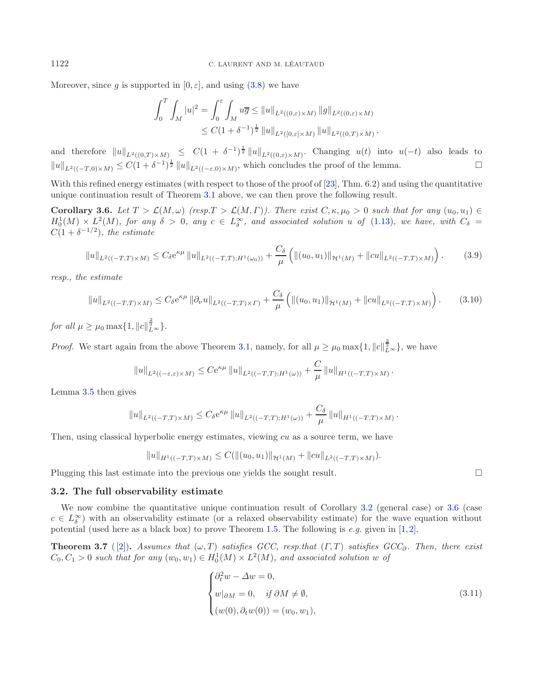Moreover, since g is supported in  $[0, \varepsilon]$ , and using  $(3.8)$  we have

<span id="page-25-1"></span>
$$
\int_0^T \int_M |u|^2 = \int_0^{\varepsilon} \int_M u \overline{g} \le ||u||_{L^2((0,\varepsilon)\times M)} ||g||_{L^2((0,\varepsilon)\times M)}
$$
  
 
$$
\le C(1+\delta^{-1})^{\frac{1}{2}} ||u||_{L^2([0,\varepsilon]\times M)} ||u||_{L^2((0,T)\times M)}.
$$

and therefore  $||u||_{L^2((0,T)\times M)} \leq C(1+\delta^{-1})^{\frac{1}{2}}||u||_{L^2((0,\varepsilon)\times M)}$ . Changing  $u(t)$  into  $u(-t)$  also leads to  $||u||_{L^2((-T,0)\times M)} \leq C(1+\delta^{-1})^{\frac{1}{2}} ||u||_{L^2((- \varepsilon,0)\times M)},$  which concludes the proof of the lemma.

With this refined energy estimates (with respect to those of the proof of [\[23\]](#page-39-6), Thm. 6.2) and using the quantitative unique continuation result of Theorem [3.1](#page-22-2) above, we can then prove the following result.

**Corollary 3.6.** *Let*  $T > \mathcal{L}(M, \omega)$  *(resp.* $T > \mathcal{L}(M, \Gamma)$ *). There exist*  $C, \kappa, \mu_0 > 0$  *such that for any*  $(u_0, u_1) \in$  $H_0^1(M) \times L^2(M)$ , for any  $\delta > 0$ , any  $c \in L_\delta^\infty$ , and associated solution u of [\(1.13\)](#page-5-4), we have, with  $C_\delta =$  $C(1+\delta^{-1/2})$ *, the estimate* 

$$
||u||_{L^{2}((-T,T)\times M)} \leq C_{\delta}e^{\kappa\mu}||u||_{L^{2}((-T,T);H^{1}(\omega_{0}))} + \frac{C_{\delta}}{\mu}\left(||(u_{0},u_{1})||_{\mathcal{H}^{1}(M)} + ||cu||_{L^{2}((-T,T)\times M)}\right).
$$
(3.9)

*resp., the estimate*

$$
||u||_{L^{2}((-T,T)\times M)} \leq C_{\delta}e^{\kappa\mu} ||\partial_{\nu}u||_{L^{2}((-T,T)\times\Gamma)} + \frac{C_{\delta}}{\mu} \left( ||(u_{0},u_{1})||_{\mathcal{H}^{1}(M)} + ||cu||_{L^{2}((-T,T)\times M)} \right).
$$
(3.10)

*for all*  $\mu \ge \mu_0 \max\{1, ||c||^{\frac{2}{3}}_{L^{\infty}}\}.$ 

*Proof.* We start again from the above Theorem [3.1,](#page-22-2) namely, for all  $\mu \ge \mu_0 \max\{1, ||c||^{\frac{2}{3}}_{L^{\infty}}\}$ , we have

$$
||u||_{L^{2}((-\varepsilon,\varepsilon)\times M)} \leq C e^{\kappa\mu} ||u||_{L^{2}((-T,T);H^{1}(\omega))} + \frac{C}{\mu} ||u||_{H^{1}((-T,T)\times M)}.
$$

Lemma [3.5](#page-23-0) then gives

$$
||u||_{L^{2}((-T,T)\times M)} \leq C_{\delta}e^{\kappa\mu}||u||_{L^{2}((-T,T);H^{1}(\omega))} + \frac{C_{\delta}}{\mu}||u||_{H^{1}((-T,T)\times M)}.
$$

Then, using classical hyperbolic energy estimates, viewing  $cu$  as a source term, we have

<span id="page-25-2"></span>
$$
||u||_{H^1((-T,T)\times M)} \leq C(||(u_0, u_1)||_{\mathcal{H}^1(M)} + ||cu||_{L^2((-T,T)\times M)}).
$$

<span id="page-25-0"></span>Plugging this last estimate into the previous one yields the sought result.  $\Box$ 

### **3.2. The full observability estimate**

We now combine the quantitative unique continuation result of Corollary [3.2](#page-22-5) (general case) or [3.6](#page-25-1) (case  $c \in L^{\infty}_{\delta}$ ) with an observability estimate (or a relaxed observability estimate) for the wave equation without potential (used here as a black box) to prove Theorem [1.5.](#page-5-1) The following is *e.g.* given in [\[1](#page-38-4), [2](#page-38-5)].

**Theorem 3.7** ([\[2\]](#page-38-5)). *Assumes that*  $(\omega, T)$  *satisfies GCC, resp.that*  $(\Gamma, T)$  *satisfies GCC*<sub>∂</sub>*. Then, there exist*  $C_0, C_1 > 0$  such that for any  $(w_0, w_1) \in H_0^1(M) \times L^2(M)$ , and associated solution w of

$$
\begin{cases}\n\partial_t^2 w - \Delta w = 0, \\
w|_{\partial M} = 0, \quad \text{if } \partial M \neq \emptyset, \\
(w(0), \partial_t w(0)) = (w_0, w_1),\n\end{cases}
$$
\n(3.11)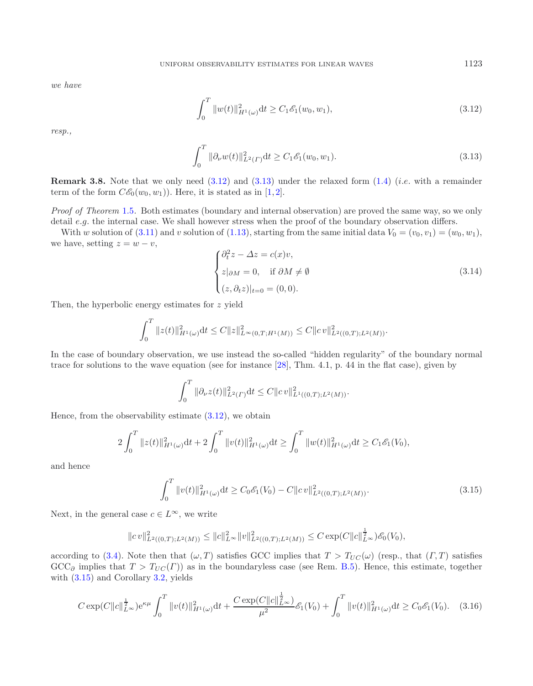*we have*

<span id="page-26-0"></span>
$$
\int_0^T \|w(t)\|_{H^1(\omega)}^2 dt \ge C_1 \mathcal{E}_1(w_0, w_1),\tag{3.12}
$$

*resp.,*

<span id="page-26-1"></span>
$$
\int_0^T \|\partial_{\nu} w(t)\|_{L^2(\Gamma)}^2 dt \ge C_1 \mathcal{E}_1(w_0, w_1). \tag{3.13}
$$

**Remark 3.8.** Note that we only need [\(3.12\)](#page-26-0) and [\(3.13\)](#page-26-1) under the relaxed form [\(1.4\)](#page-1-2) (*i.e.* with a remainder term of the form  $C\mathscr{E}_0(w_0, w_1)$ . Here, it is stated as in [\[1,](#page-38-4) [2\]](#page-38-5).

*Proof of Theorem* [1.5](#page-5-1)*.* Both estimates (boundary and internal observation) are proved the same way, so we only detail e.g. the internal case. We shall however stress when the proof of the boundary observation differs.

With w solution of [\(3.11\)](#page-25-2) and v solution of [\(1.13\)](#page-5-4), starting from the same initial data  $V_0 = (v_0, v_1) = (w_0, w_1)$ , we have, setting  $z = w - v$ ,

$$
\begin{cases} \partial_t^2 z - \Delta z = c(x)v, \\ z|_{\partial M} = 0, \quad \text{if } \partial M \neq \emptyset \\ (z, \partial_t z)|_{t=0} = (0, 0). \end{cases}
$$
 (3.14)

Then, the hyperbolic energy estimates for z yield

$$
\int_0^T \|z(t)\|_{H^1(\omega)}^2 dt \le C \|z\|_{L^\infty(0,T;H^1(M))}^2 \le C \|cv\|_{L^2((0,T);L^2(M))}^2.
$$

In the case of boundary observation, we use instead the so-called "hidden regularity" of the boundary normal trace for solutions to the wave equation (see for instance [\[28\]](#page-39-0), Thm. 4.1, p. 44 in the flat case), given by

$$
\int_0^T \|\partial_{\nu} z(t)\|_{L^2(\Gamma)}^2 dt \leq C \|c v\|_{L^1((0,T);L^2(M))}^2.
$$

Hence, from the observability estimate  $(3.12)$ , we obtain

$$
2\int_0^T \|z(t)\|_{H^1(\omega)}^2 \mathrm{d}t + 2\int_0^T \|v(t)\|_{H^1(\omega)}^2 \mathrm{d}t \ge \int_0^T \|w(t)\|_{H^1(\omega)}^2 \mathrm{d}t \ge C_1 \mathscr{E}_1(V_0),
$$

<span id="page-26-2"></span>and hence

$$
\int_0^T \|v(t)\|_{H^1(\omega)}^2 dt \ge C_0 \mathcal{E}_1(V_0) - C \|cv\|_{L^2((0,T);L^2(M))}^2.
$$
\n(3.15)

Next, in the general case  $c \in L^{\infty}$ , we write

$$
||cv||_{L^{2}((0,T);L^{2}(M))}^{2} \leq ||c||_{L^{\infty}}^{2}||v||_{L^{2}((0,T);L^{2}(M))}^{2} \leq C \exp(C||c||_{L^{\infty}}^{1})\mathscr{E}_{0}(V_{0}),
$$

according to [\(3.4\)](#page-22-4). Note then that  $(\omega, T)$  satisfies GCC implies that  $T > T_{UC}(\omega)$  (resp., that  $(\Gamma, T)$  satisfies  $GCC_{\partial}$  implies that  $T > T_{UC}(\Gamma)$ ) as in the boundaryless case (see Rem. [B.5\)](#page-11-1). Hence, this estimate, together with  $(3.15)$  and Corollary [3.2,](#page-22-5) yields

$$
C \exp(C||c||_{L^{\infty}}^{\frac{1}{2}}) e^{\kappa \mu} \int_0^T ||v(t)||_{H^1(\omega)}^2 dt + \frac{C \exp(C||c||_{L^{\infty}}^{\frac{1}{2}})}{\mu^2} \mathcal{E}_1(V_0) + \int_0^T ||v(t)||_{H^1(\omega)}^2 dt \ge C_0 \mathcal{E}_1(V_0). \tag{3.16}
$$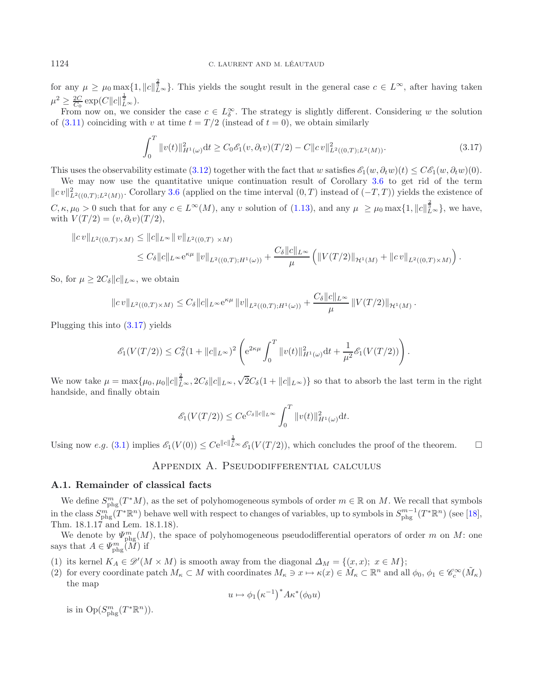### 1124 C. LAURENT AND M. LÉAUTAUD

for any  $\mu \geq \mu_0 \max\{1, ||c||_{L^{\infty}}^{\frac{2}{3}}\}.$  This yields the sought result in the general case  $c \in L^{\infty}$ , after having taken  $\mu^2 \geq \frac{2C}{C_0} \exp(C \|c\|_{L^{\infty}}^{\frac{1}{2}}).$ 

From now on, we consider the case  $c \in L^{\infty}_{\delta}$ . The strategy is slightly different. Considering w the solution of [\(3.11\)](#page-25-2) coinciding with v at time  $t = T/2$  (instead of  $t = 0$ ), we obtain similarly

$$
\int_0^T \|v(t)\|_{H^1(\omega)}^2 dt \ge C_0 \mathcal{E}_1(v, \partial_t v)(T/2) - C \|cv\|_{L^2((0,T);L^2(M))}^2.
$$
\n(3.17)

<span id="page-27-0"></span>This uses the observability estimate [\(3.12\)](#page-26-0) together with the fact that w satisfies  $\mathscr{E}_1(w, \partial_t w)(t) \leq C \mathscr{E}_1(w, \partial_t w)(0)$ . We may now use the quantitative unique continuation result of Corollary [3.6](#page-25-1) to get rid of the term

 $||cv||_{L^2((0,T);L^2(M))}^2$ . Corollary [3.6](#page-25-1) (applied on the time interval  $(0,T)$  instead of  $(-T,T)$ ) yields the existence of  $C, \kappa, \mu_0 > 0$  such that for any  $c \in L^{\infty}(M)$ , any v solution of [\(1.13\)](#page-5-4), and any  $\mu \geq \mu_0 \max\{1, ||c||_{L^{\infty}}^{\frac{2}{3}}\}$ , we have, with  $V(T/2) = (v, \partial_t v)(T/2)$ ,

$$
||cv||_{L^{2}((0,T)\times M)} \leq ||c||_{L^{\infty}} ||v||_{L^{2}((0,T)\times M)}
$$
  
 
$$
\leq C_{\delta} ||c||_{L^{\infty}} e^{\kappa\mu} ||v||_{L^{2}((0,T);H^{1}(\omega))} + \frac{C_{\delta} ||c||_{L^{\infty}}}{\mu} (||V(T/2)||_{\mathcal{H}^{1}(M)} + ||c v||_{L^{2}((0,T)\times M)}) .
$$

So, for  $\mu \geq 2C_{\delta} ||c||_{L^{\infty}}$ , we obtain

$$
||cv||_{L^{2}((0,T)\times M)} \leq C_{\delta} ||c||_{L^{\infty}} e^{\kappa\mu} ||v||_{L^{2}((0,T);H^{1}(\omega))} + \frac{C_{\delta} ||c||_{L^{\infty}}}{\mu} ||V(T/2)||_{\mathcal{H}^{1}(M)}.
$$

Plugging this into [\(3.17\)](#page-27-0) yields

$$
\mathscr{E}_1(V(T/2)) \leq C_{\delta}^2 (1 + \|c\|_{L^{\infty}})^2 \left( e^{2\kappa\mu} \int_0^T \|v(t)\|_{H^1(\omega)}^2 dt + \frac{1}{\mu^2} \mathscr{E}_1(V(T/2)) \right).
$$

We now take  $\mu = \max\{\mu_0, \mu_0 ||c||_{L^{\infty}}^{\frac{2}{3}}, 2C_{\delta}||c||_{L^{\infty}}, \sqrt{2}C_{\delta}(1+||c||_{L^{\infty}})\}$  so that to absorb the last term in the right handside, and finally obtain

$$
\mathcal{E}_1(V(T/2)) \le C e^{C_\delta \|c\|_{L^\infty}} \int_0^T \|v(t)\|_{H^1(\omega)}^2 \mathrm{d}t.
$$

Using now e.g. [\(3.1\)](#page-22-3) implies  $\mathscr{E}_1(V(0)) \leq C e^{\|c\|_{L^{\infty}}^{\frac{1}{2}}}\mathscr{E}_1(V(T/2))$ , which concludes the proof of the theorem.

# Appendix A. Pseudodifferential calculus

### **A.1. Remainder of classical facts**

We define  $S_{\text{phg}}^m(T^*M)$ , as the set of polyhomogeneous symbols of order  $m \in \mathbb{R}$  on M. We recall that symbols in the class  $S^{m}_{\text{phg}}(T^*\mathbb{R}^n)$  behave well with respect to changes of variables, up to symbols in  $S^{m-1}_{\text{phg}}(T^*\mathbb{R}^n)$  (see [\[18](#page-38-19)], Thm. 18.1.17 and Lem. 18.1.18).

We denote by  $\varPsi_{\text{phg}}^m(M)$ , the space of polyhomogeneous pseudodifferential operators of order m on M: one says that  $A \in \Psi_{\text{phg}}^{m}(\tilde{M})$  if

(1) its kernel  $K_A \in \mathscr{D}'(M \times M)$  is smooth away from the diagonal  $\Delta_M = \{(x, x); x \in M\};$ 

(2) for every coordinate patch  $M_{\kappa} \subset M$  with coordinates  $M_{\kappa} \ni x \mapsto \kappa(x) \in \tilde{M}_{\kappa} \subset \mathbb{R}^n$  and all  $\phi_0, \phi_1 \in \mathscr{C}_c^{\infty}(\tilde{M}_{\kappa})$ the map

$$
u \mapsto \phi_1(\kappa^{-1})^* A \kappa^* (\phi_0 u)
$$

is in  $Op(S^{m}_{phg}(T^*\mathbb{R}^n))$ .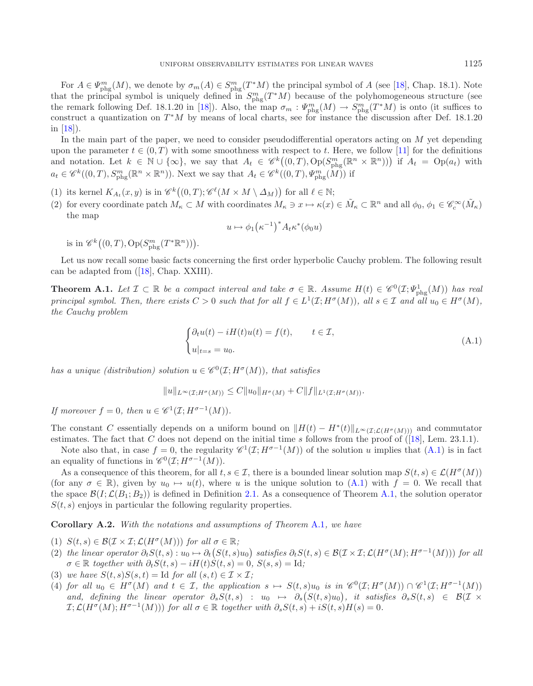For  $A \in \Psi_{\text{phg}}^m(M)$ , we denote by  $\sigma_m(A) \in S_{\text{phg}}^m(T^*M)$  the principal symbol of A (see [\[18\]](#page-38-19), Chap. 18.1). Note that the principal symbol is uniquely defined in  $S_{\text{phg}}^{m}(T^{*}M)$  because of the polyhomogeneous structure (see the remark following Def. 18.1.20 in [\[18\]](#page-38-19)). Also, the map  $\sigma_m: \Psi_{\text{phg}}^m(M) \to S_{\text{phg}}^m(T^*M)$  is onto (it suffices to construct a quantization on  $T^*M$  by means of local charts, see for instance the discussion after Def. 18.1.20 in [\[18](#page-38-19)]).

In the main part of the paper, we need to consider pseudodifferential operators acting on  $M$  yet depending upon the parameter  $t \in (0, T)$  with some smoothness with respect to t. Here, we follow [\[11\]](#page-38-20) for the definitions and notation. Let  $k \in \mathbb{N} \cup \{\infty\}$ , we say that  $A_t \in \mathscr{C}^k((0,T),\mathrm{Op}(S_{\mathrm{phg}}^m(\mathbb{R}^n \times \mathbb{R}^n)))$  if  $A_t = \mathrm{Op}(a_t)$  with  $a_t \in \mathscr{C}^k((0,T), S^{m}_{\text{phg}}(\mathbb{R}^n \times \mathbb{R}^n))$ . Next we say that  $A_t \in \mathscr{C}^k((0,T), \Psi^{m}_{\text{phg}}(M))$  if

- (1) its kernel  $K_{A_t}(x, y)$  is in  $\mathscr{C}^k((0, T); \mathscr{C}^{\ell}(M \times M \setminus \Delta_M))$  for all  $\ell \in \mathbb{N}$ ;
- (2) for every coordinate patch  $M_{\kappa} \subset M$  with coordinates  $M_{\kappa} \ni x \mapsto \kappa(x) \in \tilde{M}_{\kappa} \subset \mathbb{R}^n$  and all  $\phi_0, \phi_1 \in \mathscr{C}_c^{\infty}(\tilde{M}_{\kappa})$ the map

$$
u \mapsto \phi_1(\kappa^{-1})^* A_t \kappa^* (\phi_0 u)
$$

is in  $\mathscr{C}^k((0,T), \mathrm{Op}(S^m_{\mathrm{phg}}(T^*\mathbb{R}^n)))$ .

Let us now recall some basic facts concerning the first order hyperbolic Cauchy problem. The following result can be adapted from ([\[18\]](#page-38-19), Chap. XXIII).

**Theorem A.1.** *Let*  $\mathcal{I} \subset \mathbb{R}$  *be a compact interval and take*  $\sigma \in \mathbb{R}$ *. Assume*  $H(t) \in \mathscr{C}^0(\mathcal{I}; \Psi_{\text{phg}}^1(M))$  *has real principal symbol. Then, there exists*  $C > 0$  *such that for all*  $f \in L^1(\mathcal{I}; H^{\sigma}(M))$ *, all*  $s \in \mathcal{I}$  *and all*  $u_0 \in H^{\sigma}(M)$ *, the Cauchy problem*

$$
\begin{cases} \partial_t u(t) - iH(t)u(t) = f(t), & t \in \mathcal{I}, \\ u|_{t=s} = u_0. \end{cases}
$$
 (A.1)

*has a unique (distribution) solution*  $u \in \mathscr{C}^0(\mathcal{I}; H^{\sigma}(M))$ *, that satisfies* 

<span id="page-28-0"></span> $||u||_{L^{\infty}(\mathcal{T}\cdot H^{\sigma}(M))} \leq C||u_0||_{H^{\sigma}(M)} + C||f||_{L^1(\mathcal{T}\cdot H^{\sigma}(M))}.$ 

*If moreover*  $f = 0$ *, then*  $u \in \mathscr{C}^1(\mathcal{I}; H^{\sigma-1}(M))$ *.* 

The constant C essentially depends on a uniform bound on  $||H(t) - H^*(t)||_{L^{\infty}(\mathcal{I};\mathcal{L}(H^{\sigma}(M)))}$  and commutator estimates. The fact that C does not depend on the initial time s follows from the proof of  $(18)$ , Lem. 23.1.1).

Note also that, in case  $f = 0$ , the regularity  $\mathscr{C}^1(\mathcal{I}; H^{\sigma-1}(M))$  of the solution u implies that [\(A.1\)](#page-28-0) is in fact an equality of functions in  $\mathscr{C}^0(\mathcal{I}; H^{\sigma-1}(M)).$ 

As a consequence of this theorem, for all  $t, s \in \mathcal{I}$ , there is a bounded linear solution map  $S(t, s) \in \mathcal{L}(H^{\sigma}(M))$ (for any  $\sigma \in \mathbb{R}$ ), given by  $u_0 \mapsto u(t)$ , where u is the unique solution to [\(A.1\)](#page-28-0) with  $f = 0$ . We recall that the space  $\mathcal{B}(I; \mathcal{L}(B_1; B_2))$  is defined in Definition [2.1.](#page-8-2) As a consequence of Theorem [A.1,](#page-3-1) the solution operator  $S(t, s)$  enjoys in particular the following regularity properties.

**Corollary A.2.** *With the notations and assumptions of Theorem* [A.1](#page-3-1)*, we have*

- (1)  $S(t,s) \in \mathcal{B}(\mathcal{I} \times \mathcal{I}; \mathcal{L}(H^{\sigma}(M)))$  *for all*  $\sigma \in \mathbb{R}$ ;
- (2) the linear operator  $\partial_t S(t,s) : u_0 \mapsto \partial_t (S(t,s)u_0)$  satisfies  $\partial_t S(t,s) \in \mathcal{B}(\mathcal{I} \times \mathcal{I}; \mathcal{L}(H^{\sigma}(M); H^{\sigma-1}(M)))$  for all  $\sigma \in \mathbb{R}$  *together with*  $\partial_t S(t,s) - iH(t)S(t,s) = 0$ ,  $S(s,s) = \mathrm{Id}$ ;
- (3) *we have*  $S(t, s)S(s, t) = \text{Id}$  *for all*  $(s, t) \in \mathcal{I} \times \mathcal{I}$ ;
- (4) *for all*  $u_0 \in H^{\sigma}(M)$  *and*  $t \in \mathcal{I}$ , the application  $s \mapsto S(t, s)u_0$  is in  $\mathscr{C}^0(\mathcal{I}; H^{\sigma}(M)) \cap \mathscr{C}^1(\mathcal{I}; H^{\sigma-1}(M))$ and, defining the linear operator  $\partial_s S(t,s)$  :  $u_0 \mapsto \partial_s (S(t,s)u_0)$ , it satisfies  $\partial_s S(t,s) \in \mathcal{B}(\mathcal{I} \times$  $\mathcal{I}: \mathcal{L}(H^{\sigma}(M); H^{\sigma-1}(M)))$  *for all*  $\sigma \in \mathbb{R}$  *together with*  $\partial_s S(t, s) + iS(t, s)H(s) = 0$ *.*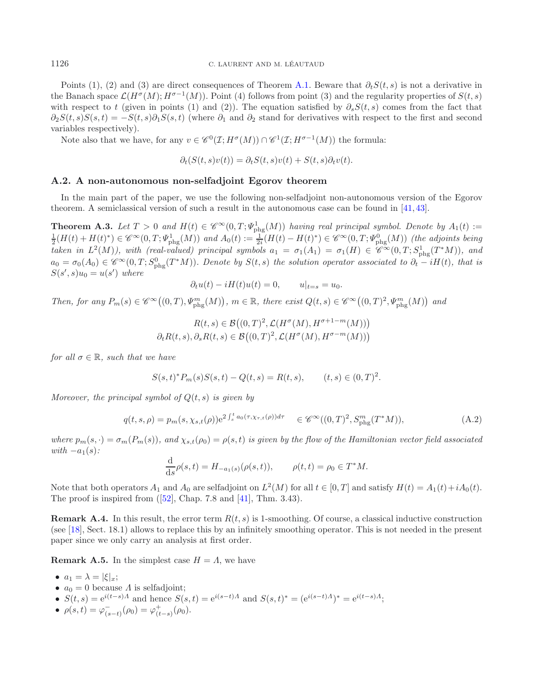Points (1), (2) and (3) are direct consequences of Theorem [A.1.](#page-3-1) Beware that  $\partial_t S(t, s)$  is not a derivative in the Banach space  $\mathcal{L}(H^{\sigma}(M); H^{\sigma-1}(M))$ . Point (4) follows from point (3) and the regularity properties of  $S(t, s)$ with respect to t (given in points (1) and (2)). The equation satisfied by  $\partial_s S(t, s)$  comes from the fact that  $\partial_2S(t,s)S(s,t) = -S(t,s)\partial_1S(s,t)$  (where  $\partial_1$  and  $\partial_2$  stand for derivatives with respect to the first and second variables respectively).

Note also that we have, for any  $v \in \mathscr{C}^{0}(\mathcal{I}; H^{\sigma}(M)) \cap \mathscr{C}^{1}(\mathcal{I}; H^{\sigma-1}(M))$  the formula:

$$
\partial_t(S(t,s)v(t)) = \partial_t S(t,s)v(t) + S(t,s)\partial_t v(t).
$$

#### **A.2. A non-autonomous non-selfadjoint Egorov theorem**

In the main part of the paper, we use the following non-selfadjoint non-autonomous version of the Egorov theorem. A semiclassical version of such a result in the autonomous case can be found in [\[41,](#page-39-27) [43\]](#page-39-28).

**Theorem A.3.** Let  $T > 0$  and  $H(t) \in \mathscr{C}^{\infty}(0,T;\mathcal{V}_{\text{phg}}^1(M))$  having real principal symbol. Denote by  $A_1(t) := \frac{1}{2}(H(t) + H(t)^*) \in \mathscr{C}^{\infty}(0,T;\mathcal{V}_{\text{phg}}^1(M))$  and  $A_0(t) := \frac{1}{2i}(H(t) - H(t)^*) \in \mathscr{C}^{\infty}(0,T;\mathcal{V}_{\text{phg}}^0(M))$ *taken in*  $L^2(M)$ ), with (real-valued) principal symbols  $a_1 = \sigma_1(A_1) = \sigma_1(H) \in \mathscr{C}^{\infty}(0,T;S^1_{\text{phg}}(T^*M))$ , and  $a_0 = \sigma_0(A_0) \in \mathscr{C}^{\infty}(0,T; S^0_{\text{phg}}(T^*M))$ . Denote by  $S(t,s)$  the solution operator associated to  $\partial_t - iH(t)$ , that is  $S(s', s)u_0 = u(s')$  where

$$
\partial_t u(t) - iH(t)u(t) = 0, \qquad u|_{t=s} = u_0.
$$

*Then, for any*  $P_m(s) \in \mathscr{C}^{\infty}((0,T), \Psi_{\text{phg}}^m(M)), m \in \mathbb{R}$ , there exist  $Q(t,s) \in \mathscr{C}^{\infty}((0,T)^2, \Psi_{\text{phg}}^m(M))$  and

$$
R(t,s) \in \mathcal{B}\big((0,T)^2, \mathcal{L}(H^\sigma(M), H^{\sigma+1-m}(M))\big)
$$

$$
\partial_t R(t,s), \partial_s R(t,s) \in \mathcal{B}\big((0,T)^2, \mathcal{L}(H^\sigma(M), H^{\sigma-m}(M))\big)
$$

*for all*  $\sigma \in \mathbb{R}$ *, such that we have* 

$$
S(s,t)^{*}P_{m}(s)S(s,t) - Q(t,s) = R(t,s), \qquad (t,s) \in (0,T)^{2}.
$$

<span id="page-29-0"></span>*Moreover, the principal symbol of* Q(t, s) *is given by*

$$
q(t,s,\rho) = p_m(s,\chi_{s,t}(\rho))e^{2\int_s^t a_0(\tau,\chi_{\tau,t}(\rho))d\tau} \quad \in \mathscr{C}^{\infty}((0,T)^2,S^{m}_{\text{phg}}(T^*M)),
$$
\n(A.2)

*where*  $p_m(s, \cdot) = \sigma_m(P_m(s))$ , and  $\chi_{s,t}(\rho_0) = \rho(s,t)$  *is given by the flow of the Hamiltonian vector field associated*  $with -a_1(s)$ *:* 

$$
\frac{d}{ds}\rho(s,t) = H_{-a_1(s)}(\rho(s,t)), \qquad \rho(t,t) = \rho_0 \in T^*M.
$$

Note that both operators  $A_1$  and  $A_0$  are selfadjoint on  $L^2(M)$  for all  $t \in [0,T]$  and satisfy  $H(t) = A_1(t) + iA_0(t)$ . The proof is inspired from  $(52]$ , Chap. 7.8 and [\[41\]](#page-39-27), Thm. 3.43).

**Remark A.4.** In this result, the error term  $R(t, s)$  is 1-smoothing. Of course, a classical inductive construction (see [\[18\]](#page-38-19), Sect. 18.1) allows to replace this by an infinitely smoothing operator. This is not needed in the present paper since we only carry an analysis at first order.

**Remark A.5.** In the simplest case  $H = \Lambda$ , we have

- $a_1 = \lambda = |\xi|_x;$
- $a_0 = 0$  because  $\Lambda$  is selfadjoint;
- $S(t, s) = e^{i(t-s)A}$  and hence  $S(s, t) = e^{i(s-t)A}$  and  $S(s, t)^* = (e^{i(s-t)A})^* = e^{i(t-s)A}$ ;
- $\rho(s,t) = \varphi_{(s-t)}^-(\rho_0) = \varphi_{(t-s)}^+(\rho_0).$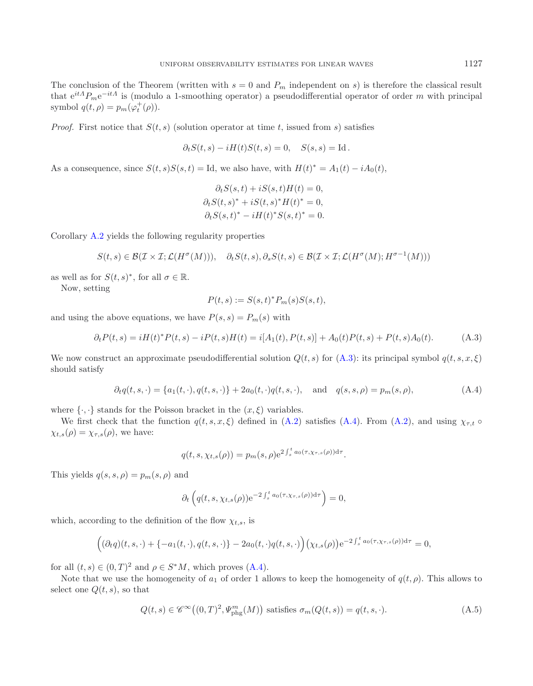The conclusion of the Theorem (written with  $s = 0$  and  $P_m$  independent on s) is therefore the classical result that  $e^{itA}P_m e^{-itA}$  is (modulo a 1-smoothing operator) a pseudodifferential operator of order m with principal symbol  $q(t, \rho) = p_m(\varphi_t^+(\rho)).$ 

*Proof.* First notice that  $S(t, s)$  (solution operator at time t, issued from s) satisfies

$$
\partial_t S(t,s) - iH(t)S(t,s) = 0, \quad S(s,s) = \mathrm{Id}.
$$

As a consequence, since  $S(t, s)S(s, t) =$  Id, we also have, with  $H(t)^* = A_1(t) - iA_0(t)$ ,

$$
\partial_t S(s,t) + iS(s,t)H(t) = 0,
$$
  
\n
$$
\partial_t S(t,s)^* + iS(t,s)^*H(t)^* = 0,
$$
  
\n
$$
\partial_t S(s,t)^* - iH(t)^*S(s,t)^* = 0.
$$

Corollary [A.2](#page-3-2) yields the following regularity properties

$$
S(t,s) \in \mathcal{B}(\mathcal{I} \times \mathcal{I}; \mathcal{L}(H^{\sigma}(M))), \quad \partial_t S(t,s), \partial_s S(t,s) \in \mathcal{B}(\mathcal{I} \times \mathcal{I}; \mathcal{L}(H^{\sigma}(M); H^{\sigma-1}(M)))
$$

as well as for  $S(t, s)^*$ , for all  $\sigma \in \mathbb{R}$ .

Now, setting

$$
P(t,s) := S(s,t)^* P_m(s) S(s,t),
$$

<span id="page-30-0"></span>and using the above equations, we have  $P(s, s) = P_m(s)$  with

$$
\partial_t P(t,s) = iH(t)^* P(t,s) - iP(t,s)H(t) = i[A_1(t), P(t,s)] + A_0(t)P(t,s) + P(t,s)A_0(t). \tag{A.3}
$$

We now construct an approximate pseudodifferential solution  $Q(t, s)$  for  $(A.3)$ : its principal symbol  $q(t, s, x, \xi)$ should satisfy

$$
\partial_t q(t, s, \cdot) = \{a_1(t, \cdot), q(t, s, \cdot)\} + 2a_0(t, \cdot)q(t, s, \cdot), \text{ and } q(s, s, \rho) = p_m(s, \rho), \tag{A.4}
$$

<span id="page-30-1"></span>where  $\{\cdot,\cdot\}$  stands for the Poisson bracket in the  $(x,\xi)$  variables.

We first check that the function  $q(t, s, x, \xi)$  defined in [\(A.2\)](#page-29-0) satisfies [\(A.4\)](#page-30-1). From (A.2), and using  $\chi_{\tau,t}$   $\circ$  $\chi_{t,s}(\rho) = \chi_{\tau,s}(\rho)$ , we have:

$$
q(t,s,\chi_{t,s}(\rho)) = p_m(s,\rho) e^{2\int_s^t a_0(\tau,\chi_{\tau,s}(\rho))d\tau}.
$$

This yields  $q(s, s, \rho) = p_m(s, \rho)$  and

$$
\partial_t \left( q(t,s,\chi_{t,s}(\rho)) \mathrm{e}^{-2\int_s^t a_0(\tau,\chi_{\tau,s}(\rho))\mathrm{d}\tau} \right) = 0,
$$

which, according to the definition of the flow  $\chi_{t,s}$ , is

$$
\left((\partial_t q)(t,s,\cdot)+\{-a_1(t,\cdot),q(t,s,\cdot)\}-2a_0(t,\cdot)q(t,s,\cdot)\right)(\chi_{t,s}(\rho))e^{-2\int_s^t a_0(\tau,\chi_{\tau,s}(\rho))d\tau}=0,
$$

for all  $(t, s) \in (0, T)^2$  and  $\rho \in S^*M$ , which proves  $(A.4)$ .

<span id="page-30-2"></span>Note that we use the homogeneity of  $a_1$  of order 1 allows to keep the homogeneity of  $q(t, \rho)$ . This allows to select one  $Q(t, s)$ , so that

$$
Q(t,s) \in \mathscr{C}^{\infty}\big((0,T)^2, \Psi_{\text{phg}}^m(M)\big) \text{ satisfies } \sigma_m(Q(t,s)) = q(t,s,\cdot). \tag{A.5}
$$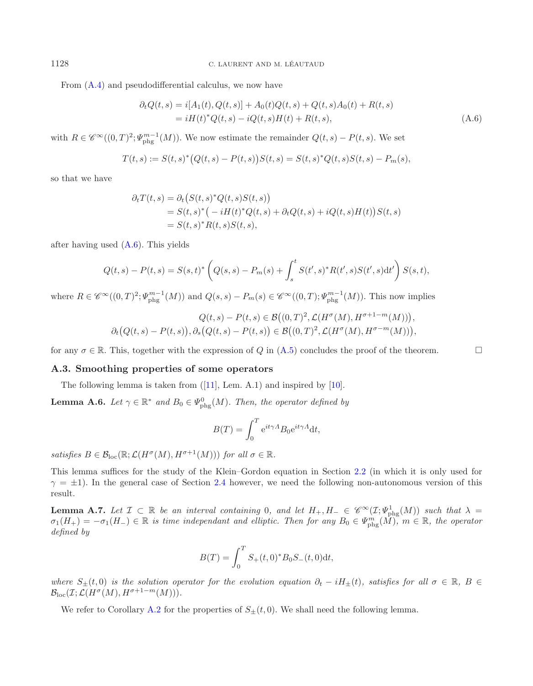<span id="page-31-1"></span>From [\(A.4\)](#page-30-1) and pseudodifferential calculus, we now have

$$
\partial_t Q(t,s) = i[A_1(t), Q(t,s)] + A_0(t)Q(t,s) + Q(t,s)A_0(t) + R(t,s)
$$
  
=  $iH(t)^*Q(t,s) - iQ(t,s)H(t) + R(t,s)$ , (A.6)

with  $R \in \mathscr{C}^{\infty}((0,T)^2; \Psi_{\text{phg}}^{m-1}(M))$ . We now estimate the remainder  $Q(t,s) - P(t,s)$ . We set

$$
T(t,s) := S(t,s)^{*} \big(Q(t,s) - P(t,s)\big)S(t,s) = S(t,s)^{*}Q(t,s)S(t,s) - P_m(s),
$$

so that we have

$$
\partial_t T(t,s) = \partial_t \left( S(t,s)^* Q(t,s) S(t,s) \right)
$$
  
=  $S(t,s)^* \left( -i H(t)^* Q(t,s) + \partial_t Q(t,s) + i Q(t,s) H(t) \right) S(t,s)$   
=  $S(t,s)^* R(t,s) S(t,s)$ ,

after having used [\(A.6\)](#page-31-1). This yields

$$
Q(t,s) - P(t,s) = S(s,t)^{*} \left( Q(s,s) - P_m(s) + \int_s^t S(t',s)^{*} R(t',s) S(t',s) dt' \right) S(s,t),
$$

where  $R \in \mathscr{C}^{\infty}((0,T)^2; \Psi_{\text{phg}}^{m-1}(M))$  and  $Q(s,s) - P_m(s) \in \mathscr{C}^{\infty}((0,T); \Psi_{\text{phg}}^{m-1}(M))$ . This now implies

$$
Q(t,s) - P(t,s) \in \mathcal{B}\big((0,T)^2, \mathcal{L}(H^{\sigma}(M), H^{\sigma+1-m}(M))\big),
$$
  

$$
\partial_t\big(Q(t,s) - P(t,s)\big), \partial_s\big(Q(t,s) - P(t,s)\big) \in \mathcal{B}\big((0,T)^2, \mathcal{L}(H^{\sigma}(M), H^{\sigma-m}(M))\big),
$$

<span id="page-31-0"></span>for any  $\sigma \in \mathbb{R}$ . This, together with the expression of Q in [\(A.5\)](#page-30-2) concludes the proof of the theorem.

### **A.3. Smoothing properties of some operators**

The following lemma is taken from  $([11], \text{ Lem. A.1})$  $([11], \text{ Lem. A.1})$  $([11], \text{ Lem. A.1})$  and inspired by  $[10]$ .

**Lemma A.6.** *Let*  $\gamma \in \mathbb{R}^*$  *and*  $B_0 \in \Psi_{\text{phg}}^0(M)$ *. Then, the operator defined by* 

<span id="page-31-2"></span>
$$
B(T) = \int_0^T e^{it\gamma A} B_0 e^{it\gamma A} dt,
$$

*satisfies*  $B \in \mathcal{B}_{loc}(\mathbb{R}; \mathcal{L}(H^{\sigma}(M), H^{\sigma+1}(M)))$  *for all*  $\sigma \in \mathbb{R}$ *.* 

This lemma suffices for the study of the Klein–Gordon equation in Section [2.2](#page-9-0) (in which it is only used for  $\gamma = \pm 1$ ). In the general case of Section [2.4](#page-15-0) however, we need the following non-autonomous version of this result.

**Lemma A.7.** Let  $\mathcal{I} \subset \mathbb{R}$  be an interval containing 0, and let  $H_+, H_- \in \mathscr{C}^{\infty}(\mathcal{I}; \Psi_{\text{phg}}^1(M))$  such that  $\lambda =$  $\sigma_1(H_+) = -\sigma_1(H_-) \in \mathbb{R}$  *is time independant and elliptic. Then for any*  $B_0 \in \Psi_{\text{phg}}^m(\widetilde{M})$ ,  $m \in \mathbb{R}$ , the operator *defined by*

$$
B(T) = \int_0^T S_+(t,0)^* B_0 S_-(t,0) \mathrm{d}t,
$$

*where*  $S_{\pm}(t,0)$  *is the solution operator for the evolution equation*  $\partial_t - iH_{\pm}(t)$ *, satisfies for all*  $\sigma \in \mathbb{R}$ *, B* ∈  $\mathcal{B}_{\text{loc}}(\mathcal{I};\mathcal{L}(H^{\sigma}(M), H^{\sigma+1-m}(M))).$ 

We refer to Corollary [A.2](#page-3-2) for the properties of  $S_{\pm}(t,0)$ . We shall need the following lemma.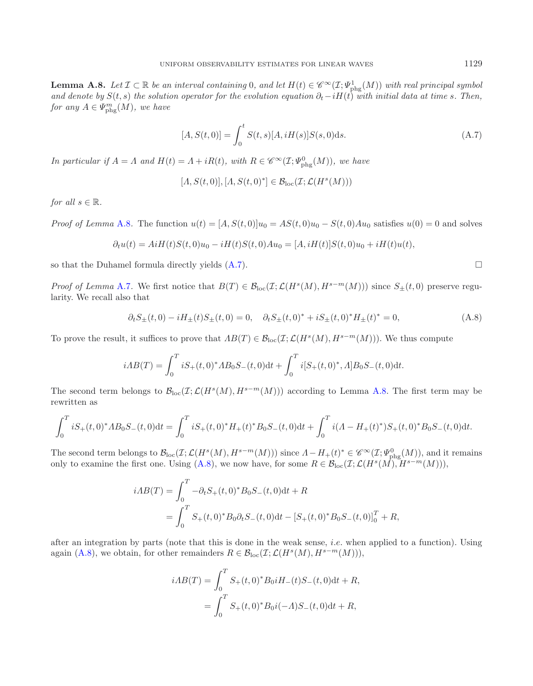**Lemma A.8.** *Let*  $\mathcal{I} \subset \mathbb{R}$  *be an interval containing* 0*, and let*  $H(t) \in \mathscr{C}^{\infty}(\mathcal{I}; \Psi_{\text{phg}}^1(M))$  *with real principal symbol and denote by*  $S(t, s)$  *the solution operator for the evolution equation*  $\partial_t - iH(t)$  *with initial data at time* s. Then, *for any*  $A \in \Psi_{\text{phg}}^m(M)$ *, we have* 

<span id="page-32-0"></span>
$$
[A, S(t, 0)] = \int_0^t S(t, s)[A, iH(s)]S(s, 0)ds.
$$
 (A.7)

*In particular if*  $A = \Lambda$  *and*  $H(t) = \Lambda + iR(t)$ *, with*  $R \in \mathscr{C}^{\infty}(\mathcal{I}; \Psi_{\text{phg}}^{0}(M))$ *, we have* 

$$
[A, S(t,0)], [A, S(t,0)^*] \in \mathcal{B}_{loc}(\mathcal{I}; \mathcal{L}(H^s(M)))
$$

*for all*  $s \in \mathbb{R}$ *.* 

*Proof of Lemma* [A.8](#page-31-2). The function  $u(t)=[A, S(t, 0)]u_0 = AS(t, 0)u_0 - S(t, 0)Au_0$  satisfies  $u(0) = 0$  and solves

$$
\partial_t u(t) = AiH(t)S(t,0)u_0 - iH(t)S(t,0)Au_0 = [A, iH(t)]S(t,0)u_0 + iH(t)u(t),
$$

so that the Duhamel formula directly yields  $(A.7)$ .

*Proof of Lemma* [A.7](#page-31-0). We first notice that  $B(T) \in \mathcal{B}_{loc}(\mathcal{I};\mathcal{L}(H^s(M),H^{s-m}(M)))$  since  $S_{\pm}(t,0)$  preserve regularity. We recall also that

$$
\partial_t S_{\pm}(t,0) - i H_{\pm}(t) S_{\pm}(t,0) = 0, \quad \partial_t S_{\pm}(t,0)^* + i S_{\pm}(t,0)^* H_{\pm}(t)^* = 0,\tag{A.8}
$$

<span id="page-32-1"></span>To prove the result, it suffices to prove that  $AB(T) \in \mathcal{B}_{loc}(\mathcal{I};\mathcal{L}(H^s(M), H^{s-m}(M)))$ . We thus compute

$$
iAB(T) = \int_0^T iS_+(t,0)^*AB_0S_-(t,0)dt + \int_0^T i[S_+(t,0)^*,A]B_0S_-(t,0)dt.
$$

The second term belongs to  $\mathcal{B}_{\text{loc}}(\mathcal{I};\mathcal{L}(H^s(M), H^{s-m}(M)))$  according to Lemma [A.8.](#page-31-2) The first term may be rewritten as

$$
\int_0^T iS_+(t,0)^* AB_0S_-(t,0)dt = \int_0^T iS_+(t,0)^* H_+(t)^* B_0S_-(t,0)dt + \int_0^T i(A - H_+(t)^*)S_+(t,0)^* B_0S_-(t,0)dt.
$$

The second term belongs to  $\mathcal{B}_{\text{loc}}(\mathcal{I};\mathcal{L}(H^s(M),H^{s-m}(M)))$  since  $\Lambda - H_+(t)^* \in \mathscr{C}^{\infty}(\mathcal{I};\Psi^0_{\text{phg}}(M))$ , and it remains only to examine the first one. Using [\(A.8\)](#page-32-1), we now have, for some  $R \in \mathcal{B}_{loc}(\mathcal{I};\mathcal{L}(H^s(M),H^{s-m}(M))),$ 

$$
iAB(T) = \int_0^T -\partial_t S_+(t,0)^* B_0 S_-(t,0) dt + R
$$
  
= 
$$
\int_0^T S_+(t,0)^* B_0 \partial_t S_-(t,0) dt - [S_+(t,0)^* B_0 S_-(t,0)]_0^T + R,
$$

after an integration by parts (note that this is done in the weak sense, i.e. when applied to a function). Using again [\(A.8\)](#page-32-1), we obtain, for other remainders  $R \in \mathcal{B}_{\text{loc}}(\mathcal{I};\mathcal{L}(H^s(M), H^{s-m}(M))),$ 

$$
iAB(T) = \int_0^T S_+(t,0)^* B_0 i H_-(t) S_-(t,0) dt + R,
$$
  
= 
$$
\int_0^T S_+(t,0)^* B_0 i(-A) S_-(t,0) dt + R,
$$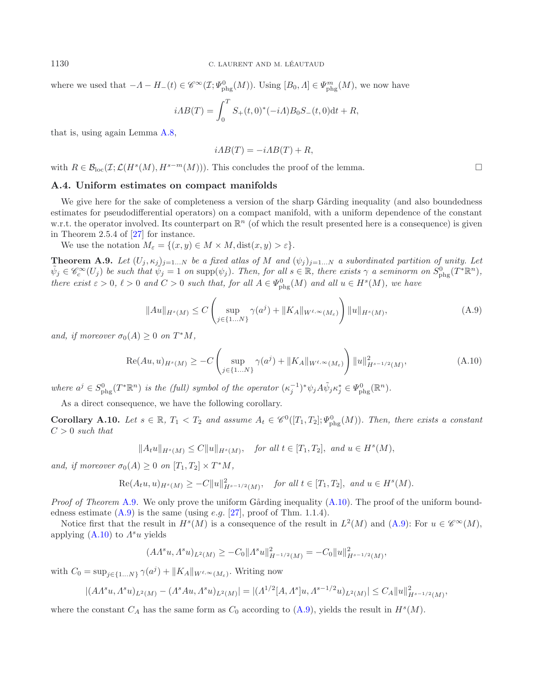where we used that  $-A-H_-(t) \in \mathscr{C}^{\infty}(\mathcal{I}; \Psi_{\text{phg}}^0(M))$ . Using  $[B_0, A] \in \Psi_{\text{phg}}^m(M)$ , we now have

$$
iAB(T) = \int_0^T S_+(t,0)^*(-iA)B_0S_-(t,0)dt + R,
$$

that is, using again Lemma [A.8,](#page-31-2)

<span id="page-33-2"></span>
$$
iAB(T) = -iAB(T) + R,
$$

<span id="page-33-0"></span>with  $R \in \mathcal{B}_{loc}(\mathcal{I};\mathcal{L}(H^s(M),H^{s-m}(M)))$ . This concludes the proof of the lemma.

### **A.4. Uniform estimates on compact manifolds**

We give here for the sake of completeness a version of the sharp Gårding inequality (and also boundedness estimates for pseudodifferential operators) on a compact manifold, with a uniform dependence of the constant w.r.t. the operator involved. Its counterpart on  $\mathbb{R}^n$  (of which the result presented here is a consequence) is given in Theorem 2.5.4 of [\[27](#page-39-29)] for instance.

We use the notation  $M_{\varepsilon} = \{(x, y) \in M \times M, \text{dist}(x, y) > \varepsilon\}.$ 

**Theorem A.9.** Let  $(U_j, \kappa_j)_{j=1...N}$  be a fixed atlas of M and  $(\psi_j)_{j=1...N}$  a subordinated partition of unity. Let  $\tilde{\psi}_j \in \mathscr{C}_c^{\infty}(U_j)$  be such that  $\tilde{\psi}_j = 1$  on  $\text{supp}(\psi_j)$ . Then, for all  $s \in \mathbb{R}$ , there exists  $\gamma$  a seminorm on  $S^0_{\text{phg}}(T^*\mathbb{R}^n)$ , *there exist*  $\varepsilon > 0$ ,  $\ell > 0$  *and*  $C > 0$  *such that, for all*  $A \in \Psi_{\text{phg}}^{0}(M)$  *and all*  $u \in H^{s}(M)$ *, we have* 

$$
||Au||_{H^{s}(M)} \leq C \left( \sup_{j \in \{1...N\}} \gamma(a^j) + ||K_A||_{W^{\ell,\infty}(M_{\varepsilon})} \right) ||u||_{H^{s}(M)},
$$
\n(A.9)

*and, if moreover*  $\sigma_0(A) \geq 0$  *on*  $T^*M$ *,* 

$$
\operatorname{Re}(Au, u)_{H^s(M)} \ge -C \left( \sup_{j \in \{1...N\}} \gamma(a^j) + \|K_A\|_{W^{\ell, \infty}(M_\varepsilon)} \right) \|u\|_{H^{s-1/2}(M)}^2, \tag{A.10}
$$

where  $a^j \in S^0_{\text{phg}}(T^*\mathbb{R}^n)$  *is the (full) symbol of the operator*  $(\kappa_j^{-1})^*\psi_jA\tilde{\psi}_j\kappa_j^* \in \Psi^0_{\text{phg}}(\mathbb{R}^n)$ .

As a direct consequence, we have the following corollary.

<span id="page-33-1"></span>**Corollary A.10.** *Let*  $s \in \mathbb{R}$ ,  $T_1 < T_2$  and assume  $A_t \in \mathscr{C}^0([T_1, T_2]; \Psi_{\text{phg}}^0(M))$ *. Then, there exists a constant* C > 0 *such that*

$$
||A_t u||_{H^s(M)} \le C||u||_{H^s(M)}, \quad \text{for all } t \in [T_1, T_2], \text{ and } u \in H^s(M),
$$

*and, if moreover*  $\sigma_0(A) \geq 0$  *on*  $[T_1, T_2] \times T^*M$ ,

$$
\text{Re}(A_t u, u)_{H^s(M)} \geq -C||u||^2_{H^{s-1/2}(M)}, \text{ for all } t \in [T_1, T_2], \text{ and } u \in H^s(M).
$$

*Proof of Theorem* [A.9](#page-33-2). We only prove the uniform Gårding inequality [\(A.10\)](#page-33-3). The proof of the uniform boundedness estimate  $(A.9)$  is the same (using *e.g.* [\[27\]](#page-39-29), proof of Thm. 1.1.4).

Notice first that the result in  $H^s(M)$  is a consequence of the result in  $L^2(M)$  and  $(A.9)$ : For  $u \in \mathscr{C}^{\infty}(M)$ , applying  $(A.10)$  to  $\Lambda^s u$  yields

$$
(A\Lambda^s u, \Lambda^s u)_{L^2(M)} \ge -C_0 \| \Lambda^s u \|_{H^{-1/2}(M)}^2 = -C_0 \| u \|_{H^{s-1/2}(M)}^2,
$$

with  $C_0 = \sup_{j \in \{1...N\}} \gamma(a^j) + ||K_A||_{W^{\ell,\infty}(M_{\varepsilon})}$ . Writing now

$$
|(A\Lambda^s u, \Lambda^s u)_{L^2(M)} - (\Lambda^s A u, \Lambda^s u)_{L^2(M)}| = |(\Lambda^{1/2}[A, \Lambda^s]u, \Lambda^{s-1/2}u)_{L^2(M)}| \le C_A ||u||_{H^{s-1/2}(M)}^2,
$$

where the constant  $C_A$  has the same form as  $C_0$  according to  $(A.9)$ , yields the result in  $H<sup>s</sup>(M)$ .

<span id="page-33-4"></span><span id="page-33-3"></span> $\Box$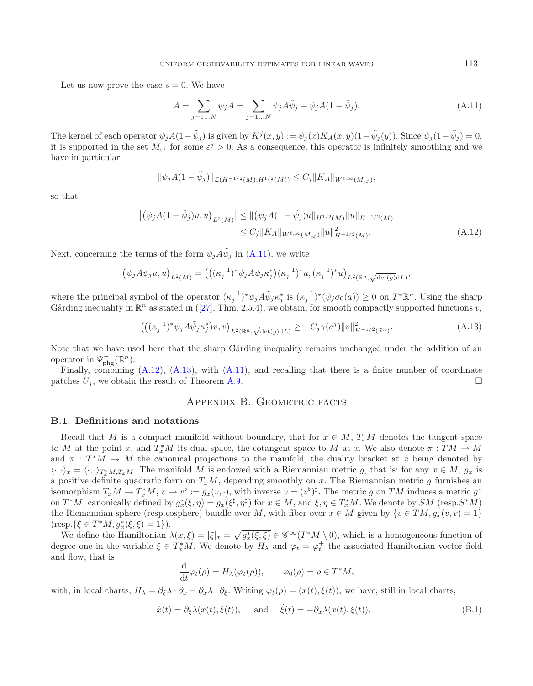Let us now prove the case  $s = 0$ . We have

$$
A = \sum_{j=1...N} \psi_j A = \sum_{j=1...N} \psi_j A \tilde{\psi}_j + \psi_j A (1 - \tilde{\psi}_j).
$$
 (A.11)

The kernel of each operator  $\psi_j A(1-\tilde{\psi}_j)$  is given by  $K^j(x,y) := \psi_j(x)K_A(x,y)(1-\tilde{\psi}_j(y))$ . Since  $\psi_j(1-\tilde{\psi}_j) = 0$ , it is supported in the set  $M_{\varepsilon j}$  for some  $\varepsilon^j > 0$ . As a consequence, this operator is infinitely smoothing and we have in particular

$$
\|\psi_j A(1-\tilde{\psi}_j)\|_{\mathcal{L}(H^{-1/2}(M);H^{1/2}(M))} \leq C_j \|K_A\|_{W^{\ell,\infty}(M_{\varepsilon^j})},
$$

so that

$$
\left| \left( \psi_j A(1 - \tilde{\psi}_j) u, u \right)_{L^2(M)} \right| \le || (\psi_j A(1 - \tilde{\psi}_j) u ||_{H^{1/2}(M)} ||u||_{H^{-1/2}(M)}
$$
  
\n
$$
\le C_j ||K_A||_{W^{\ell, \infty}(M_{\varepsilon^j})} ||u||_{H^{-1/2}(M)}^2.
$$
\n(A.12)

Next, concerning the terms of the form  $\psi_i A \tilde{\psi}_i$  in [\(A.11\)](#page-34-0), we write

$$
(\psi_j A \tilde{\psi}_j u, u)_{L^2(M)} = (((\kappa_j^{-1})^* \psi_j A \tilde{\psi}_j \kappa_j^*) (\kappa_j^{-1})^* u, (\kappa_j^{-1})^* u)_{L^2(\mathbb{R}^n, \sqrt{\det(g)} dL)},
$$

where the principal symbol of the operator  $(\kappa_j^{-1})^* \psi_j A \tilde{\psi}_j \kappa_j^*$  is  $(\kappa_j^{-1})^* (\psi_j \sigma_0(a)) \geq 0$  on  $T^* \mathbb{R}^n$ . Using the sharp Gårding inequality in  $\mathbb{R}^n$  as stated in ([\[27\]](#page-39-29), Thm. 2.5.4), we obtain, for smooth compactly supported functions v,

$$
\left( \left( (\kappa_j^{-1})^* \psi_j A \tilde{\psi}_j \kappa_j^* \right) v, v \right)_{L^2(\mathbb{R}^n, \sqrt{\det(g)} dL)} \ge -C_j \gamma(a^j) \|v\|_{H^{-1/2}(\mathbb{R}^n)}^2. \tag{A.13}
$$

Note that we have used here that the sharp Gårding inequality remains unchanged under the addition of an operator in  $\varPsi_{\text{phg}}^{-1}(\mathbb{R}^n)$ .

Finally, combining [\(A.12\)](#page-34-1), [\(A.13\)](#page-34-2), with [\(A.11\)](#page-34-0), and recalling that there is a finite number of coordinate patches  $U_j$ , we obtain the result of Theorem [A.9.](#page-33-2)  $\Box$ 

# Appendix B. Geometric facts

### **B.1. Definitions and notations**

Recall that M is a compact manifold without boundary, that for  $x \in M$ ,  $T_xM$  denotes the tangent space to M at the point x, and  $T_x^*M$  its dual space, the cotangent space to M at x. We also denote  $\pi: TM \to M$ and  $\pi : T^*M \to M$  the canonical projections to the manifold, the duality bracket at x being denoted by  $\langle \cdot, \cdot \rangle_x = \langle \cdot, \cdot \rangle_{T_x^*M, T_xM}$ . The manifold M is endowed with a Riemannian metric g, that is: for any  $x \in M$ ,  $g_x$  is a positive definite quadratic form on  $T_xM$ , depending smoothly on x. The Riemannian metric g furnishes an isomorphism  $T_xM \to T_x^*M$ ,  $v \mapsto v^{\flat} := g_x(v, \cdot)$ , with inverse  $v = (v^{\flat})^{\sharp}$ . The metric g on TM induces a metric  $g^*$ on  $T^*M$ , canonically defined by  $g_x^*(\xi, \eta) = g_x(\xi^{\sharp}, \eta^{\sharp})$  for  $x \in M$ , and  $\xi, \eta \in T_x^*M$ . We denote by  $SM$  (resp.  $S^*M$ ) the Riemannian sphere (resp.cosphere) bundle over M, with fiber over  $x \in M$  given by  $\{v \in TM, g_x(v, v)=1\}$  $(\text{resp.}\{\xi \in T^*M, g_x^*(\xi, \xi) = 1\}).$ 

We define the Hamiltonian  $\lambda(x,\xi) = |\xi|_x = \sqrt{g_x^*(\xi,\xi)} \in \mathscr{C}^\infty(T^*M \setminus 0)$ , which is a homogeneous function of degree one in the variable  $\xi \in T_x^*M$ . We denote by  $H_\lambda$  and  $\varphi_t = \varphi_t^+$  the associated Hamiltonian vector field and flow, that is

$$
\frac{\mathrm{d}}{\mathrm{d}t}\varphi_t(\rho) = H_\lambda(\varphi_t(\rho)), \qquad \varphi_0(\rho) = \rho \in T^*M,
$$

<span id="page-34-3"></span>with, in local charts,  $H_{\lambda} = \partial_{\xi} \lambda \cdot \partial_{x} - \partial_{x} \lambda \cdot \partial_{\xi}$ . Writing  $\varphi_t(\rho) = (x(t), \xi(t))$ , we have, still in local charts,

$$
\dot{x}(t) = \partial_{\xi} \lambda(x(t), \xi(t)), \quad \text{and} \quad \dot{\xi}(t) = -\partial_{x} \lambda(x(t), \xi(t)). \tag{B.1}
$$

<span id="page-34-2"></span><span id="page-34-1"></span><span id="page-34-0"></span>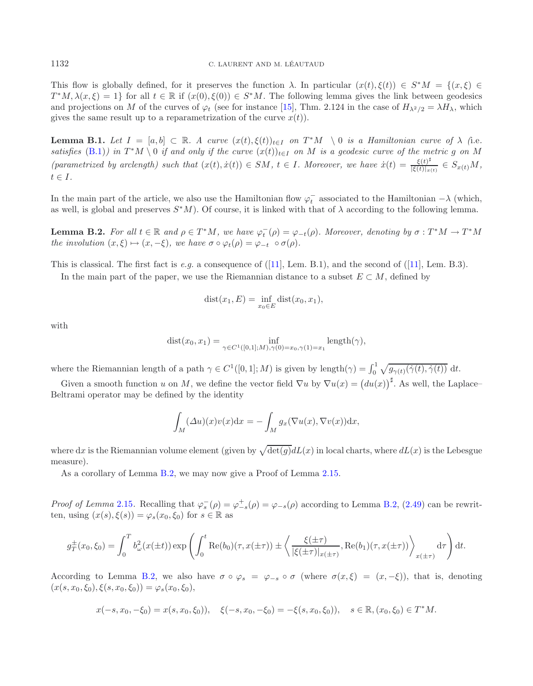This flow is globally defined, for it preserves the function  $\lambda$ . In particular  $(x(t), \xi(t)) \in S^*M = \{(x, \xi) \in$  $T^*M, \lambda(x, \xi) = 1$  for all  $t \in \mathbb{R}$  if  $(x(0), \xi(0)) \in S^*M$ . The following lemma gives the link between geodesics and projections on M of the curves of  $\varphi_t$  (see for instance [\[15\]](#page-38-21), Thm. 2.124 in the case of  $H_{\lambda^2/2} = \lambda H_\lambda$ , which gives the same result up to a reparametrization of the curve  $x(t)$ .

**Lemma B.1.** *Let*  $I = [a, b] \subset \mathbb{R}$ *. A curve*  $(x(t), \xi(t))_{t \in I}$  *on*  $T^*M \setminus 0$  *is a Hamiltonian curve of*  $\lambda$  (i.e. *satisfies* [\(B.1\)](#page-34-3)) in  $T^*M \setminus 0$  *if and only if the curve*  $(x(t))_{t\in I}$  *on* M *is a geodesic curve of the metric* g *on* M *(parametrized by arclength) such that*  $(x(t), \dot{x}(t)) \in SM$ ,  $t \in I$ *. Moreover, we have*  $\dot{x}(t) = \frac{\xi(t)^{\sharp}}{|\xi(t)|_{x(t)}} \in S_{x(t)}M$ ,  $t \in I$ .

In the main part of the article, we also use the Hamiltonian flow  $\varphi_t^-$  associated to the Hamiltonian  $-\lambda$  (which, as well, is global and preserves  $S<sup>*</sup>M$ ). Of course, it is linked with that of  $\lambda$  according to the following lemma.

**Lemma B.2.** *For all*  $t \in \mathbb{R}$  *and*  $\rho \in T^*M$ *, we have*  $\varphi_t^-(\rho) = \varphi_{-t}(\rho)$ *. Moreover, denoting by*  $\sigma : T^*M \to T^*M$ *the involution*  $(x, \xi) \mapsto (x, -\xi)$ *, we have*  $\sigma \circ \varphi_t(\rho) = \varphi_{-t} \circ \sigma(\rho)$ *.* 

This is classical. The first fact is *e.g.* a consequence of ([\[11](#page-38-20)], Lem. B.1), and the second of ([\[11\]](#page-38-20), Lem. B.3).

In the main part of the paper, we use the Riemannian distance to a subset  $E \subset M$ , defined by

$$
dist(x_1, E) = \inf_{x_0 \in E} dist(x_0, x_1),
$$

with

dist
$$
(x_0, x_1)
$$
 =  $\inf_{\gamma \in C^1([0,1];M), \gamma(0) = x_0, \gamma(1) = x_1} \text{length}(\gamma),$ 

where the Riemannian length of a path  $\gamma \in C^1([0,1];M)$  is given by length $(\gamma) = \int_0^1 \sqrt{g_{\gamma(t)}(\dot{\gamma}(t), \dot{\gamma}(t))} dt$ .

Given a smooth function u on M, we define the vector field  $\nabla u$  by  $\nabla u(x) = (du(x))^{\sharp}$ . As well, the Laplace-Beltrami operator may be defined by the identity

$$
\int_M (\Delta u)(x)v(x)dx = -\int_M g_x(\nabla u(x), \nabla v(x))dx,
$$

where dx is the Riemannian volume element (given by  $\sqrt{\det(g)}dL(x)$  in local charts, where  $dL(x)$  is the Lebesgue measure).

As a corollary of Lemma [B.2,](#page-9-1) we may now give a Proof of Lemma [2.15.](#page-21-3)

*Proof of Lemma* [2.15](#page-21-3). Recalling that  $\varphi_s^-(\rho) = \varphi_{-s}^+(\rho) = \varphi_{-s}(\rho)$  according to Lemma [B.2,](#page-9-1) [\(2.49\)](#page-21-2) can be rewritten, using  $(x(s), \xi(s)) = \varphi_s(x_0, \xi_0)$  for  $s \in \mathbb{R}$  as

$$
g_T^{\pm}(x_0,\xi_0) = \int_0^T b_\omega^2(x(\pm t)) \exp\left(\int_0^t \text{Re}(b_0)(\tau,x(\pm \tau)) \pm \left\langle \frac{\xi(\pm \tau)}{|\xi(\pm \tau)|_{x(\pm \tau)}}, \text{Re}(b_1)(\tau,x(\pm \tau)) \right\rangle_{x(\pm \tau)} d\tau\right) dt.
$$

According to Lemma [B.2,](#page-9-1) we also have  $\sigma \circ \varphi_s = \varphi_{-s} \circ \sigma$  (where  $\sigma(x, \xi) = (x, -\xi)$ ), that is, denoting  $(x(s, x_0, \xi_0), \xi(s, x_0, \xi_0)) = \varphi_s(x_0, \xi_0),$ 

$$
x(-s, x_0, -\xi_0) = x(s, x_0, \xi_0), \quad \xi(-s, x_0, -\xi_0) = -\xi(s, x_0, \xi_0), \quad s \in \mathbb{R}, (x_0, \xi_0) \in T^*M.
$$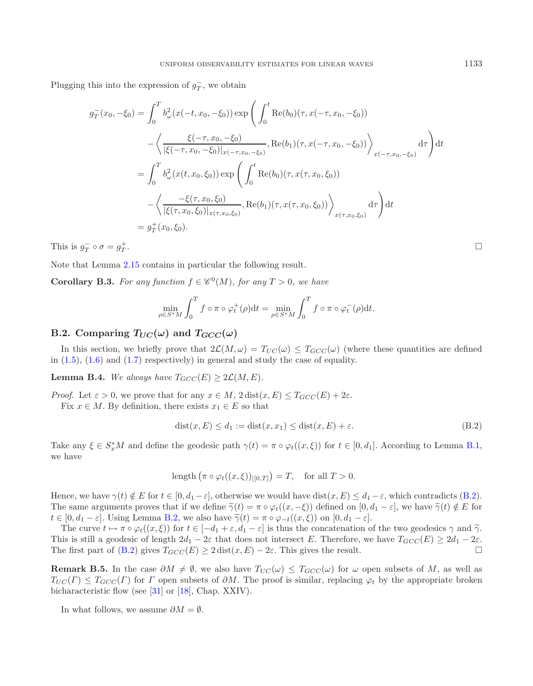Plugging this into the expression of  $g_T^-$ , we obtain

$$
g_T^-(x_0, -\xi_0) = \int_0^T b_\omega^2(x(-t, x_0, -\xi_0)) \exp\left(\int_0^t \text{Re}(b_0)(\tau, x(-\tau, x_0, -\xi_0))\right)
$$

$$
-\left\langle \frac{\xi(-\tau, x_0, -\xi_0)}{|\xi(-\tau, x_0, -\xi_0)|_{x(-\tau, x_0, -\xi_0)}}, \text{Re}(b_1)(\tau, x(-\tau, x_0, -\xi_0)) \right\rangle_{x(-\tau, x_0, -\xi_0)} d\tau \right) dt
$$

$$
= \int_0^T b_\omega^2(x(t, x_0, \xi_0)) \exp\left(\int_0^t \text{Re}(b_0)(\tau, x(\tau, x_0, \xi_0))\right)
$$

$$
-\left\langle \frac{-\xi(\tau, x_0, \xi_0)}{|\xi(\tau, x_0, \xi_0)|_{x(\tau, x_0, \xi_0)}} , \text{Re}(b_1)(\tau, x(\tau, x_0, \xi_0)) \right\rangle_{x(\tau, x_0, \xi_0)} d\tau \right) dt
$$

$$
= g_T^+(x_0, \xi_0).
$$

This is  $g_T^- \circ \sigma = g_T^+$  $T$  .

Note that Lemma [2.15](#page-21-3) contains in particular the following result.

**Corollary B.3.** *For any function*  $f \in \mathcal{C}^0(M)$ *, for any*  $T > 0$ *, we have* 

$$
\min_{\rho \in S^*M} \int_0^T f \circ \pi \circ \varphi_t^+(\rho) \mathrm{d}t = \min_{\rho \in S^*M} \int_0^T f \circ \pi \circ \varphi_t^-(\rho) \mathrm{d}t.
$$

# **B.2.** Comparing  $T_{UC}(\omega)$  and  $T_{GCC}(\omega)$

In this section, we briefly prove that  $2\mathcal{L}(M,\omega) = T_{UC}(\omega) \leq T_{GCC}(\omega)$  (where these quantities are defined in  $(1.5)$ ,  $(1.6)$  and  $(1.7)$  respectively) in general and study the case of equality.

**Lemma B.4.** *We always have*  $T_{GCC}(E) \geq 2\mathcal{L}(M, E)$ *.* 

*Proof.* Let  $\varepsilon > 0$ , we prove that for any  $x \in M$ ,  $2 \text{dist}(x, E) \leq T_{GCC}(E) + 2\varepsilon$ .

<span id="page-36-0"></span>Fix  $x \in M$ . By definition, there exists  $x_1 \in E$  so that

$$
dist(x, E) \le d_1 := dist(x, x_1) \le dist(x, E) + \varepsilon. \tag{B.2}
$$

Take any  $\xi \in S_x^*M$  and define the geodesic path  $\gamma(t) = \pi \circ \varphi_t((x,\xi))$  for  $t \in [0,d_1]$ . According to Lemma [B.1,](#page-8-2) we have

length 
$$
(\pi \circ \varphi_t((x,\xi))_{|[0,T]}) = T
$$
, for all  $T > 0$ .

Hence, we have  $\gamma(t) \notin E$  for  $t \in [0, d_1 - \varepsilon]$ , otherwise we would have  $dist(x, E) \leq d_1 - \varepsilon$ , which contradicts [\(B.2\)](#page-36-0). The same arguments proves that if we define  $\widetilde{\gamma}(t) = \pi \circ \varphi_t((x, -\xi))$  defined on  $[0, d_1 - \varepsilon]$ , we have  $\widetilde{\gamma}(t) \notin E$  for  $t \in [0, d_1 - \varepsilon]$ . Using Lemma [B.2,](#page-9-1) we also have  $\tilde{\gamma}(t) = \pi \circ \varphi_{-t}((x, \xi))$  on  $[0, d_1 - \varepsilon]$ .

The curve  $t \mapsto \pi \circ \varphi_t((x,\xi))$  for  $t \in [-d_1 + \varepsilon, d_1 - \varepsilon]$  is thus the concatenation of the two geodesics  $\gamma$  and  $\tilde{\gamma}$ . This is still a geodesic of length  $2d_1 - 2\varepsilon$  that does not intersect E. Therefore, we have  $T_{GCC}(E) \geq 2d_1 - 2\varepsilon$ . The first part of [\(B.2\)](#page-36-0) gives  $T_{GCC}(E) \ge 2 \text{ dist}(x, E) - 2\varepsilon$ . This gives the result.  $\Box$ 

**Remark B.5.** In the case  $\partial M \neq \emptyset$ , we also have  $T_{UC}(\omega) \leq T_{GCC}(\omega)$  for  $\omega$  open subsets of M, as well as  $T_{UC}(\Gamma) \leq T_{GCC}(\Gamma)$  for  $\Gamma$  open subsets of  $\partial M$ . The proof is similar, replacing  $\varphi_t$  by the appropriate broken bicharacteristic flow (see [\[31\]](#page-39-30) or [\[18\]](#page-38-19), Chap. XXIV).

In what follows, we assume  $\partial M = \emptyset$ .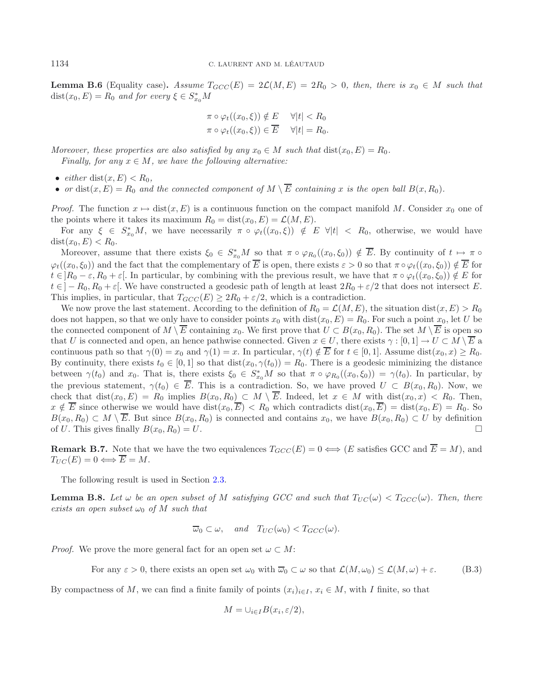**Lemma B.6** (Equality case). Assume  $T_{GCC}(E) = 2\mathcal{L}(M, E) = 2R_0 > 0$ , then, there is  $x_0 \in M$  such that  $dist(x_0, E) = R_0$  and for every  $\xi \in S_{x_0}^*M$ 

$$
\pi \circ \varphi_t((x_0, \xi)) \notin E \quad \forall |t| < R_0
$$
\n
$$
\pi \circ \varphi_t((x_0, \xi)) \in \overline{E} \quad \forall |t| = R_0.
$$

*Moreover, these properties are also satisfied by any*  $x_0 \in M$  *such that*  $dist(x_0, E) = R_0$ *. Finally, for any*  $x \in M$ *, we have the following alternative:* 

- *either* dist $(x, E) < R_0$ ,
- *or* dist $(x, E) = R_0$  *and the connected component of*  $M \setminus \overline{E}$  *containing* x *is the open ball*  $B(x, R_0)$ *.*

*Proof.* The function  $x \mapsto \text{dist}(x, E)$  is a continuous function on the compact manifold M. Consider  $x_0$  one of the points where it takes its maximum  $R_0 = \text{dist}(x_0, E) = \mathcal{L}(M, E)$ .

For any  $\xi \in S_{x_0}^*M$ , we have necessarily  $\pi \circ \varphi_t((x_0,\xi)) \notin E \ \forall |t| \ < R_0$ , otherwise, we would have  $dist(x_0, E) < R_0$ .

Moreover, assume that there exists  $\xi_0 \in S_{x_0}^*M$  so that  $\pi \circ \varphi_{R_0}((x_0,\xi_0)) \notin \overline{E}$ . By continuity of  $t \mapsto \pi \circ$  $\varphi_t((x_0, \xi_0))$  and the fact that the complementary of  $\overline{E}$  is open, there exists  $\varepsilon > 0$  so that  $\pi \circ \varphi_t((x_0, \xi_0)) \notin \overline{E}$  for  $t \in R_0 - \varepsilon, R_0 + \varepsilon$ . In particular, by combining with the previous result, we have that  $\pi \circ \varphi_t((x_0, \xi_0)) \notin E$  for  $t \in ]-R_0, R_0 + \varepsilon[$ . We have constructed a geodesic path of length at least  $2R_0 + \varepsilon/2$  that does not intersect E. This implies, in particular, that  $T_{GCC}(E) \geq 2R_0 + \varepsilon/2$ , which is a contradiction.

We now prove the last statement. According to the definition of  $R_0 = \mathcal{L}(M, E)$ , the situation dist $(x, E) > R_0$ does not happen, so that we only have to consider points  $x_0$  with dist $(x_0, E) = R_0$ . For such a point  $x_0$ , let U be the connected component of  $M \setminus \overline{E}$  containing  $x_0$ . We first prove that  $U \subset B(x_0, R_0)$ . The set  $M \setminus \overline{E}$  is open so that U is connected and open, an hence pathwise connected. Given  $x \in U$ , there exists  $\gamma : [0,1] \to U \subset M \setminus \overline{E}$  a continuous path so that  $\gamma(0) = x_0$  and  $\gamma(1) = x$ . In particular,  $\gamma(t) \notin \overline{E}$  for  $t \in [0, 1]$ . Assume dist $(x_0, x) \ge R_0$ . By continuity, there exists  $t_0 \in [0,1]$  so that  $dist(x_0, \gamma(t_0)) = R_0$ . There is a geodesic miminizing the distance between  $\gamma(t_0)$  and  $x_0$ . That is, there exists  $\xi_0 \in S_{x_0}^*M$  so that  $\pi \circ \varphi_{R_0}((x_0,\xi_0)) = \gamma(t_0)$ . In particular, by the previous statement,  $\gamma(t_0) \in \overline{E}$ . This is a contradiction. So, we have proved  $U \subset B(x_0, R_0)$ . Now, we check that  $dist(x_0, E) = R_0$  implies  $B(x_0, R_0) \subset M \setminus \overline{E}$ . Indeed, let  $x \in M$  with  $dist(x_0, x) < R_0$ . Then,  $x \notin \overline{E}$  since otherwise we would have  $dist(x_0, \overline{E}) < R_0$  which contradicts  $dist(x_0, \overline{E}) = dist(x_0, E) = R_0$ . So  $B(x_0, R_0) \subset M \setminus \overline{E}$ . But since  $B(x_0, R_0)$  is connected and contains  $x_0$ , we have  $B(x_0, R_0) \subset U$  by definition of U. This gives finally  $B(x_0, R_0) = U$ .

**Remark B.7.** Note that we have the two equivalences  $T_{GCC}(E) = 0 \iff (E \text{ satisfies GCC and } \overline{E} = M)$ , and  $T_{UC}(E)=0 \Longleftrightarrow \overline{E}=M.$ 

The following result is used in Section [2.3.](#page-13-1)

**Lemma B.8.** Let  $\omega$  be an open subset of M satisfying GCC and such that  $T_{UC}(\omega) < T_{GCC}(\omega)$ . Then, there *exists an open subset*  $\omega_0$  *of* M *such that* 

$$
\overline{\omega}_0 \subset \omega
$$
, and  $T_{UC}(\omega_0) < T_{GCC}(\omega)$ .

<span id="page-37-0"></span>*Proof.* We prove the more general fact for an open set  $\omega \subset M$ :

For any  $\varepsilon > 0$ , there exists an open set  $\omega_0$  with  $\overline{\omega}_0 \subset \omega$  so that  $\mathcal{L}(M, \omega_0) \leq \mathcal{L}(M, \omega) + \varepsilon$ . (B.3)

By compactness of M, we can find a finite family of points  $(x_i)_{i\in I}$ ,  $x_i \in M$ , with I finite, so that

$$
M = \bigcup_{i \in I} B(x_i, \varepsilon/2),
$$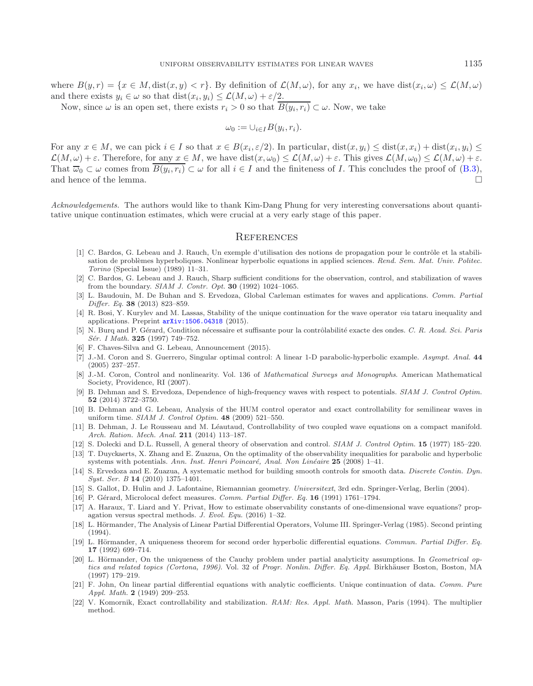where  $B(y, r) = \{x \in M, \text{dist}(x, y) < r\}$ . By definition of  $\mathcal{L}(M, \omega)$ , for any  $x_i$ , we have  $\text{dist}(x_i, \omega) \leq \mathcal{L}(M, \omega)$ and there exists  $y_i \in \omega$  so that  $dist(x_i, y_i) \leq \mathcal{L}(M, \omega) + \varepsilon/2$ .

Now, since  $\omega$  is an open set, there exists  $r_i > 0$  so that  $\overline{B(y_i, r_i)} \subset \omega$ . Now, we take

$$
\omega_0 := \cup_{i \in I} B(y_i, r_i).
$$

For any  $x \in M$ , we can pick  $i \in I$  so that  $x \in B(x_i, \varepsilon/2)$ . In particular,  $dist(x, y_i) \leq dist(x, x_i) + dist(x_i, y_i) \leq$  $\mathcal{L}(M,\omega) + \varepsilon$ . Therefore, for any  $x \in M$ , we have dist $(x,\omega_0) \leq \mathcal{L}(M,\omega) + \varepsilon$ . This gives  $\mathcal{L}(M,\omega_0) \leq \mathcal{L}(M,\omega) + \varepsilon$ . That  $\overline{\omega}_0 \subset \omega$  comes from  $\overline{B(y_i, r_i)} \subset \omega$  for all  $i \in I$  and the finiteness of I. This concludes the proof of [\(B.3\)](#page-37-0), and hence of the lemma.  $\Box$ 

<span id="page-38-4"></span>*Acknowledgements.* The authors would like to thank Kim-Dang Phung for very interesting conversations about quantitative unique continuation estimates, which were crucial at a very early stage of this paper.

#### **REFERENCES**

- [1] C. Bardos, G. Lebeau and J. Rauch, Un exemple d'utilisation des notions de propagation pour le contrôle et la stabilisation de problèmes hyperboliques. Nonlinear hyperbolic equations in applied sciences. Rend. Sem. Mat. Univ. Politec. Torino (Special Issue) (1989) 11–31.
- <span id="page-38-5"></span>[2] C. Bardos, G. Lebeau and J. Rauch, Sharp sufficient conditions for the observation, control, and stabilization of waves from the boundary. SIAM J. Contr. Opt. **30** (1992) 1024–1065.
- <span id="page-38-2"></span>[3] L. Baudouin, M. De Buhan and S. Ervedoza, Global Carleman estimates for waves and applications. Comm. Partial Differ. Eq. **38** (2013) 823–859.
- <span id="page-38-18"></span>[4] R. Bosi, Y. Kurylev and M. Lassas, Stability of the unique continuation for the wave operator *via* tataru inequality and applications. Preprint [arXiv:1506.04318](http://arxiv.org/abs/1506.04318) (2015).
- <span id="page-38-6"></span>[5] N. Burq and P. Gérard, Condition nécessaire et suffisante pour la contrôlabilité exacte des ondes. C. R. Acad. Sci. Paris Sér. I Math. **325** (1997) 749-752.
- <span id="page-38-13"></span>[6] F. Chaves-Silva and G. Lebeau, Announcement (2015).
- <span id="page-38-15"></span>[7] J.-M. Coron and S. Guerrero, Singular optimal control: A linear 1-D parabolic-hyperbolic example. Asympt. Anal. **44** (2005) 237–257.
- <span id="page-38-11"></span>[8] J.-M. Coron, Control and nonlinearity. Vol. 136 of Mathematical Surveys and Monographs. American Mathematical Society, Providence, RI (2007).
- [9] B. Dehman and S. Ervedoza, Dependence of high-frequency waves with respect to potentials. SIAM J. Control Optim. **52** (2014) 3722–3750.
- <span id="page-38-16"></span><span id="page-38-10"></span>[10] B. Dehman and G. Lebeau, Analysis of the HUM control operator and exact controllability for semilinear waves in uniform time. SIAM J. Control Optim. **48** (2009) 521–550.
- <span id="page-38-20"></span>[11] B. Dehman, J. Le Rousseau and M. Léautaud, Controllability of two coupled wave equations on a compact manifold. Arch. Ration. Mech. Anal. **211** (2014) 113–187.
- <span id="page-38-0"></span>[12] S. Dolecki and D.L. Russell, A general theory of observation and control. SIAM J. Control Optim. **15** (1977) 185–220.
- <span id="page-38-3"></span>[13] T. Duyckaerts, X. Zhang and E. Zuazua, On the optimality of the observability inequalities for parabolic and hyperbolic systems with potentials. Ann. Inst. Henri Poincaré, Anal. Non Linéaire 25 (2008) 1–41.
- <span id="page-38-12"></span>[14] S. Ervedoza and E. Zuazua, A systematic method for building smooth controls for smooth data. Discrete Contin. Dyn. Syst. Ser. B **14** (2010) 1375–1401.
- <span id="page-38-21"></span>[15] S. Gallot, D. Hulin and J. Lafontaine, Riemannian geometry. Universitext, 3rd edn. Springer-Verlag, Berlin (2004).
- <span id="page-38-7"></span>[16] P. Gérard, Microlocal defect measures. Comm. Partial Differ. Eq. 16 (1991) 1761–1794.
- <span id="page-38-14"></span>[17] A. Haraux, T. Liard and Y. Privat, How to estimate observability constants of one-dimensional wave equations? propagation versus spectral methods. J. Evol. Equ. (2016) 1–32.
- <span id="page-38-19"></span>[18] L. Hörmander, The Analysis of Linear Partial Differential Operators, Volume III. Springer-Verlag (1985). Second printing (1994).
- <span id="page-38-17"></span>[19] L. Hörmander, A uniqueness theorem for second order hyperbolic differential equations. Commun. Partial Differ. Eq. **17** (1992) 699–714.
- <span id="page-38-9"></span>[20] L. Hörmander, On the uniqueness of the Cauchy problem under partial analyticity assumptions. In Geometrical optics and related topics (Cortona, 1996). Vol. 32 of Progr. Nonlin. Differ. Eq. Appl. Birkhäuser Boston, Boston, MA (1997) 179–219.
- <span id="page-38-8"></span>[21] F. John, On linear partial differential equations with analytic coefficients. Unique continuation of data. Comm. Pure Appl. Math. **2** (1949) 209–253.
- <span id="page-38-1"></span>[22] V. Komornik, Exact controllability and stabilization. RAM: Res. Appl. Math. Masson, Paris (1994). The multiplier method.